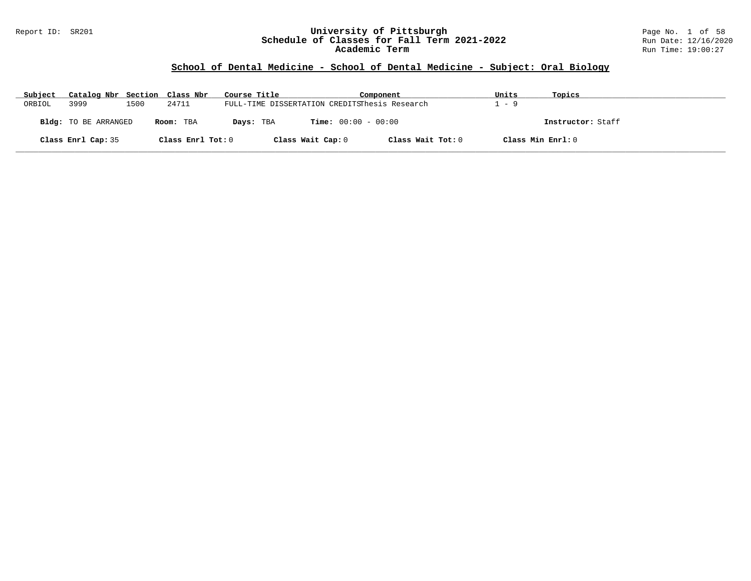#### Report ID: SR201 **University of Pittsburgh** Page No. 1 of 58 **Schedule of Classes for Fall Term 2021-2022** Run Date: 12/16/2020 **Academic Term** Run Time: 19:00:27

## **School of Dental Medicine - School of Dental Medicine - Subject: Oral Biology**

| Subject | Catalog Nbr Section Class Nbr |      |                   | Course Title                                  |                              | Component         | Units | Topics            |
|---------|-------------------------------|------|-------------------|-----------------------------------------------|------------------------------|-------------------|-------|-------------------|
| ORBIOL  | 3999                          | 1500 | 24711             | FULL-TIME DISSERTATION CREDITSThesis Research |                              |                   | - 9   |                   |
|         | Bldg: TO BE ARRANGED          |      | Room: TBA         | Days: TBA                                     | <b>Time:</b> $00:00 - 00:00$ |                   |       | Instructor: Staff |
|         | Class Enrl Cap: 35            |      | Class Enrl Tot: 0 |                                               | Class Wait Cap: 0            | Class Wait Tot: 0 |       | Class Min Enrl: 0 |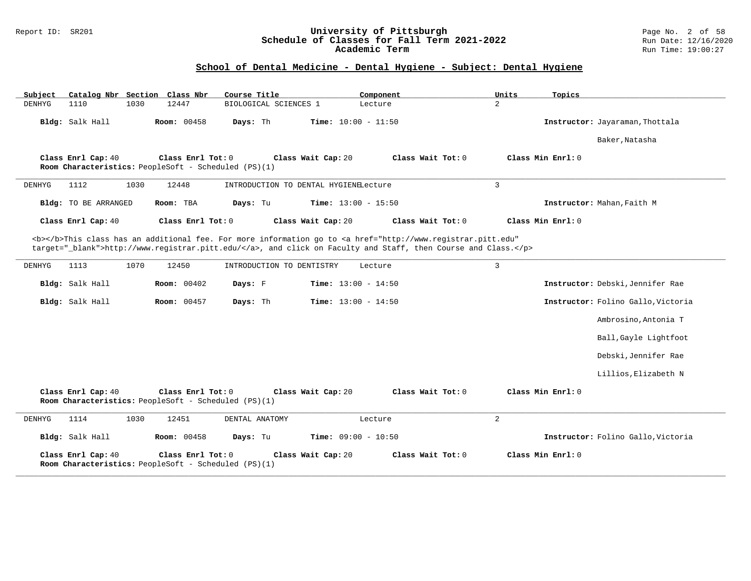#### Report ID: SR201 **University of Pittsburgh** Page No. 2 of 58 **Schedule of Classes for Fall Term 2021-2022** Run Date: 12/16/2020 **Academic Term** Run Time: 19:00:27

## **School of Dental Medicine - Dental Hygiene - Subject: Dental Hygiene**

| Subject |                      |      | Catalog Nbr Section Class Nbr                                             | Course Title              |                                       | Component                                                                                                                                                                                                                          | Units          | Topics                             |
|---------|----------------------|------|---------------------------------------------------------------------------|---------------------------|---------------------------------------|------------------------------------------------------------------------------------------------------------------------------------------------------------------------------------------------------------------------------------|----------------|------------------------------------|
| DENHYG  | 1110                 | 1030 | 12447                                                                     | BIOLOGICAL SCIENCES 1     |                                       | Lecture                                                                                                                                                                                                                            | $\overline{a}$ |                                    |
|         | Bldg: Salk Hall      |      | Room: 00458                                                               | Days: Th                  | <b>Time:</b> $10:00 - 11:50$          |                                                                                                                                                                                                                                    |                | Instructor: Jayaraman, Thottala    |
|         |                      |      |                                                                           |                           |                                       |                                                                                                                                                                                                                                    |                | Baker, Natasha                     |
|         | Class Enrl Cap: 40   |      | Class Enrl Tot: 0<br>Room Characteristics: PeopleSoft - Scheduled (PS)(1) |                           | Class Wait Cap: 20                    | Class Wait Tot: 0                                                                                                                                                                                                                  |                | Class Min Enrl: 0                  |
| DENHYG  | 1112                 | 1030 | 12448                                                                     |                           | INTRODUCTION TO DENTAL HYGIENELecture |                                                                                                                                                                                                                                    | $\overline{3}$ |                                    |
|         | Bldg: TO BE ARRANGED |      | Room: TBA                                                                 | Days: Tu                  | <b>Time:</b> $13:00 - 15:50$          |                                                                                                                                                                                                                                    |                | Instructor: Mahan, Faith M         |
|         | Class Enrl Cap: 40   |      | Class Enrl Tot: 0                                                         |                           | Class Wait Cap: 20                    | Class Wait Tot: 0                                                                                                                                                                                                                  |                | Class Min Enrl: 0                  |
|         |                      |      |                                                                           |                           |                                       | <b></b> This class has an additional fee. For more information go to <a <br="" href="http://www.registrar.pitt.edu">target="_blank"&gt;http://www.registrar.pitt.edu/</a> , and click on Faculty and Staff, then Course and Class. |                |                                    |
| DENHYG  | 1113                 | 1070 | 12450                                                                     | INTRODUCTION TO DENTISTRY |                                       | Lecture                                                                                                                                                                                                                            | 3              |                                    |
|         | Bldg: Salk Hall      |      | <b>Room:</b> 00402                                                        | Days: F                   | <b>Time:</b> $13:00 - 14:50$          |                                                                                                                                                                                                                                    |                | Instructor: Debski, Jennifer Rae   |
|         | Bldg: Salk Hall      |      | <b>Room: 00457</b>                                                        | Days: Th                  | <b>Time:</b> $13:00 - 14:50$          |                                                                                                                                                                                                                                    |                | Instructor: Folino Gallo, Victoria |
|         |                      |      |                                                                           |                           |                                       |                                                                                                                                                                                                                                    |                | Ambrosino, Antonia T               |
|         |                      |      |                                                                           |                           |                                       |                                                                                                                                                                                                                                    |                | Ball, Gayle Lightfoot              |
|         |                      |      |                                                                           |                           |                                       |                                                                                                                                                                                                                                    |                | Debski, Jennifer Rae               |
|         |                      |      |                                                                           |                           |                                       |                                                                                                                                                                                                                                    |                | Lillios, Elizabeth N               |
|         | Class Enrl Cap: 40   |      | Class Enrl Tot: 0<br>Room Characteristics: PeopleSoft - Scheduled (PS)(1) |                           | Class Wait Cap: 20                    | Class Wait Tot: 0                                                                                                                                                                                                                  |                | Class Min Enrl: 0                  |
| DENHYG  | 1114                 | 1030 | 12451                                                                     | DENTAL ANATOMY            |                                       | Lecture                                                                                                                                                                                                                            | $\overline{a}$ |                                    |
|         | Bldg: Salk Hall      |      | <b>Room: 00458</b>                                                        | Days: Tu                  | Time: $09:00 - 10:50$                 |                                                                                                                                                                                                                                    |                | Instructor: Folino Gallo, Victoria |
|         | Class Enrl Cap: 40   |      | Class Enrl Tot: 0<br>Room Characteristics: PeopleSoft - Scheduled (PS)(1) |                           | Class Wait Cap: 20                    | Class Wait Tot: 0                                                                                                                                                                                                                  |                | Class Min Enrl: 0                  |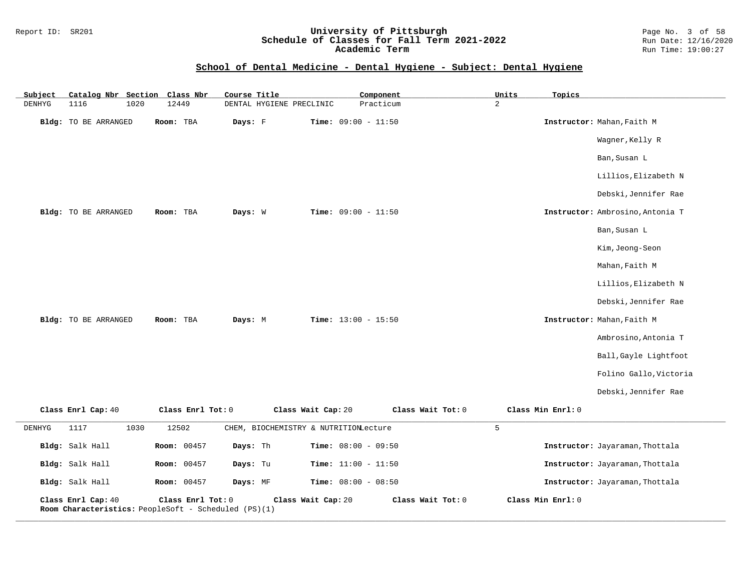#### Report ID: SR201 **University of Pittsburgh** Page No. 3 of 58 **Schedule of Classes for Fall Term 2021-2022** Run Date: 12/16/2020 **Academic Term** Run Time: 19:00:27

## **School of Dental Medicine - Dental Hygiene - Subject: Dental Hygiene**

| Subject       | Catalog Nbr Section                                                        | Class Nbr         | Course Title                          | Component             |                   | Units          | Topics                           |
|---------------|----------------------------------------------------------------------------|-------------------|---------------------------------------|-----------------------|-------------------|----------------|----------------------------------|
| <b>DENHYG</b> | 1116<br>1020                                                               | 12449             | DENTAL HYGIENE PRECLINIC              | Practicum             |                   | $\overline{a}$ |                                  |
|               | Bldg: TO BE ARRANGED                                                       | Room: TBA         | Days: F                               | Time: $09:00 - 11:50$ |                   |                | Instructor: Mahan, Faith M       |
|               |                                                                            |                   |                                       |                       |                   |                | Wagner, Kelly R                  |
|               |                                                                            |                   |                                       |                       |                   |                | Ban, Susan L                     |
|               |                                                                            |                   |                                       |                       |                   |                | Lillios, Elizabeth N             |
|               |                                                                            |                   |                                       |                       |                   |                | Debski, Jennifer Rae             |
|               | Bldg: TO BE ARRANGED                                                       | Room: TBA         | Days: W                               | Time: $09:00 - 11:50$ |                   |                | Instructor: Ambrosino, Antonia T |
|               |                                                                            |                   |                                       |                       |                   |                | Ban, Susan L                     |
|               |                                                                            |                   |                                       |                       |                   |                | Kim, Jeong-Seon                  |
|               |                                                                            |                   |                                       |                       |                   |                | Mahan, Faith M                   |
|               |                                                                            |                   |                                       |                       |                   |                | Lillios, Elizabeth N             |
|               |                                                                            |                   |                                       |                       |                   |                | Debski, Jennifer Rae             |
|               | Bldg: TO BE ARRANGED                                                       | Room: TBA         | Days: M                               | Time: $13:00 - 15:50$ |                   |                | Instructor: Mahan, Faith M       |
|               |                                                                            |                   |                                       |                       |                   |                | Ambrosino, Antonia T             |
|               |                                                                            |                   |                                       |                       |                   |                | Ball, Gayle Lightfoot            |
|               |                                                                            |                   |                                       |                       |                   |                | Folino Gallo, Victoria           |
|               |                                                                            |                   |                                       |                       |                   |                | Debski, Jennifer Rae             |
|               | Class Enrl Cap: 40                                                         | Class Enrl Tot: 0 |                                       | Class Wait Cap: 20    | Class Wait Tot: 0 |                | Class Min Enrl: 0                |
| DENHYG        | 1117<br>1030                                                               | 12502             | CHEM, BIOCHEMISTRY & NUTRITIONLecture |                       |                   | 5              |                                  |
|               | Bldg: Salk Hall                                                            | Room: 00457       | Days: Th                              | Time: $08:00 - 09:50$ |                   |                | Instructor: Jayaraman, Thottala  |
|               | Bldg: Salk Hall                                                            | Room: 00457       | Days: Tu                              | Time: $11:00 - 11:50$ |                   |                | Instructor: Jayaraman, Thottala  |
|               | Bldg: Salk Hall                                                            | Room: 00457       | Days: MF                              | Time: $08:00 - 08:50$ |                   |                | Instructor: Jayaraman, Thottala  |
|               | Class Enrl Cap: 40<br>Room Characteristics: PeopleSoft - Scheduled (PS)(1) | Class Enrl Tot: 0 |                                       | Class Wait Cap: 20    | Class Wait Tot: 0 |                | Class Min Enrl: 0                |

**\_\_\_\_\_\_\_\_\_\_\_\_\_\_\_\_\_\_\_\_\_\_\_\_\_\_\_\_\_\_\_\_\_\_\_\_\_\_\_\_\_\_\_\_\_\_\_\_\_\_\_\_\_\_\_\_\_\_\_\_\_\_\_\_\_\_\_\_\_\_\_\_\_\_\_\_\_\_\_\_\_\_\_\_\_\_\_\_\_\_\_\_\_\_\_\_\_\_\_\_\_\_\_\_\_\_\_\_\_\_\_\_\_\_\_\_\_\_\_\_\_\_\_\_\_\_\_\_\_\_\_\_\_\_\_\_\_\_\_\_\_\_\_\_\_\_\_\_\_\_\_\_\_\_\_\_**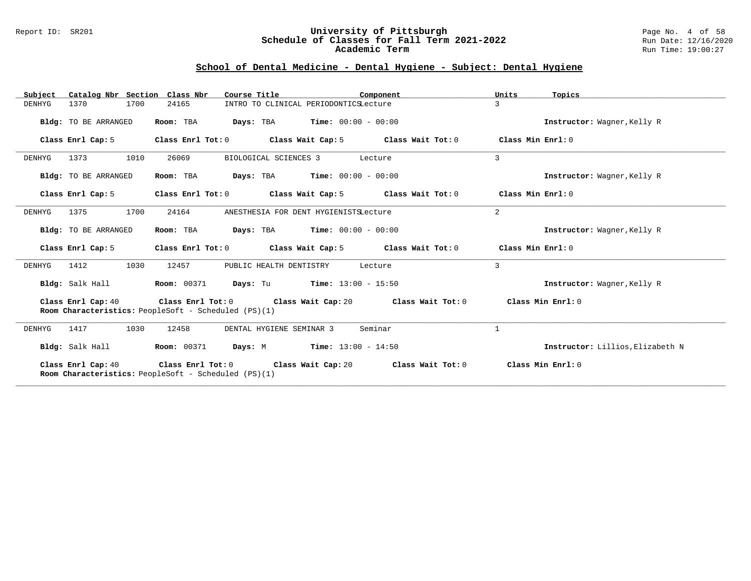#### Report ID: SR201 **University of Pittsburgh** Page No. 4 of 58 **Schedule of Classes for Fall Term 2021-2022** Run Date: 12/16/2020 **Academic Term** Run Time: 19:00:27

## **School of Dental Medicine - Dental Hygiene - Subject: Dental Hygiene**

| Catalog Nbr Section Class Nbr<br>Subject | Course Title                                                              | Component                                     | Units<br>Topics                  |
|------------------------------------------|---------------------------------------------------------------------------|-----------------------------------------------|----------------------------------|
| 1370<br>1700<br>DENHYG                   | 24165<br>INTRO TO CLINICAL PERIODONTICSLecture                            |                                               | 3                                |
| Bldg: TO BE ARRANGED                     | Room: TBA<br>Days: TBA                                                    | $Time: 00:00 - 00:00$                         | Instructor: Wagner, Kelly R      |
| Class Enrl Cap: 5                        | Class Enrl Tot: 0<br>Class Wait Cap: 5                                    | Class Wait Tot: 0                             | Class Min Enrl: 0                |
| 1373<br>1010<br>DENHYG                   | 26069<br>BIOLOGICAL SCIENCES 3                                            | Lecture                                       | 3                                |
| Bldg: TO BE ARRANGED                     | Room: TBA<br>Days: TBA                                                    | $Time: 00:00 - 00:00$                         | Instructor: Wagner, Kelly R      |
| Class Enrl Cap: 5                        | Class Enrl Tot: 0<br>Class Wait Cap: 5                                    | Class Wait Tot: 0                             | Class Min $Err1:0$               |
| 1700<br>1375<br>DENHYG                   | 24164<br>ANESTHESIA FOR DENT HYGIENISTSLecture                            |                                               | 2                                |
| Bldg: TO BE ARRANGED                     | Room: TBA                                                                 | <b>Days:</b> TBA <b>Time:</b> $00:00 - 00:00$ | Instructor: Wagner, Kelly R      |
| Class Enrl Cap: 5                        | Class Enrl Tot: 0<br>Class Wait Cap: 5                                    | Class Wait Tot: 0                             | Class Min Enrl: 0                |
| 1030<br>DENHYG<br>1412                   | 12457<br>PUBLIC HEALTH DENTISTRY                                          | Lecture                                       | 3                                |
| Bldg: Salk Hall                          | <b>Room: 00371</b><br>Days: Tu                                            | $Time: 13:00 - 15:50$                         | Instructor: Wagner, Kelly R      |
| Class Enrl Cap: 40                       | Class Enrl Tot: 0<br>Room Characteristics: PeopleSoft - Scheduled (PS)(1) | Class Wait Tot: 0<br>Class Wait Cap: 20       | Class Min Enrl: 0                |
| 1417<br>1030<br>DENHYG                   | 12458<br>DENTAL HYGIENE SEMINAR 3                                         | Seminar                                       | 1                                |
| Bldg: Salk Hall                          | Room: 00371<br>Days: M                                                    | $Time: 13:00 - 14:50$                         | Instructor: Lillios, Elizabeth N |
| Class Enrl Cap: 40                       | Class Enrl Tot: 0<br>Room Characteristics: PeopleSoft - Scheduled (PS)(1) | Class Wait Cap: 20<br>Class Wait Tot: 0       | Class Min Enrl: 0                |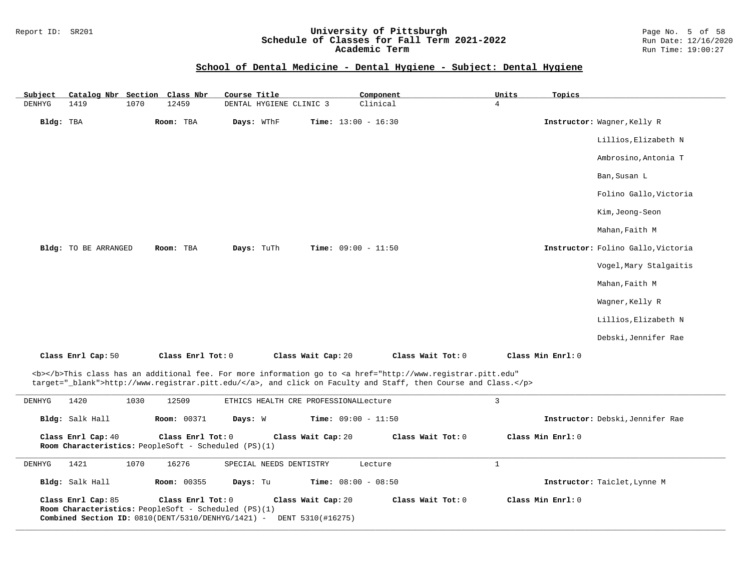# Report ID: SR201 **University of Pittsburgh University of Pittsburgh** Page No. 5 of 58<br>**Schedule of Classes for Fall Term 2021-2022** Run Date: 12/16/2020 Schedule of Classes for Fall Term 2021-2022<br>Academic Term

**Academic Term** Run Time: 19:00:27

#### **School of Dental Medicine - Dental Hygiene - Subject: Dental Hygiene**

| Subject   | Catalog Nbr Section Class Nbr |      |                   | Course Title            |                              | Component         | Units             | Topics |                                    |
|-----------|-------------------------------|------|-------------------|-------------------------|------------------------------|-------------------|-------------------|--------|------------------------------------|
| DENHYG    | 1419                          | 1070 | 12459             | DENTAL HYGIENE CLINIC 3 |                              | Clinical          | $\overline{4}$    |        |                                    |
| Bldg: TBA |                               |      | Room: TBA         | Days: WThF              | <b>Time:</b> $13:00 - 16:30$ |                   |                   |        | Instructor: Wagner, Kelly R        |
|           |                               |      |                   |                         |                              |                   |                   |        | Lillios, Elizabeth N               |
|           |                               |      |                   |                         |                              |                   |                   |        | Ambrosino, Antonia T               |
|           |                               |      |                   |                         |                              |                   |                   |        | Ban, Susan L                       |
|           |                               |      |                   |                         |                              |                   |                   |        | Folino Gallo, Victoria             |
|           |                               |      |                   |                         |                              |                   |                   |        | Kim,Jeong-Seon                     |
|           |                               |      |                   |                         |                              |                   |                   |        | Mahan, Faith M                     |
|           | Bldg: TO BE ARRANGED          |      | Room: TBA         | Days: TuTh              | Time: $09:00 - 11:50$        |                   |                   |        | Instructor: Folino Gallo, Victoria |
|           |                               |      |                   |                         |                              |                   |                   |        | Vogel, Mary Stalgaitis             |
|           |                               |      |                   |                         |                              |                   |                   |        | Mahan, Faith M                     |
|           |                               |      |                   |                         |                              |                   |                   |        | Wagner, Kelly R                    |
|           |                               |      |                   |                         |                              |                   |                   |        | Lillios, Elizabeth N               |
|           |                               |      |                   |                         |                              |                   |                   |        | Debski, Jennifer Rae               |
|           | Class Enrl Cap: 50            |      | Class Enrl Tot: 0 |                         | Class Wait Cap: 20           | Class Wait Tot: 0 | Class Min Enrl: 0 |        |                                    |

<b></b>This class has an additional fee. For more information go to <a href="http://www.registrar.pitt.edu" target="\_blank">http://www.registrar.pitt.edu/</a>, and click on Faculty and Staff, then Course and Class.</p>

| DENHYG | 1420               | 1030 | 12509                                                                                                                                     |                         | ETHICS HEALTH CRE PROFESSIONALLecture   |                     |                                  |
|--------|--------------------|------|-------------------------------------------------------------------------------------------------------------------------------------------|-------------------------|-----------------------------------------|---------------------|----------------------------------|
|        | Bldg: Salk Hall    |      | <b>Room: 00371</b>                                                                                                                        | Days: W                 | <b>Time:</b> $09:00 - 11:50$            |                     | Instructor: Debski, Jennifer Rae |
|        | Class Enrl Cap: 40 |      | Class $Enr1 Tot: 0$<br><b>Room Characteristics:</b> PeopleSoft - Scheduled (PS)(1)                                                        |                         | Class Wait Cap: 20                      | Class Wait Tot: 0   | Class Min Enrl: 0                |
| DENHYG | 1421               | 1070 | 16276                                                                                                                                     | SPECIAL NEEDS DENTISTRY |                                         | Lecture             |                                  |
|        | Bldg: Salk Hall    |      | <b>Room: 00355</b>                                                                                                                        | Days: Tu                | <b>Time:</b> $08:00 - 08:50$            |                     | Instructor: Taiclet, Lynne M     |
|        | Class Enrl Cap: 85 |      | Class Enrl Tot: 0<br><b>Room Characteristics:</b> PeopleSoft - Scheduled (PS)(1)<br>Combined Section ID: $0810$ (DENT/5310/DENHYG/1421) - |                         | Class Wait Cap: 20<br>DENT 5310(#16275) | Class Wait Tot: $0$ | Class Min $Enrl: 0$              |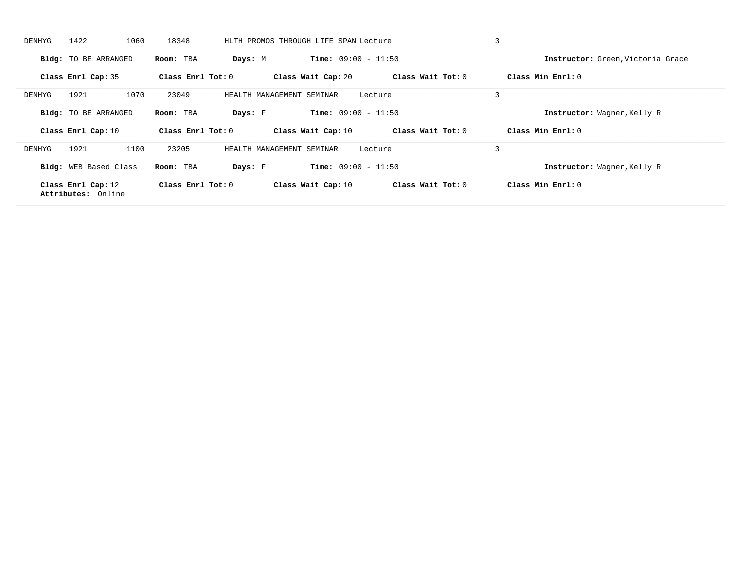| DENHYG | 1422<br>1060                | 18348                 |                           | HLTH PROMOS THROUGH LIFE SPAN Lecture |                   | $\overline{3}$                    |
|--------|-----------------------------|-----------------------|---------------------------|---------------------------------------|-------------------|-----------------------------------|
|        | Bldg: TO BE ARRANGED        | Room: TBA             | Days: M                   | <b>Time:</b> $09:00 - 11:50$          |                   | Instructor: Green, Victoria Grace |
|        | Class Enrl Cap: 35          | Class Enrl Tot: 0     |                           | Class Wait Cap: 20                    | Class Wait Tot: 0 | Class Min Enrl: 0                 |
| DENHYG | 1921<br>1070                | 23049                 | HEALTH MANAGEMENT SEMINAR |                                       | Lecture           | $\overline{3}$                    |
|        | <b>Bldg:</b> TO BE ARRANGED | Room: TBA             | Days: F                   | <b>Time:</b> $09:00 - 11:50$          |                   | Instructor: Wagner, Kelly R       |
|        |                             |                       |                           |                                       |                   |                                   |
|        | Class Enrl Cap: 10          | Class $Enr1$ Tot: $0$ |                           | Class Wait Cap: 10                    | Class Wait Tot: 0 | Class Min Enrl: $0$               |
| DENHYG | 1921<br>1100                | 23205                 | HEALTH MANAGEMENT SEMINAR |                                       | Lecture           | 3                                 |
|        | Bldg: WEB Based Class       | Room: TBA             | Days: F                   | <b>Time:</b> $09:00 - 11:50$          |                   | Instructor: Wagner, Kelly R       |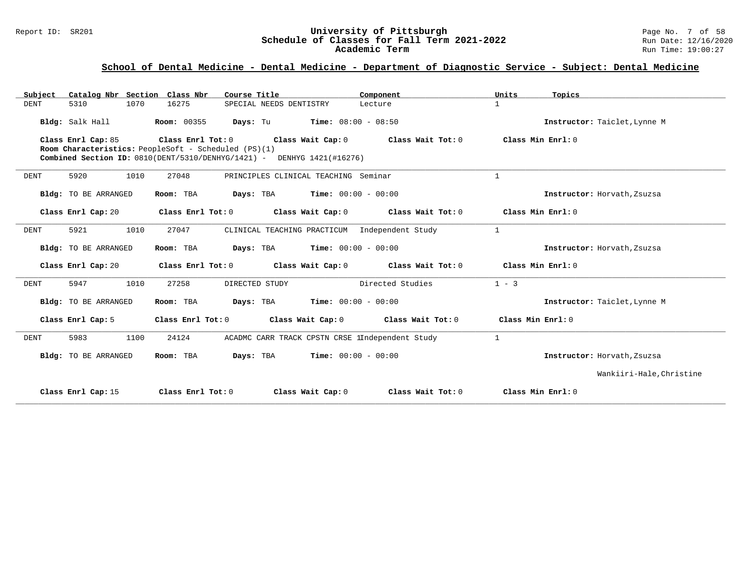| Catalog Nbr Section Class Nbr<br>Subject | Course Title                                                                                                                                        | Component                                             | Units<br>Topics              |
|------------------------------------------|-----------------------------------------------------------------------------------------------------------------------------------------------------|-------------------------------------------------------|------------------------------|
| <b>DENT</b><br>5310<br>1070              | 16275<br>SPECIAL NEEDS DENTISTRY                                                                                                                    | Lecture                                               | $\mathbf{1}$                 |
| Bldg: Salk Hall                          | Room: 00355<br>Days: Tu                                                                                                                             | $Time: 08:00 - 08:50$                                 | Instructor: Taiclet, Lynne M |
| Class Enrl Cap: 85                       | Class Enrl Tot: 0<br>Room Characteristics: PeopleSoft - Scheduled (PS)(1)<br>Combined Section ID: 0810(DENT/5310/DENHYG/1421) - DENHYG 1421(#16276) | Class Wait Cap: 0<br>Class Wait Tot: 0                | Class Min Enrl: 0            |
| 5920<br>1010<br><b>DENT</b>              | 27048                                                                                                                                               | PRINCIPLES CLINICAL TEACHING Seminar                  | $\mathbf{1}$                 |
| Bldg: TO BE ARRANGED                     | Room: TBA                                                                                                                                           | <b>Days:</b> TBA <b>Time:</b> $00:00 - 00:00$         | Instructor: Horvath, Zsuzsa  |
| Class Enrl Cap: 20                       | Class Enrl Tot: 0                                                                                                                                   | Class Wait Cap: 0<br>Class Wait Tot: 0                | Class Min $Err1:0$           |
| 5921<br>1010<br><b>DENT</b>              | 27047                                                                                                                                               | CLINICAL TEACHING PRACTICUM Independent Study         | $\mathbf{1}$                 |
| Bldg: TO BE ARRANGED                     | Room: TBA                                                                                                                                           | <b>Days:</b> TBA <b>Time:</b> $00:00 - 00:00$         | Instructor: Horvath, Zsuzsa  |
| Class Enrl Cap: 20                       |                                                                                                                                                     | Class Enrl Tot: 0 Class Wait Cap: 0 Class Wait Tot: 0 | Class Min Enrl: 0            |
| 5947<br>1010<br><b>DENT</b>              | 27258<br>DIRECTED STUDY                                                                                                                             | Directed Studies                                      | $1 - 3$                      |
| Bldg: TO BE ARRANGED                     | Room: TBA                                                                                                                                           | <b>Days:</b> TBA <b>Time:</b> $00:00 - 00:00$         | Instructor: Taiclet, Lynne M |
| Class Enrl Cap: 5                        | Class Enrl Tot: 0<br>Class Wait Cap: 0                                                                                                              | Class Wait Tot: 0                                     | Class Min Enrl: 0            |
| 5983<br>1100<br><b>DENT</b>              | 24124                                                                                                                                               | ACADMC CARR TRACK CPSTN CRSE lIndependent Study       | $\mathbf{1}$                 |
| Bldg: TO BE ARRANGED                     | Room: TBA                                                                                                                                           | <b>Days:</b> TBA <b>Time:</b> $00:00 - 00:00$         | Instructor: Horvath, Zsuzsa  |
|                                          |                                                                                                                                                     |                                                       | Wankiiri-Hale, Christine     |
| Class Enrl Cap: 15                       | Class Enrl Tot: 0                                                                                                                                   | Class Wait Cap: 0<br>Class Wait Tot: 0                | Class Min $Err1:0$           |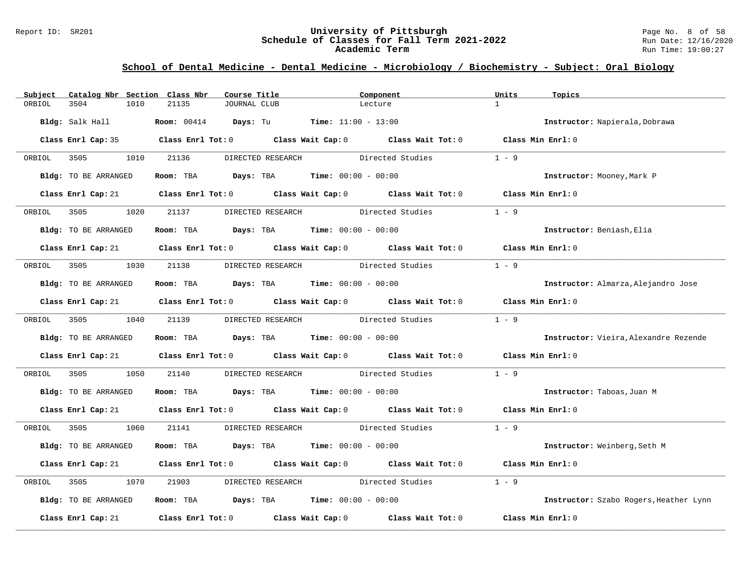#### Report ID: SR201 **University of Pittsburgh University of Pittsburgh** Page No. 8 of 58<br>**Schedule of Classes for Fall Term 2021-2022** Run Date: 12/16/2020 **Schedule of Classes for Fall Term 2021-2022** Run Date: 12/16/2020 **Academic Term** Run Time: 19:00:27

| Subject | Catalog Nbr Section Class Nbr | Course Title                                                                                        | Component                                      |                  | Units<br>Topics                              |
|---------|-------------------------------|-----------------------------------------------------------------------------------------------------|------------------------------------------------|------------------|----------------------------------------------|
| ORBIOL  | 3504<br>1010                  | 21135<br>JOURNAL CLUB                                                                               | Lecture                                        |                  | $\mathbf{1}$                                 |
|         | <b>Bldg:</b> Salk Hall        | <b>Room:</b> $00414$ <b>Days:</b> Tu <b>Time:</b> $11:00 - 13:00$                                   |                                                |                  | Instructor: Napierala, Dobrawa               |
|         |                               | Class Enrl Cap: 35 Class Enrl Tot: 0 Class Wait Cap: 0 Class Wait Tot: 0 Class Min Enrl: 0          |                                                |                  |                                              |
|         | ORBIOL 3505                   | 1010 21136                                                                                          | DIRECTED RESEARCH Directed Studies             |                  | $1 - 9$                                      |
|         | Bldg: TO BE ARRANGED          | Room: TBA $Days:$ TBA $Time: 00:00 - 00:00$                                                         |                                                |                  | Instructor: Mooney, Mark P                   |
|         |                               | Class Enrl Cap: 21 Class Enrl Tot: 0 Class Wait Cap: 0 Class Wait Tot: 0 Class Min Enrl: 0          |                                                |                  |                                              |
| ORBIOL  | 3505<br>1020                  | 21137                                                                                               | DIRECTED RESEARCH                              | Directed Studies | $1 - 9$                                      |
|         | Bldg: TO BE ARRANGED          | Room: TBA $Days:$ TBA $Time: 00:00 - 00:00$                                                         |                                                |                  | Instructor: Beniash, Elia                    |
|         |                               | Class Enrl Cap: 21 Class Enrl Tot: 0 Class Wait Cap: 0 Class Wait Tot: 0 Class Min Enrl: 0          |                                                |                  |                                              |
|         | ORBIOL 3505 1030 21138        |                                                                                                     | DIRECTED RESEARCH Directed Studies             |                  | $1 - 9$                                      |
|         | Bldg: TO BE ARRANGED          | Room: TBA $Days: TBA$ Time: $00:00 - 00:00$                                                         |                                                |                  | Instructor: Almarza, Alejandro Jose          |
|         |                               | Class Enrl Cap: 21 Class Enrl Tot: 0 Class Wait Cap: 0 Class Wait Tot: 0 Class Min Enrl: 0          |                                                |                  |                                              |
|         | ORBIOL 3505 1040 21139        |                                                                                                     | DIRECTED RESEARCH Directed Studies             |                  | $1 - 9$                                      |
|         | Bldg: TO BE ARRANGED          | Room: TBA $Days: TBA$ Time: $00:00 - 00:00$                                                         |                                                |                  | <b>Instructor:</b> Vieira, Alexandre Rezende |
|         |                               | Class Enrl Cap: 21 Class Enrl Tot: 0 Class Wait Cap: 0 Class Wait Tot: 0 Class Min Enrl: 0          |                                                |                  |                                              |
| ORBIOL  | 3505<br>1050                  | 21140                                                                                               | DIRECTED RESEARCH Directed Studies             |                  | $1 - 9$                                      |
|         | Bldg: TO BE ARRANGED          | Room: TBA $Days:$ TBA $Time: 00:00 - 00:00$                                                         |                                                |                  | Instructor: Taboas, Juan M                   |
|         |                               | Class Enrl Cap: 21 Class Enrl Tot: 0 Class Wait Cap: 0 Class Wait Tot: 0 Class Min Enrl: 0          |                                                |                  |                                              |
|         | ORBIOL 3505<br>1060           |                                                                                                     | 21141 DIRECTED RESEARCH Directed Studies 1 - 9 |                  |                                              |
|         | Bldg: TO BE ARRANGED          | Room: TBA $Days:$ TBA $Time: 00:00 - 00:00$                                                         |                                                |                  | Instructor: Weinberg, Seth M                 |
|         |                               | Class Enrl Cap: 21 (Class Enrl Tot: 0 (Class Wait Cap: 0 (Class Wait Tot: 0 (Class Min Enrl: 0      |                                                |                  |                                              |
| ORBIOL  | 3505<br>1070                  | 21903                                                                                               | DIRECTED RESEARCH Directed Studies             |                  | $1 - 9$                                      |
|         | Bldg: TO BE ARRANGED          | Room: TBA $\rule{1em}{0.15mm}$ Days: TBA $\rule{1.5mm}{0.15mm}$ Time: $00:00 - 00:00$               |                                                |                  | Instructor: Szabo Rogers, Heather Lynn       |
|         |                               | Class Enrl Cap: 21 $\qquad$ Class Enrl Tot: 0 $\qquad$ Class Wait Cap: 0 $\qquad$ Class Wait Tot: 0 |                                                |                  | Class Min Enrl: 0                            |
|         |                               |                                                                                                     |                                                |                  |                                              |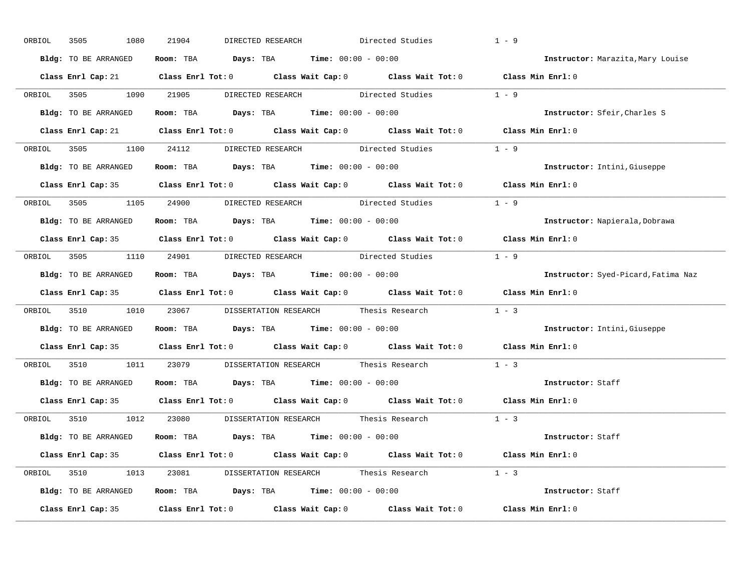| ORBIOL | 3505<br>1080         | 21904<br>DIRECTED RESEARCH                                                                 | Directed Studies | $1 - 9$                             |
|--------|----------------------|--------------------------------------------------------------------------------------------|------------------|-------------------------------------|
|        | Bldg: TO BE ARRANGED | Room: TBA $Days:$ TBA $Time: 00:00 - 00:00$                                                |                  | Instructor: Marazita, Mary Louise   |
|        |                      | Class Enrl Cap: 21 Class Enrl Tot: 0 Class Wait Cap: 0 Class Wait Tot: 0 Class Min Enrl: 0 |                  |                                     |
|        |                      | ORBIOL 3505 1090 21905 DIRECTED RESEARCH Directed Studies 1 - 9                            |                  |                                     |
|        | Bldg: TO BE ARRANGED | Room: TBA $Days:$ TBA Time: $00:00 - 00:00$                                                |                  | Instructor: Sfeir, Charles S        |
|        |                      | Class Enrl Cap: 21 Class Enrl Tot: 0 Class Wait Cap: 0 Class Wait Tot: 0 Class Min Enrl: 0 |                  |                                     |
|        |                      | ORBIOL 3505 1100 24112 DIRECTED RESEARCH Directed Studies 1 - 9                            |                  |                                     |
|        |                      | Bldg: TO BE ARRANGED Room: TBA Days: TBA Time: 00:00 - 00:00                               |                  | Instructor: Intini, Giuseppe        |
|        |                      | Class Enrl Cap: 35 Class Enrl Tot: 0 Class Wait Cap: 0 Class Wait Tot: 0 Class Min Enrl: 0 |                  |                                     |
|        |                      | ORBIOL 3505 1105 24900 DIRECTED RESEARCH Directed Studies 1 - 9                            |                  |                                     |
|        | Bldg: TO BE ARRANGED | Room: TBA $\rule{1em}{0.15mm}$ Days: TBA $\rule{1.5mm}{0.15mm}$ Time: $00:00 - 00:00$      |                  | Instructor: Napierala, Dobrawa      |
|        |                      | Class Enrl Cap: 35 Class Enrl Tot: 0 Class Wait Cap: 0 Class Wait Tot: 0 Class Min Enrl: 0 |                  |                                     |
|        |                      | ORBIOL 3505 1110 24901 DIRECTED RESEARCH Directed Studies 1 - 9                            |                  |                                     |
|        | Bldg: TO BE ARRANGED | Room: TBA $\rule{1em}{0.15mm}$ Days: TBA $\rule{1.5mm}{0.15mm}$ Time: $00:00 - 00:00$      |                  | Instructor: Syed-Picard, Fatima Naz |
|        |                      | Class Enrl Cap: 35 Class Enrl Tot: 0 Class Wait Cap: 0 Class Wait Tot: 0 Class Min Enrl: 0 |                  |                                     |
|        |                      | ORBIOL 3510 1010 23067 DISSERTATION RESEARCH Thesis Research 1 - 3                         |                  |                                     |
|        |                      | Bldg: TO BE ARRANGED ROOM: TBA Days: TBA Time: 00:00 - 00:00                               |                  | Instructor: Intini, Giuseppe        |
|        |                      | Class Enrl Cap: 35 Class Enrl Tot: 0 Class Wait Cap: 0 Class Wait Tot: 0 Class Min Enrl: 0 |                  |                                     |
|        |                      | ORBIOL 3510 1011 23079 DISSERTATION RESEARCH Thesis Research                               |                  | $1 - 3$                             |
|        | Bldg: TO BE ARRANGED | Room: TBA $\rule{1em}{0.15mm}$ Days: TBA $\rule{1.5mm}{0.15mm}$ Time: $00:00 - 00:00$      |                  | Instructor: Staff                   |
|        |                      | Class Enrl Cap: 35 Class Enrl Tot: 0 Class Wait Cap: 0 Class Wait Tot: 0 Class Min Enrl: 0 |                  |                                     |
|        |                      | ORBIOL 3510 1012 23080 DISSERTATION RESEARCH Thesis Research 1 - 3                         |                  |                                     |
|        |                      | Bldg: TO BE ARRANGED Room: TBA Days: TBA Time: 00:00 - 00:00                               |                  | Instructor: Staff                   |
|        |                      | Class Enrl Cap: 35 Class Enrl Tot: 0 Class Wait Cap: 0 Class Wait Tot: 0 Class Min Enrl: 0 |                  |                                     |
|        |                      | ORBIOL 3510 1013 23081 DISSERTATION RESEARCH Thesis Research 1 - 3                         |                  |                                     |
|        |                      | Bldg: TO BE ARRANGED Room: TBA Days: TBA Time: 00:00 - 00:00                               |                  | Instructor: Staff                   |
|        |                      |                                                                                            |                  |                                     |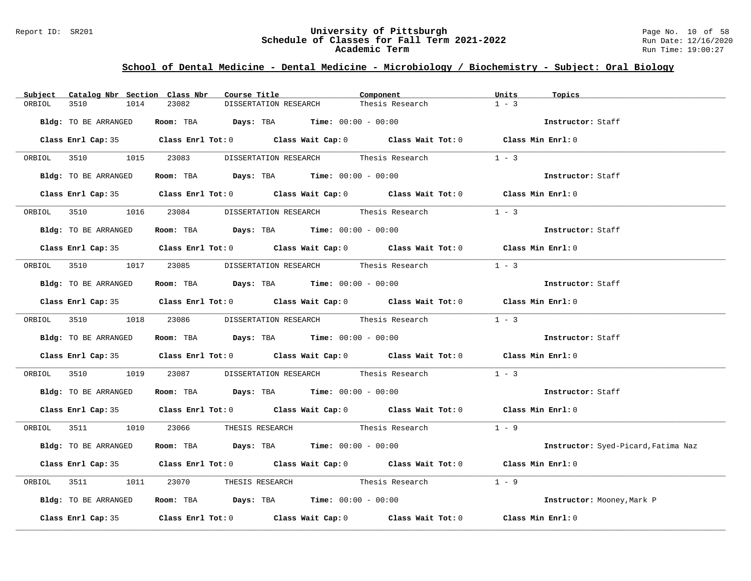#### Report ID: SR201 **University of Pittsburgh University of Pittsburgh** Page No. 10 of 58<br>**Schedule of Classes for Fall Term 2021-2022** Run Date: 12/16/2020 **Schedule of Classes for Fall Term 2021-2022** Run Date: 12/16/2020 **Academic Term** Run Time: 19:00:27

| Subject | Catalog Nbr Section Class Nbr | Course Title                                                                          | Component                                                                                  | Units<br>Topics                     |
|---------|-------------------------------|---------------------------------------------------------------------------------------|--------------------------------------------------------------------------------------------|-------------------------------------|
| ORBIOL  | 3510<br>1014                  | 23082<br>DISSERTATION RESEARCH                                                        | Thesis Research                                                                            | $1 - 3$                             |
|         | Bldg: TO BE ARRANGED          | Room: TBA $Days:$ TBA $Time: 00:00 - 00:00$                                           |                                                                                            | Instructor: Staff                   |
|         |                               |                                                                                       | Class Enrl Cap: 35 Class Enrl Tot: 0 Class Wait Cap: 0 Class Wait Tot: 0 Class Min Enrl: 0 |                                     |
|         |                               | ORBIOL 3510 1015 23083 DISSERTATION RESEARCH Thesis Research                          |                                                                                            | $1 - 3$                             |
|         | Bldg: TO BE ARRANGED          | Room: TBA $Days:$ TBA $Time: 00:00 - 00:00$                                           |                                                                                            | Instructor: Staff                   |
|         |                               |                                                                                       | Class Enrl Cap: 35 Class Enrl Tot: 0 Class Wait Cap: 0 Class Wait Tot: 0 Class Min Enrl: 0 |                                     |
|         |                               | ORBIOL 3510 1016 23084 DISSERTATION RESEARCH Thesis Research                          |                                                                                            | $1 - 3$                             |
|         | Bldg: TO BE ARRANGED          | Room: TBA $Days:$ TBA Time: $00:00 - 00:00$                                           |                                                                                            | Instructor: Staff                   |
|         |                               |                                                                                       | Class Enrl Cap: 35 Class Enrl Tot: 0 Class Wait Cap: 0 Class Wait Tot: 0 Class Min Enrl: 0 |                                     |
|         |                               |                                                                                       | ORBIOL 3510 1017 23085 DISSERTATION RESEARCH Thesis Research 1 - 3                         |                                     |
|         |                               | Bldg: TO BE ARRANGED ROOM: TBA Days: TBA Time: 00:00 - 00:00                          |                                                                                            | Instructor: Staff                   |
|         |                               |                                                                                       | Class Enrl Cap: 35 Class Enrl Tot: 0 Class Wait Cap: 0 Class Wait Tot: 0 Class Min Enrl: 0 |                                     |
|         |                               |                                                                                       | ORBIOL 3510 1018 23086 DISSERTATION RESEARCH Thesis Research 1 - 3                         |                                     |
|         | Bldg: TO BE ARRANGED          | Room: TBA $\rule{1em}{0.15mm}$ Days: TBA $\rule{1.5mm}{0.15mm}$ Time: $00:00 - 00:00$ |                                                                                            | Instructor: Staff                   |
|         |                               |                                                                                       | Class Enrl Cap: 35 Class Enrl Tot: 0 Class Wait Cap: 0 Class Wait Tot: 0 Class Min Enrl: 0 |                                     |
|         |                               |                                                                                       | ORBIOL 3510 1019 23087 DISSERTATION RESEARCH Thesis Research 1 - 3                         |                                     |
|         |                               | Bldg: TO BE ARRANGED Room: TBA Days: TBA Time: 00:00 - 00:00                          |                                                                                            | Instructor: Staff                   |
|         |                               |                                                                                       | Class Enrl Cap: 35 Class Enrl Tot: 0 Class Wait Cap: 0 Class Wait Tot: 0 Class Min Enrl: 0 |                                     |
|         |                               |                                                                                       | ORBIOL 3511 1010 23066 THESIS RESEARCH Thesis Research 1 - 9                               |                                     |
|         | Bldg: TO BE ARRANGED          | Room: TBA $Days:$ TBA $Time: 00:00 - 00:00$                                           |                                                                                            | Instructor: Syed-Picard, Fatima Naz |
|         |                               |                                                                                       | Class Enrl Cap: 35 Class Enrl Tot: 0 Class Wait Cap: 0 Class Wait Tot: 0 Class Min Enrl: 0 |                                     |
|         |                               |                                                                                       | ORBIOL 3511 1011 23070 THESIS RESEARCH Thesis Research 1 - 9                               |                                     |
|         | Bldg: TO BE ARRANGED          | Room: TBA $Days:$ TBA Time: $00:00 - 00:00$                                           |                                                                                            | Instructor: Mooney, Mark P          |
|         |                               |                                                                                       | Class Enrl Cap: 35 Class Enrl Tot: 0 Class Wait Cap: 0 Class Wait Tot: 0 Class Min Enrl: 0 |                                     |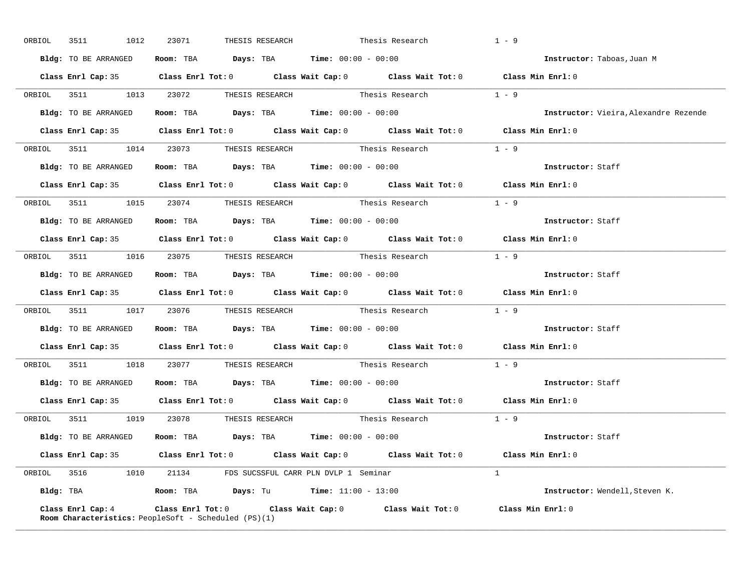| ORBIOL 3511 1012     | 23071                                                                                          | THESIS RESEARCH Thesis Research                                                            | $1 - 9$                               |
|----------------------|------------------------------------------------------------------------------------------------|--------------------------------------------------------------------------------------------|---------------------------------------|
| Bldg: TO BE ARRANGED | Room: TBA $Days:$ TBA $Time: 00:00 - 00:00$                                                    |                                                                                            | Instructor: Taboas, Juan M            |
|                      |                                                                                                | Class Enrl Cap: 35 Class Enrl Tot: 0 Class Wait Cap: 0 Class Wait Tot: 0 Class Min Enrl: 0 |                                       |
|                      |                                                                                                | ORBIOL 3511 1013 23072 THESIS RESEARCH Thesis Research 1 - 9                               |                                       |
| Bldg: TO BE ARRANGED | Room: TBA $Days:$ TBA $Time: 00:00 - 00:00$                                                    |                                                                                            | Instructor: Vieira, Alexandre Rezende |
|                      |                                                                                                | Class Enrl Cap: 35 Class Enrl Tot: 0 Class Wait Cap: 0 Class Wait Tot: 0 Class Min Enrl: 0 |                                       |
|                      |                                                                                                | ORBIOL 3511 1014 23073 THESIS RESEARCH Thesis Research 1 - 9                               |                                       |
|                      | Bldg: TO BE ARRANGED ROOM: TBA Days: TBA Time: 00:00 - 00:00                                   |                                                                                            | Instructor: Staff                     |
|                      |                                                                                                | Class Enrl Cap: 35 Class Enrl Tot: 0 Class Wait Cap: 0 Class Wait Tot: 0 Class Min Enrl: 0 |                                       |
|                      |                                                                                                | ORBIOL 3511 1015 23074 THESIS RESEARCH Thesis Research 1 - 9                               |                                       |
| Bldg: TO BE ARRANGED | Room: TBA $Days:$ TBA $Time: 00:00 - 00:00$                                                    |                                                                                            | Instructor: Staff                     |
|                      |                                                                                                | Class Enrl Cap: 35 Class Enrl Tot: 0 Class Wait Cap: 0 Class Wait Tot: 0 Class Min Enrl: 0 |                                       |
|                      |                                                                                                | ORBIOL 3511 1016 23075 THESIS RESEARCH Thesis Research 1 - 9                               |                                       |
|                      | Bldg: TO BE ARRANGED Room: TBA Days: TBA Time: 00:00 - 00:00                                   |                                                                                            | Instructor: Staff                     |
|                      |                                                                                                | Class Enrl Cap: 35 Class Enrl Tot: 0 Class Wait Cap: 0 Class Wait Tot: 0 Class Min Enrl: 0 |                                       |
|                      |                                                                                                | ORBIOL 3511 1017 23076 THESIS RESEARCH Thesis Research 1 - 9                               |                                       |
|                      | Bldg: TO BE ARRANGED Room: TBA Days: TBA Time: 00:00 - 00:00                                   |                                                                                            | Instructor: Staff                     |
|                      |                                                                                                | Class Enrl Cap: 35 Class Enrl Tot: 0 Class Wait Cap: 0 Class Wait Tot: 0 Class Min Enrl: 0 |                                       |
|                      |                                                                                                | ORBIOL 3511 1018 23077 THESIS RESEARCH Thesis Research                                     | $1 - 9$                               |
|                      | Bldg: TO BE ARRANGED Room: TBA Days: TBA Time: 00:00 - 00:00                                   |                                                                                            | Instructor: Staff                     |
|                      |                                                                                                | Class Enrl Cap: 35 Class Enrl Tot: 0 Class Wait Cap: 0 Class Wait Tot: 0                   | Class Min Enrl: 0                     |
|                      | ORBIOL 3511 1019 23078 THESIS RESEARCH                                                         | Thesis Research                                                                            | $1 - 9$                               |
|                      | Bldg: TO BE ARRANGED Room: TBA Days: TBA Time: 00:00 - 00:00                                   |                                                                                            | Instructor: Staff                     |
|                      |                                                                                                | Class Enrl Cap: 35 Class Enrl Tot: 0 Class Wait Cap: 0 Class Wait Tot: 0 Class Min Enrl: 0 |                                       |
|                      |                                                                                                |                                                                                            |                                       |
|                      | ORBIOL 3516 1010 21134 FDS SUCSSFUL CARR PLN DVLP 1 Seminar                                    |                                                                                            | $\overline{1}$                        |
|                      | Bldg: TBA                        Room: TBA            Days: Tu             Time: 11:00 - 13:00 |                                                                                            | Instructor: Wendell, Steven K.        |

**\_\_\_\_\_\_\_\_\_\_\_\_\_\_\_\_\_\_\_\_\_\_\_\_\_\_\_\_\_\_\_\_\_\_\_\_\_\_\_\_\_\_\_\_\_\_\_\_\_\_\_\_\_\_\_\_\_\_\_\_\_\_\_\_\_\_\_\_\_\_\_\_\_\_\_\_\_\_\_\_\_\_\_\_\_\_\_\_\_\_\_\_\_\_\_\_\_\_\_\_\_\_\_\_\_\_\_\_\_\_\_\_\_\_\_\_\_\_\_\_\_\_\_\_\_\_\_\_\_\_\_\_\_\_\_\_\_\_\_\_\_\_\_\_\_\_\_\_\_\_\_\_\_\_\_\_**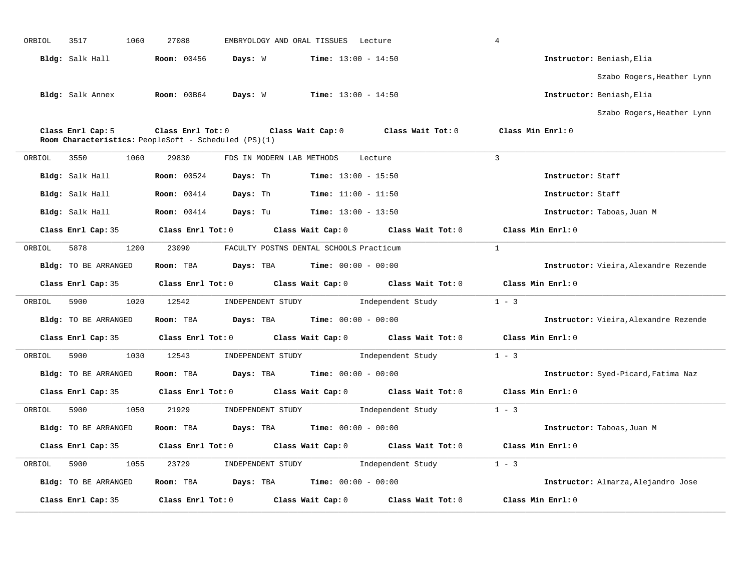|        | 3517                    | 1060<br>27088      | EMBRYOLOGY AND ORAL TISSUES Lecture                  |                                              |                                                                                            | 4                                     |
|--------|-------------------------|--------------------|------------------------------------------------------|----------------------------------------------|--------------------------------------------------------------------------------------------|---------------------------------------|
|        | Bldg: Salk Hall         | Room: 00456        | Days: W                                              | $Time: 13:00 - 14:50$                        |                                                                                            | Instructor: Beniash, Elia             |
|        |                         |                    |                                                      |                                              |                                                                                            | Szabo Rogers, Heather Lynn            |
|        | <b>Bldg:</b> Salk Annex | Room: 00B64        | Days: W                                              | $Time: 13:00 - 14:50$                        |                                                                                            | Instructor: Beniash, Elia             |
|        |                         |                    |                                                      |                                              |                                                                                            | Szabo Rogers, Heather Lynn            |
|        | Class Enrl Cap: 5       |                    | Room Characteristics: PeopleSoft - Scheduled (PS)(1) |                                              | Class Enrl Tot: 0 Class Wait Cap: 0 Class Wait Tot: 0                                      | Class Min Enrl: 0                     |
| ORBIOL | 3550<br>1060            | 29830              | FDS IN MODERN LAB METHODS                            |                                              | Lecture                                                                                    | 3                                     |
|        | Bldg: Salk Hall         | <b>Room:</b> 00524 | Days: Th                                             | <b>Time:</b> $13:00 - 15:50$                 |                                                                                            | Instructor: Staff                     |
|        | Bldg: Salk Hall         | <b>Room:</b> 00414 | Days: Th                                             | $Time: 11:00 - 11:50$                        |                                                                                            | Instructor: Staff                     |
|        | Bldg: Salk Hall         | <b>Room:</b> 00414 |                                                      | <b>Days:</b> Tu <b>Time:</b> $13:00 - 13:50$ |                                                                                            | Instructor: Taboas, Juan M            |
|        |                         |                    |                                                      |                                              | Class Enrl Cap: 35 Class Enrl Tot: 0 Class Wait Cap: 0 Class Wait Tot: 0                   | Class Min Enrl: 0                     |
| ORBIOL | 5878 38                 | 1200<br>23090      | FACULTY POSTNS DENTAL SCHOOLS Practicum              |                                              |                                                                                            | $\overline{1}$                        |
|        | Bldg: TO BE ARRANGED    | Room: TBA          | <b>Days:</b> TBA <b>Time:</b> $00:00 - 00:00$        |                                              |                                                                                            | Instructor: Vieira, Alexandre Rezende |
|        |                         |                    |                                                      |                                              | Class Enrl Cap: 35 Class Enrl Tot: 0 Class Wait Cap: 0 Class Wait Tot: 0 Class Min Enrl: 0 |                                       |
| ORBIOL | 5900                    |                    |                                                      |                                              |                                                                                            | $1 - 3$                               |
|        |                         | 1020<br>12542      |                                                      |                                              | INDEPENDENT STUDY 1ndependent Study                                                        |                                       |
|        | Bldg: TO BE ARRANGED    | Room: TBA          | $\texttt{Davis:}$ TBA $\texttt{Time:}$ 00:00 - 00:00 |                                              |                                                                                            | Instructor: Vieira, Alexandre Rezende |
|        | Class Enrl Cap: 35      |                    |                                                      |                                              | Class Enrl Tot: $0$ Class Wait Cap: $0$ Class Wait Tot: $0$                                | Class Min Enrl: 0                     |
| ORBIOL | 5900                    | 1030<br>12543      |                                                      |                                              | INDEPENDENT STUDY 1ndependent Study                                                        | $1 - 3$                               |
|        | Bldg: TO BE ARRANGED    | Room: TBA          | $Days: TBA$ Time: $00:00 - 00:00$                    |                                              |                                                                                            | Instructor: Syed-Picard, Fatima Naz   |
|        | Class Enrl Cap: 35      |                    |                                                      |                                              | Class Enrl Tot: 0 Class Wait Cap: 0 Class Wait Tot: 0                                      | Class Min Enrl: 0                     |
| ORBIOL | 5900                    | 1050<br>21929      | INDEPENDENT STUDY                                    |                                              | Independent Study                                                                          | $1 - 3$                               |
|        | Bldg: TO BE ARRANGED    |                    | Room: TBA $Days:$ TBA $Time: 00:00 - 00:00$          |                                              |                                                                                            | Instructor: Taboas, Juan M            |
|        | Class Enrl Cap: 35      |                    | $Class$ $Enrl$ $Tot: 0$                              |                                              | Class Wait Cap: 0 Class Wait Tot: 0                                                        | Class Min Enrl: 0                     |
| ORBIOL | 5900                    | 1055<br>23729      |                                                      |                                              | INDEPENDENT STUDY 1ndependent Study                                                        | $1 - 3$                               |
|        | Bldg: TO BE ARRANGED    |                    | Room: TBA $Days:$ TBA $Time: 00:00 - 00:00$          |                                              |                                                                                            | Instructor: Almarza, Alejandro Jose   |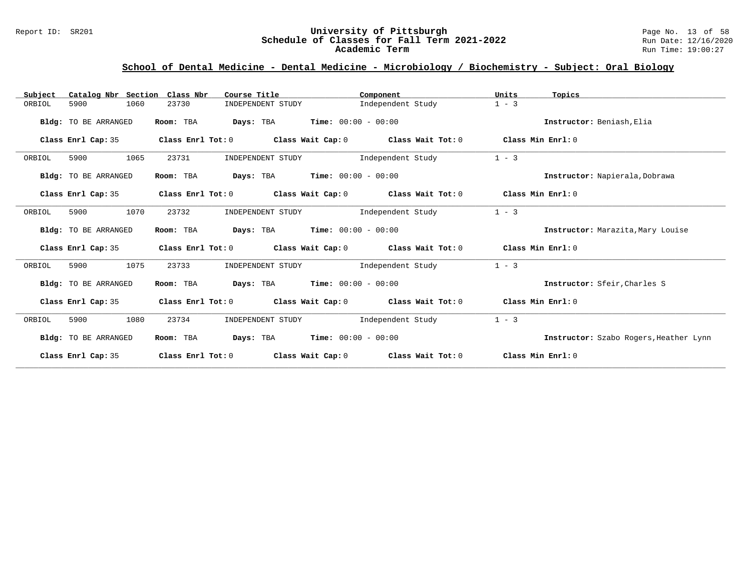#### Report ID: SR201 **1988 Constrained Building Constrained Building Constrained Building Page No. 13 of 58**<br>**Schedule of Classes for Fall Term 2021-2022** 1998 Run Date: 12/16/2020 **Schedule of Classes for Fall Term 2021-2022** Run Date: 12/16/2020 **Academic Term** Run Time: 19:00:27

| Catalog Nbr Section Class Nbr<br>Subject | Course Title               | Component                                                                       | Units<br>Topics                        |
|------------------------------------------|----------------------------|---------------------------------------------------------------------------------|----------------------------------------|
| 1060<br>ORBIOL<br>5900                   | 23730<br>INDEPENDENT STUDY | Independent Study                                                               | $1 - 3$                                |
| Bldg: TO BE ARRANGED                     | Room: TBA                  | <b>Days:</b> TBA <b>Time:</b> $00:00 - 00:00$                                   | Instructor: Beniash, Elia              |
| Class Enrl Cap: 35                       |                            | Class Enrl Tot: $0$ Class Wait Cap: $0$ Class Wait Tot: $0$                     | Class Min Enrl: 0                      |
| 1065<br>ORBIOL<br>5900                   | 23731<br>INDEPENDENT STUDY | Independent Study                                                               | $1 - 3$                                |
| Bldg: TO BE ARRANGED                     | Room: TBA                  | <b>Days:</b> TBA <b>Time:</b> $00:00 - 00:00$                                   | Instructor: Napierala, Dobrawa         |
| Class Enrl Cap: 35                       |                            | Class Enrl Tot: $0$ Class Wait Cap: $0$ Class Wait Tot: $0$                     | Class Min Enrl: 0                      |
| 1070<br>ORBIOL<br>5900                   | 23732<br>INDEPENDENT STUDY | Independent Study                                                               | $1 - 3$                                |
| Bldg: TO BE ARRANGED                     | Room: TBA                  | <b>Days:</b> TBA <b>Time:</b> $00:00 - 00:00$                                   | Instructor: Marazita, Mary Louise      |
| Class Enrl Cap: 35                       |                            | Class Enrl Tot: $0$ class Wait Cap: $0$ class Wait Tot: $0$ class Min Enrl: $0$ |                                        |
| 1075<br>5900<br>ORBIOL                   | 23733<br>INDEPENDENT STUDY | Independent Study                                                               | $1 - 3$                                |
| Bldg: TO BE ARRANGED                     | Room: TBA                  | <b>Days:</b> TBA <b>Time:</b> $00:00 - 00:00$                                   | Instructor: Sfeir, Charles S           |
| Class Enrl Cap: 35                       |                            | Class Enrl Tot: $0$ Class Wait Cap: $0$ Class Wait Tot: $0$                     | Class Min Enrl: 0                      |
| 5900<br>1080<br>ORBIOL                   | 23734<br>INDEPENDENT STUDY | Independent Study                                                               | $1 - 3$                                |
| Bldg: TO BE ARRANGED                     | Room: TBA                  | <b>Days:</b> TBA <b>Time:</b> $00:00 - 00:00$                                   | Instructor: Szabo Rogers, Heather Lynn |
| Class Enrl Cap: 35                       | Class Enrl Tot: 0          | Class Wait Cap: $0$ Class Wait Tot: $0$                                         | Class Min $Err1:0$                     |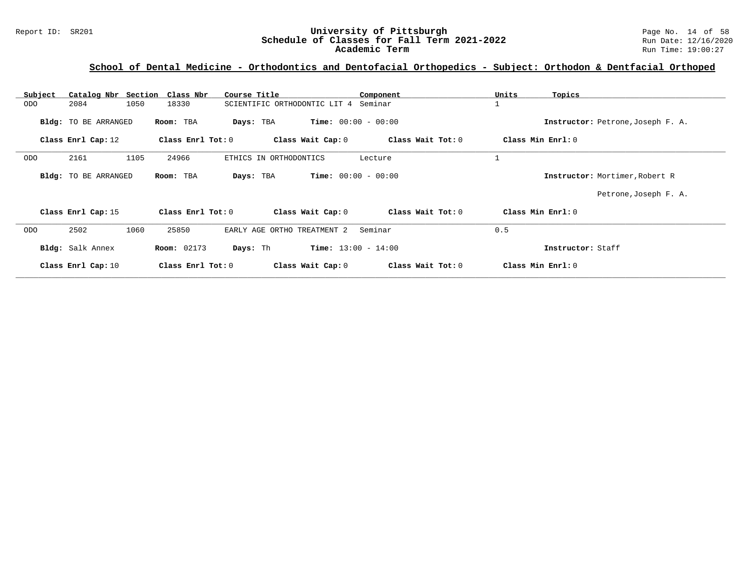| Subject    | Catalog Nbr Section Class Nbr |                    | Course Title                              | Component         | Units<br>Topics   |                                   |
|------------|-------------------------------|--------------------|-------------------------------------------|-------------------|-------------------|-----------------------------------|
| ODO        | 1050<br>2084                  | 18330              | SCIENTIFIC ORTHODONTIC LIT 4 Seminar      |                   |                   |                                   |
|            | Bldg: TO BE ARRANGED          | Room: TBA          | <b>Time:</b> $00:00 - 00:00$<br>Days: TBA |                   |                   | Instructor: Petrone, Joseph F. A. |
|            | Class Enrl Cap: 12            | Class Enrl Tot: 0  | Class Wait Cap: 0                         | Class Wait Tot: 0 | Class Min Enrl: 0 |                                   |
| <b>ODO</b> | 2161<br>1105                  | 24966              | ETHICS IN ORTHODONTICS                    | Lecture           |                   |                                   |
|            | Bldg: TO BE ARRANGED          | Room: TBA          | <b>Time:</b> $00:00 - 00:00$<br>Days: TBA |                   |                   | Instructor: Mortimer, Robert R    |
|            |                               |                    |                                           |                   |                   | Petrone, Joseph F. A.             |
|            | Class Enrl Cap: 15            | Class Enrl Tot: 0  | Class Wait Cap: 0                         | Class Wait Tot: 0 | Class Min Enrl: 0 |                                   |
| ODO        | 1060<br>2502                  | 25850              | EARLY AGE ORTHO TREATMENT 2               | Seminar           | 0.5               |                                   |
|            | Bldg: Salk Annex              | <b>Room: 02173</b> | <b>Time:</b> $13:00 - 14:00$<br>Days: Th  |                   | Instructor: Staff |                                   |
|            | Class Enrl Cap: 10            | Class Enrl Tot: 0  | Class Wait Cap: 0                         | Class Wait Tot: 0 | Class Min Enrl: 0 |                                   |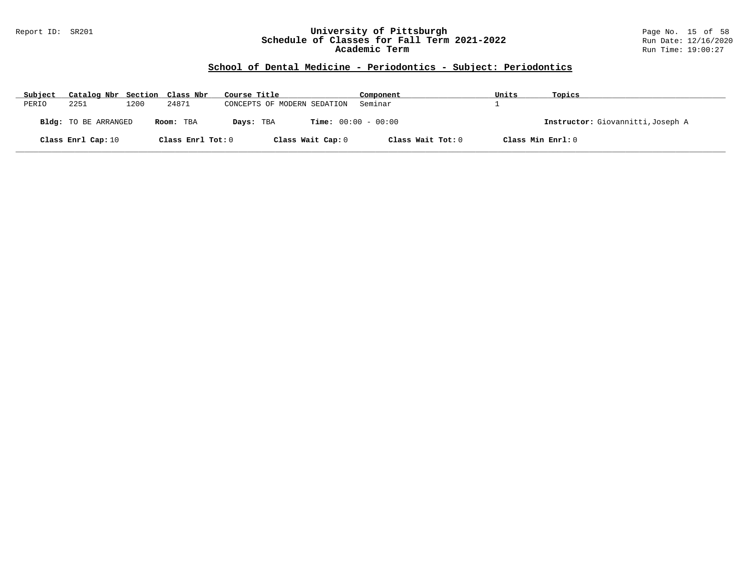#### Report ID: SR201 **University of Pittsburgh** Page No. 15 of 58 **Schedule of Classes for Fall Term 2021-2022** Run Date: 12/16/2020 **Academic Term** Run Time: 19:00:27

| Subject | Catalog Nbr Section Class Nbr |      |                   | Course Title                              | Component         | Units             | Topics                            |
|---------|-------------------------------|------|-------------------|-------------------------------------------|-------------------|-------------------|-----------------------------------|
| PERIO   | 2251                          | 1200 | 24871             | CONCEPTS OF MODERN SEDATION               | Seminar           |                   |                                   |
|         | <b>Bldg:</b> TO BE ARRANGED   |      | Room: TBA         | <b>Time:</b> $00:00 - 00:00$<br>Days: TBA |                   |                   | Instructor: Giovannitti, Joseph A |
|         | Class Enrl Cap: 10            |      | Class Enrl Tot: 0 | Class Wait Cap: 0                         | Class Wait Tot: 0 | Class Min Enrl: 0 |                                   |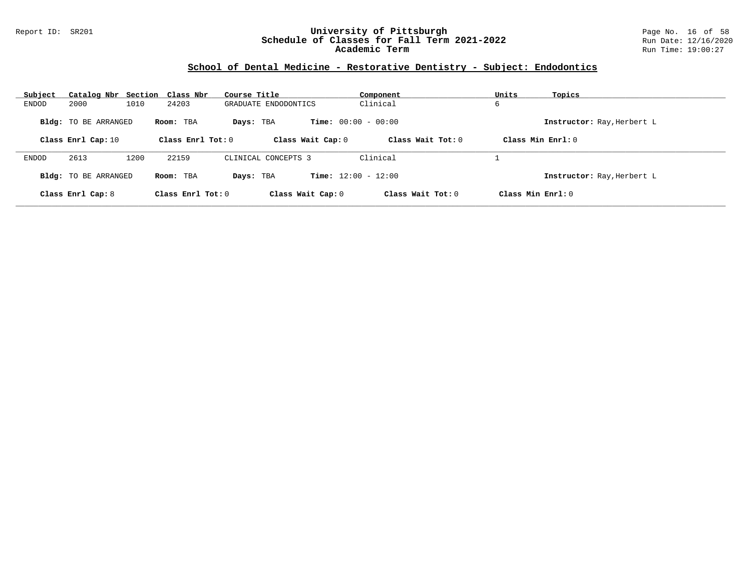#### Report ID: SR201 **University of Pittsburgh** Page No. 16 of 58 **Schedule of Classes for Fall Term 2021-2022** Run Date: 12/16/2020 **Academic Term** Run Time: 19:00:27

## **School of Dental Medicine - Restorative Dentistry - Subject: Endodontics**

| Subject |                             | Catalog Nbr Section Class Nbr | Course Title         | Component                    | Units<br>Topics            |  |
|---------|-----------------------------|-------------------------------|----------------------|------------------------------|----------------------------|--|
| ENDOD   | 2000                        | 1010<br>24203                 | GRADUATE ENDODONTICS | Clinical                     | 6                          |  |
|         | <b>Bldg:</b> TO BE ARRANGED | Room: TBA                     | Days: TBA            | <b>Time:</b> $00:00 - 00:00$ | Instructor: Ray, Herbert L |  |
|         | Class Enrl Cap: 10          | Class Enrl Tot: $0$           | Class Wait Cap: 0    | Class Wait $Tot: 0$          | Class Min Enrl: 0          |  |
| ENDOD   | 2613                        | 1200<br>22159                 | CLINICAL CONCEPTS 3  | Clinical                     |                            |  |
|         | Bldg: TO BE ARRANGED        | Room: TBA                     | Davs: TBA            | <b>Time:</b> $12:00 - 12:00$ | Instructor: Ray, Herbert L |  |
|         | Class Enrl Cap: 8           | Class Enrl Tot: 0             | Class Wait Cap: 0    | Class Wait Tot: $0$          | Class Min $Enrl: 0$        |  |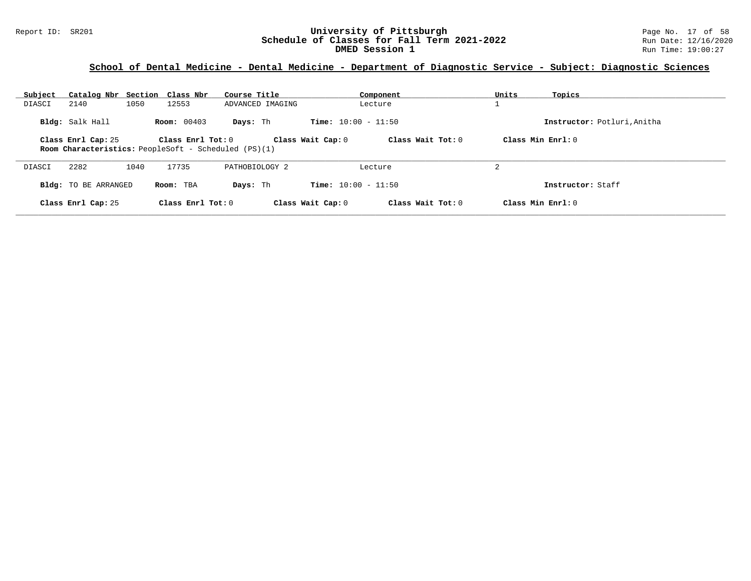#### Report ID: SR201 **1988 Mage 19: SR201 University of Pittsburgh** Page No. 17 of 58<br>**Schedule of Classes for Fall Term 2021-2022** 2011 Page No. 17 of 58 **Schedule of Classes for Fall Term 2021-2022** Run Date: 12/16/2020 **DMED Session 1 CONSERVING CONSERVING CONSERVING CONSERVING CONSERVANCE CONSERVING CONSERVING CONSERVING CONSERVING CONSERVING CONSERVANCE CONSERVING CONSERVING CONSERVING CONSERVANCE CONSERVING CONSERVANCE CONSERVANCE C**

| Subject | Catalog Nbr Section Class Nbr                                                                                                                                             |      |                     | Course Title     |                              | Component           | Units | Topics                      |
|---------|---------------------------------------------------------------------------------------------------------------------------------------------------------------------------|------|---------------------|------------------|------------------------------|---------------------|-------|-----------------------------|
| DIASCI  | 2140                                                                                                                                                                      | 1050 | 12553               | ADVANCED IMAGING |                              | Lecture             |       |                             |
|         | Bldg: Salk Hall                                                                                                                                                           |      | <b>Room:</b> 00403  | Days: Th         | <b>Time:</b> $10:00 - 11:50$ |                     |       | Instructor: Potluri, Anitha |
|         | Class Min Enrl: $0$<br>Class Wait Cap: 0<br>Class Wait Tot: $0$<br>Class Enrl Cap: 25<br>Class Enrl Tot: 0<br><b>Room Characteristics:</b> PeopleSoft - Scheduled (PS)(1) |      |                     |                  |                              |                     |       |                             |
| DIASCI  | 2282                                                                                                                                                                      | 1040 | 17735               | PATHOBIOLOGY 2   |                              | Lecture             | 2     |                             |
|         | <b>Bldg:</b> TO BE ARRANGED                                                                                                                                               |      | Room: TBA           | Days: Th         | <b>Time:</b> $10:00 - 11:50$ |                     |       | Instructor: Staff           |
|         | Class Enrl Cap: 25                                                                                                                                                        |      | Class Enrl Tot: $0$ |                  | Class Wait Cap: 0            | Class Wait $Tot: 0$ |       | Class Min Enrl: 0           |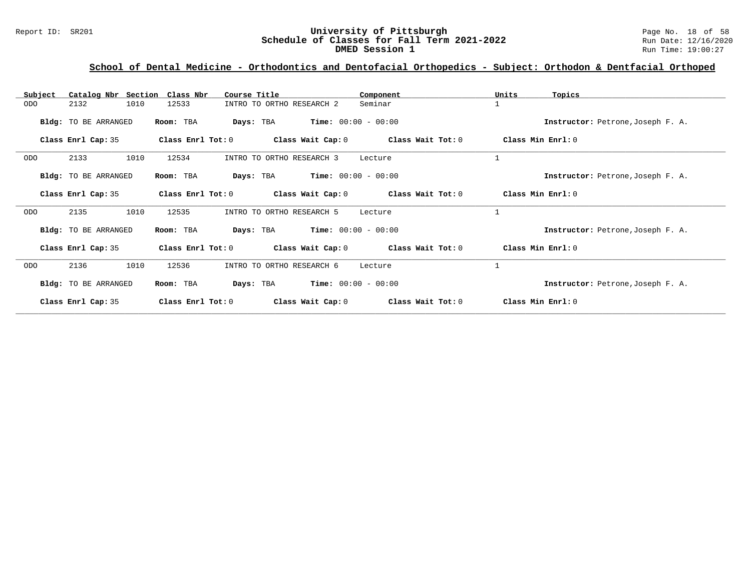#### Report ID: SR201 **1988 Mage 10: SR201 University of Pittsburgh** Page No. 18 of 58<br>**Schedule of Classes for Fall Term 2021-2022** 2011 Page No. 18 of 58 **Schedule of Classes for Fall Term 2021-2022** Run Date: 12/16/2020 **DMED Session 1 CONSERVING CONSERVING CONSERVING CONSERVING CONSERVANCE CONSERVING CONSERVING CONSERVING CONSERVING CONSERVING CONSERVANCE CONSERVING CONSERVING CONSERVING CONSERVANCE CONSERVING CONSERVANCE CONSERVANCE C**

| Subject    | Catalog Nbr Section Class Nbr |                     | Course Title                       | Component             | Units<br>Topics                   |
|------------|-------------------------------|---------------------|------------------------------------|-----------------------|-----------------------------------|
| ODO        | 1010<br>2132                  | 12533               | INTRO TO ORTHO RESEARCH 2          | Seminar               | $\mathbf{1}$                      |
|            | <b>Bldg:</b> TO BE ARRANGED   | Room: TBA           | Days: TBA                          | $Time: 00:00 - 00:00$ | Instructor: Petrone, Joseph F. A. |
|            | Class Enrl Cap: 35            | Class Enrl Tot: 0   | Class Wait Cap: $0$                | Class Wait Tot: 0     | Class Min Enrl: 0                 |
| ODO        | 1010<br>2133                  | 12534               | INTRO TO ORTHO RESEARCH 3          | Lecture               | $\mathbf{1}$                      |
|            | Bldg: TO BE ARRANGED          | Room: TBA           | $Time: 00:00 - 00:00$<br>Days: TBA |                       | Instructor: Petrone, Joseph F. A. |
|            | Class Enrl Cap: 35            | Class Enrl Tot: 0   | Class Wait Cap: 0                  | Class Wait Tot: 0     | Class Min Enrl: 0                 |
| <b>ODO</b> | 2135<br>1010                  | 12535               | INTRO TO ORTHO RESEARCH 5          | Lecture               | $\mathbf{1}$                      |
|            | Bldg: TO BE ARRANGED          | Room: TBA           | $Time: 00:00 - 00:00$<br>Days: TBA |                       | Instructor: Petrone, Joseph F. A. |
|            | Class Enrl Cap: 35            | Class Enrl Tot: $0$ | Class Wait Cap: 0                  | Class Wait Tot: 0     | Class Min Enrl: 0                 |
| ODO        | 1010<br>2136                  | 12536               | INTRO TO ORTHO RESEARCH 6          | Lecture               | $\mathbf{1}$                      |
|            | Bldg: TO BE ARRANGED          | Room: TBA           | Days: TBA                          | $Time: 00:00 - 00:00$ | Instructor: Petrone, Joseph F. A. |
|            | Class Enrl Cap: 35            | Class Enrl Tot: 0   | Class Wait Cap: 0                  | Class Wait Tot: 0     | Class Min Enrl: 0                 |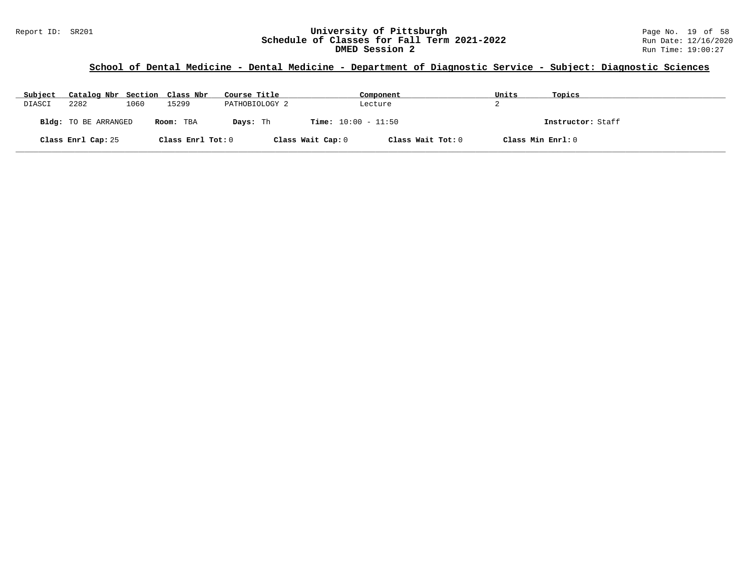#### Report ID: SR201 **University of Pittsburgh University of Pittsburgh** Page No. 19 of 58<br>**Schedule of Classes for Fall Term 2021-2022** Run Date: 12/16/2020 **Schedule of Classes for Fall Term 2021-2022** Run Date: 12/16/2020 **DMED Session 2** Run Time: 19:00:27

| Subject | Catalog Nbr Section Class Nbr |      |                   | Course Title   |                              | Component         | Units | Topics            |
|---------|-------------------------------|------|-------------------|----------------|------------------------------|-------------------|-------|-------------------|
| DIASCI  | 2282                          | 1060 | 15299             | PATHOBIOLOGY 2 |                              | Lecture           | ▵     |                   |
|         | <b>Bldg:</b> TO BE ARRANGED   |      | Room: TBA         | Days: Th       | <b>Time:</b> $10:00 - 11:50$ |                   |       | Instructor: Staff |
|         | Class Enrl Cap: 25            |      | Class Enrl Tot: 0 |                | Class Wait Cap: 0            | Class Wait Tot: 0 |       | Class Min Enrl: 0 |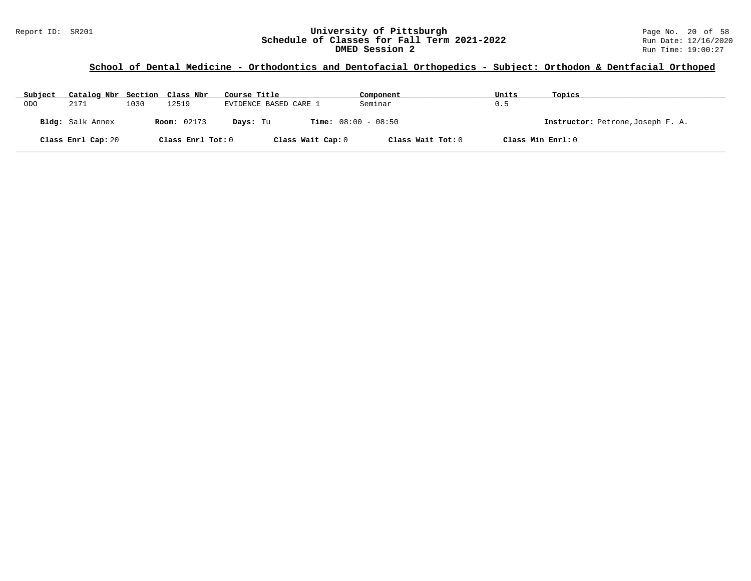#### Report ID: SR201 **1988 Mage 10: SR201 University of Pittsburgh** Page No. 20 of 58<br>**Schedule of Classes for Fall Term 2021-2022** 2011 Page No. 20 of 58 **Schedule of Classes for Fall Term 2021-2022** Run Date: 12/16/2020 **DMED Session 2** Run Time: 19:00:27

| Subject    | Catalog Nbr Section Class Nbr |      |                    | Course Title                             | Component         | Units             | Topics                            |
|------------|-------------------------------|------|--------------------|------------------------------------------|-------------------|-------------------|-----------------------------------|
| <b>ODO</b> | 2171                          | 1030 | 12519              | EVIDENCE BASED CARE 1                    | Seminar           | 0.5               |                                   |
|            | Bldg: Salk Annex              |      | <b>Room:</b> 02173 | <b>Time:</b> $08:00 - 08:50$<br>Days: Tu |                   |                   | Instructor: Petrone, Joseph F. A. |
|            | Class Enrl Cap: 20            |      | Class Enrl Tot: 0  | Class Wait Cap: 0                        | Class Wait Tot: 0 | Class Min Enrl: 0 |                                   |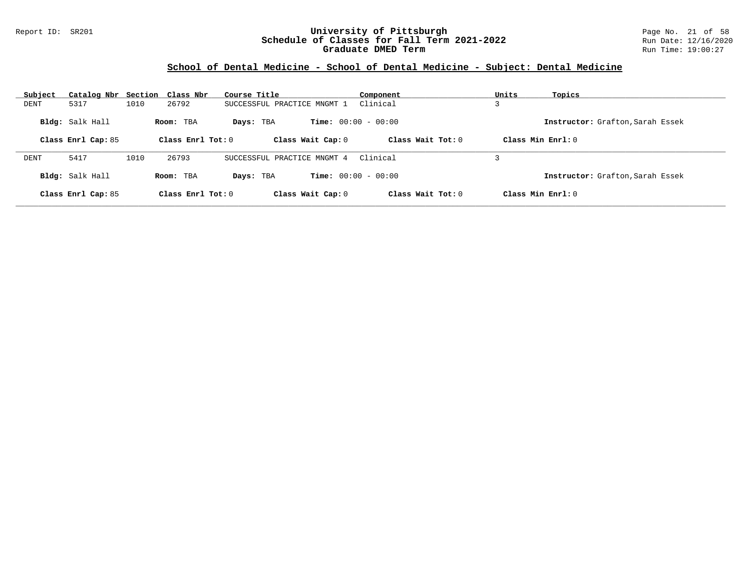#### Report ID: SR201 **University of Pittsburgh** Page No. 21 of 58 **Schedule of Classes for Fall Term 2021-2022** Run Date: 12/16/2020 **Graduate DMED Term Run Time: 19:00:27**

## **School of Dental Medicine - School of Dental Medicine - Subject: Dental Medicine**

| Subject | Catalog Nbr                           |      | Section Class Nbr                | Course Title                   | Component                                           | Units | Topics                                                   |
|---------|---------------------------------------|------|----------------------------------|--------------------------------|-----------------------------------------------------|-------|----------------------------------------------------------|
| DENT    | 5317                                  | 1010 | 26792                            | SUCCESSFUL PRACTICE MNGMT 1    | Clinical                                            |       |                                                          |
|         | Bldg: Salk Hall<br>Class Enrl Cap: 85 |      | Room: TBA<br>Class Enrl Tot: $0$ | Days: TBA<br>Class Wait Cap: 0 | <b>Time:</b> $00:00 - 00:00$<br>Class Wait $Tot: 0$ |       | Instructor: Grafton, Sarah Essek<br>$Class Min Ernst: 0$ |
|         |                                       |      |                                  |                                |                                                     |       |                                                          |
| DENT    | 5417                                  | 1010 | 26793                            | SUCCESSFUL PRACTICE MNGMT 4    | Clinical                                            |       |                                                          |
|         | Bldg: Salk Hall                       |      | Room: TBA                        | Days: TBA                      | <b>Time:</b> $00:00 - 00:00$                        |       | Instructor: Grafton, Sarah Essek                         |
|         | Class Enrl Cap: 85                    |      | Class Enrl Tot: $0$              | Class Wait Cap: 0              | Class Wait Tot: $0$                                 |       | Class Min Enrl: 0                                        |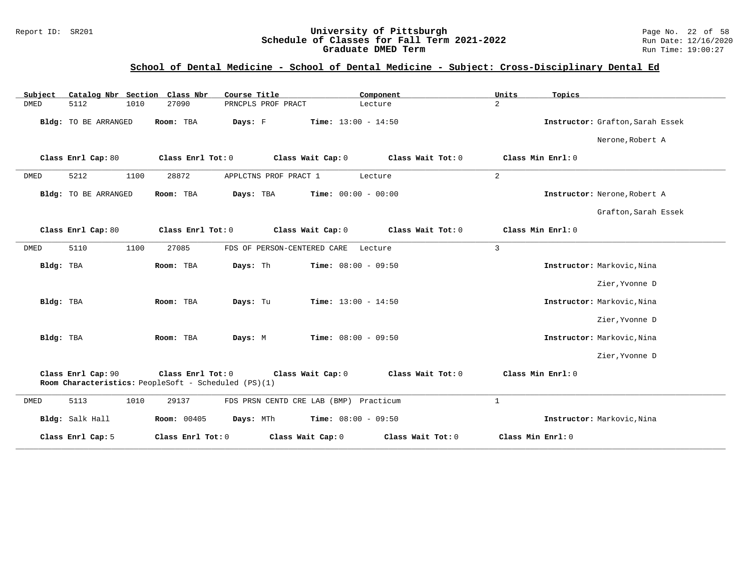#### Report ID: SR201 **1988 Construment Superversity of Pittsburgh** Page No. 22 of 58<br>**Schedule of Classes for Fall Term 2021-2022** 2011 Page No. 22 of 58 **Schedule of Classes for Fall Term 2021-2022** Run Date: 12/16/202<br>**Graduate DMED Term** 2021-2022 Run Time: 19:00:27 **Graduate DMED Term**

### **School of Dental Medicine - School of Dental Medicine - Subject: Cross-Disciplinary Dental Ed**

| Catalog Nbr Section Class Nbr<br>Subject | Course Title                                                                                   | Component                 | Units<br>Topics                  |
|------------------------------------------|------------------------------------------------------------------------------------------------|---------------------------|----------------------------------|
| <b>DMED</b><br>5112<br>1010              | 27090<br>PRNCPLS PROF PRACT                                                                    | 2<br>Lecture              |                                  |
| Bldg: TO BE ARRANGED                     | Time: $13:00 - 14:50$<br>Room: TBA<br>Days: F                                                  |                           | Instructor: Grafton, Sarah Essek |
|                                          |                                                                                                |                           | Nerone, Robert A                 |
| Class Enrl Cap: 80                       | Class Enrl Tot: 0<br>Class Wait Cap: 0                                                         | Class Wait Tot: 0         | Class Min Enrl: 0                |
| 5212<br>1100<br>DMED                     | 28872<br>APPLCTNS PROF PRACT 1                                                                 | 2<br>Lecture              |                                  |
| Bldg: TO BE ARRANGED                     | Days: TBA<br>$Time: 00:00 - 00:00$<br>Room: TBA                                                |                           | Instructor: Nerone, Robert A     |
|                                          |                                                                                                |                           | Grafton, Sarah Essek             |
| Class Enrl Cap: 80                       | Class Enrl Tot: 0<br>Class Wait Cap: 0                                                         | Class Wait Tot: 0         | Class Min Enrl: 0                |
| 1100<br>5110<br>DMED                     | 27085<br>FDS OF PERSON-CENTERED CARE                                                           | $\overline{3}$<br>Lecture |                                  |
| Bldg: TBA                                | Room: TBA<br>Time: $08:00 - 09:50$<br>Days: Th                                                 |                           | Instructor: Markovic, Nina       |
|                                          |                                                                                                |                           | Zier, Yvonne D                   |
| Bldg: TBA                                | Time: $13:00 - 14:50$<br>Room: TBA<br>Days: Tu                                                 |                           | Instructor: Markovic, Nina       |
|                                          |                                                                                                |                           | Zier, Yvonne D                   |
| Bldg: TBA                                | Room: TBA<br>Days: M<br><b>Time:</b> $08:00 - 09:50$                                           |                           | Instructor: Markovic, Nina       |
|                                          |                                                                                                |                           | Zier, Yvonne D                   |
| Class Enrl Cap: 90                       | Class Enrl Tot: 0<br>Class Wait Cap: 0<br>Room Characteristics: PeopleSoft - Scheduled (PS)(1) | Class Wait Tot: 0         | Class Min Enrl: 0                |
| 5113<br>1010<br>DMED                     | 29137<br>FDS PRSN CENTD CRE LAB (BMP) Practicum                                                | $\mathbf{1}$              |                                  |
| Bldg: Salk Hall                          | Days: MTh<br>Time: $08:00 - 09:50$<br><b>Room: 00405</b>                                       |                           | Instructor: Markovic, Nina       |
| Class Enrl Cap: 5                        | Class Enrl Tot: 0<br>Class Wait Cap: 0                                                         | Class Wait Tot: 0         | Class Min Enrl: 0                |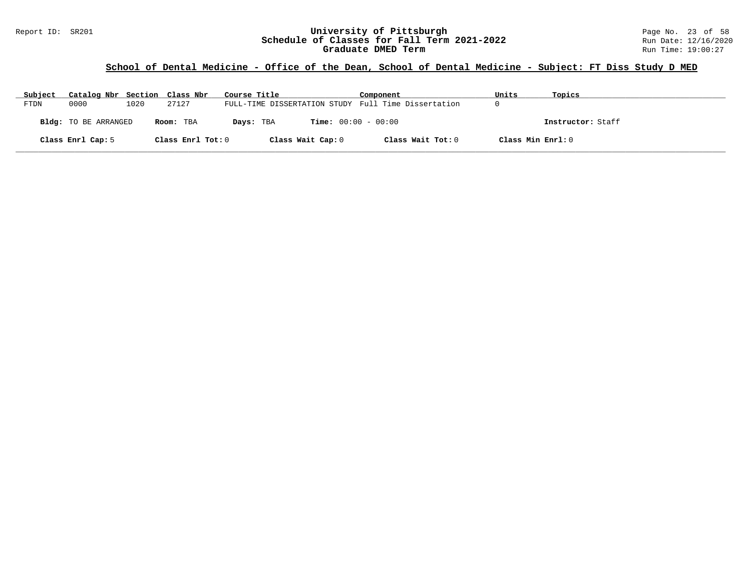#### Report ID: SR201 **1988 Construment Superversity of Pittsburgh** Page No. 23 of 58<br>**Schedule of Classes for Fall Term 2021-2022** 2011 Page No. 23 of 58 **Schedule of Classes for Fall Term 2021-2022** Run Date: 12/16/202<br>**Graduate DMED Term 2021-2022** Run Time: 19:00:27 **Graduate DMED Term**

## **School of Dental Medicine - Office of the Dean, School of Dental Medicine - Subject: FT Diss Study D MED**

| Subject | Catalog Nbr Section Class Nbr |      |                   | Course Title                                        | Component         | Units             | Topics            |
|---------|-------------------------------|------|-------------------|-----------------------------------------------------|-------------------|-------------------|-------------------|
| FTDN    | 0000                          | 1020 | 27127             | FULL-TIME DISSERTATION STUDY Full Time Dissertation |                   |                   |                   |
|         | <b>Bldg:</b> TO BE ARRANGED   |      | Room: TBA         | <b>Time:</b> $00:00 - 00:00$<br>Days: TBA           |                   |                   | Instructor: Staff |
|         | Class Enrl Cap: 5             |      | Class Enrl Tot: 0 | Class Wait Cap: 0                                   | Class Wait Tot: 0 | Class Min Enrl: 0 |                   |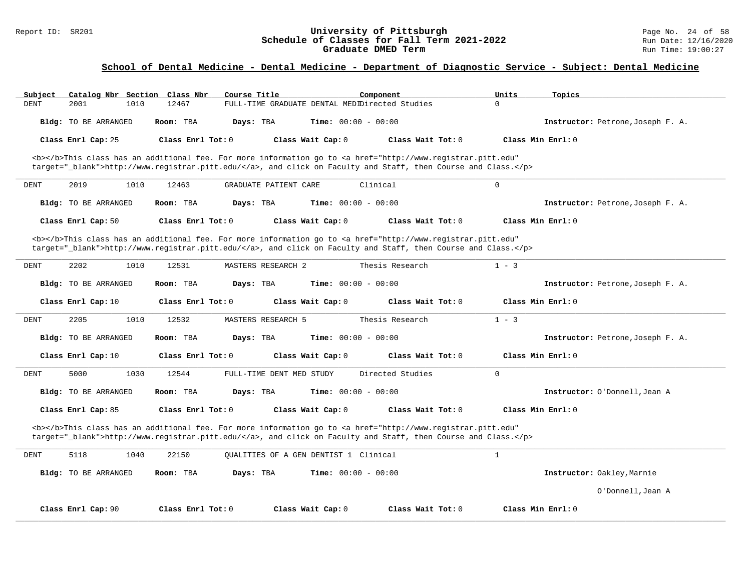#### Report ID: SR201 **1988 Mage 10: SR201 University of Pittsburgh** Page No. 24 of 58<br>**Schedule of Classes for Fall Term 2021-2022** 2011 Page No. 24 of 58 **Schedule of Classes for Fall Term 2021-2022** Run Date: 12/16/202<br>**Graduate DMED Term** 2021-2022 Run Time: 19:00:27 **Graduate DMED Term**

| Subject                     | Catalog Nbr Section Class Nbr<br>Course Title | Component                                                                                                                                                                                                                          | Units<br>Topics                   |
|-----------------------------|-----------------------------------------------|------------------------------------------------------------------------------------------------------------------------------------------------------------------------------------------------------------------------------------|-----------------------------------|
| <b>DENT</b><br>2001<br>1010 | 12467                                         | FULL-TIME GRADUATE DENTAL MEDIDirected Studies                                                                                                                                                                                     | $\Omega$                          |
| Bldg: TO BE ARRANGED        | Room: TBA<br>Days: TBA                        | <b>Time:</b> $00:00 - 00:00$                                                                                                                                                                                                       | Instructor: Petrone, Joseph F. A. |
| Class Enrl Cap: 25          | Class Enrl Tot: 0                             | Class Wait Cap: 0<br>Class Wait Tot: 0                                                                                                                                                                                             | Class Min Enrl: 0                 |
|                             |                                               | <b></b> This class has an additional fee. For more information go to <a <="" href="http://www.registrar.pitt.edu" td=""><td></td></a>                                                                                              |                                   |
|                             |                                               | target="_blank">http://www.registrar.pitt.edu/, and click on Faculty and Staff, then Course and Class.                                                                                                                             |                                   |
| 2019<br>1010<br><b>DENT</b> | 12463<br>GRADUATE PATIENT CARE                | Clinical                                                                                                                                                                                                                           | $\mathbf 0$                       |
| Bldg: TO BE ARRANGED        | Room: TBA<br>Days: TBA                        | Time: $00:00 - 00:00$                                                                                                                                                                                                              | Instructor: Petrone, Joseph F. A. |
| Class Enrl Cap: 50          | Class Enrl Tot: $0$                           | Class Wait Cap: 0<br>Class Wait $Tot: 0$                                                                                                                                                                                           | Class Min $Enrl: 0$               |
|                             |                                               | <b></b> This class has an additional fee. For more information go to <a <="" href="http://www.registrar.pitt.edu" td=""><td></td></a>                                                                                              |                                   |
|                             |                                               | target="_blank">http://www.registrar.pitt.edu/, and click on Faculty and Staff, then Course and Class.                                                                                                                             |                                   |
| 2202<br>1010<br>DENT        | 12531<br><b>MASTERS RESEARCH 2</b>            | Thesis Research                                                                                                                                                                                                                    | $1 - 3$                           |
| Bldg: TO BE ARRANGED        | Room: TBA<br>Days: TBA                        | <b>Time:</b> $00:00 - 00:00$                                                                                                                                                                                                       | Instructor: Petrone, Joseph F. A. |
| Class Enrl Cap: 10          | Class Enrl Tot: 0                             | Class Wait Cap: 0<br>Class Wait Tot: 0                                                                                                                                                                                             | Class Min Enrl: 0                 |
| 2205<br>1010<br>DENT        | 12532<br><b>MASTERS RESEARCH 5</b>            | Thesis Research                                                                                                                                                                                                                    | $1 - 3$                           |
| Bldg: TO BE ARRANGED        | Room: TBA<br>Days: TBA                        | Time: $00:00 - 00:00$                                                                                                                                                                                                              | Instructor: Petrone, Joseph F. A. |
| Class Enrl Cap: 10          | Class Enrl Tot: 0                             | Class Wait Cap: 0<br>Class Wait Tot: 0                                                                                                                                                                                             | Class Min Enrl: 0                 |
| 5000<br>1030<br>DENT        | 12544<br>FULL-TIME DENT MED STUDY             | Directed Studies                                                                                                                                                                                                                   | $\Omega$                          |
| Bldg: TO BE ARRANGED        | Room: TBA<br>Days: TBA                        | <b>Time:</b> $00:00 - 00:00$                                                                                                                                                                                                       | Instructor: O'Donnell, Jean A     |
| Class Enrl Cap: 85          | Class Enrl Tot: 0                             | Class Wait Cap: 0<br>Class Wait Tot: 0                                                                                                                                                                                             | Class Min Enrl: 0                 |
|                             |                                               | <b></b> This class has an additional fee. For more information go to <a <br="" href="http://www.registrar.pitt.edu">target="_blank"&gt;http://www.registrar.pitt.edu/</a> , and click on Faculty and Staff, then Course and Class. |                                   |
| 5118<br>1040<br><b>DENT</b> | 22150                                         | OUALITIES OF A GEN DENTIST 1 Clinical                                                                                                                                                                                              | $\mathbf{1}$                      |
| Bldg: TO BE ARRANGED        | Room: TBA<br>Days: TBA                        | <b>Time:</b> $00:00 - 00:00$                                                                                                                                                                                                       | Instructor: Oakley, Marnie        |
|                             |                                               |                                                                                                                                                                                                                                    | O'Donnell, Jean A                 |
| Class Enrl Cap: 90          | Class Enrl Tot: 0                             | Class Wait Cap: 0<br>Class Wait Tot: 0                                                                                                                                                                                             | Class Min Enrl: 0                 |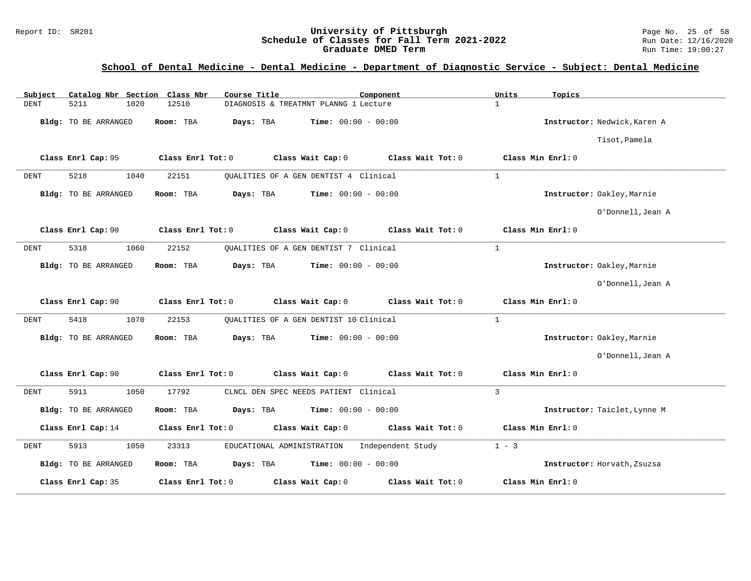#### Report ID: SR201 **1988 Construment Superversity of Pittsburgh** Page No. 25 of 58<br>**Schedule of Classes for Fall Term 2021-2022** 2011 Page No. 25 of 58 **Schedule of Classes for Fall Term 2021-2022** Run Date: 12/16/202<br>**Graduate DMED Term** 2021-2022 Run Time: 19:00:27 **Graduate DMED Term**

| Subject<br>Catalog Nbr Section Class Nbr | Course Title                                           | Component         | Units<br>Topics              |
|------------------------------------------|--------------------------------------------------------|-------------------|------------------------------|
| <b>DENT</b><br>5211<br>1020              | 12510<br>DIAGNOSIS & TREATMNT PLANNG 1 Lecture         |                   | $\mathbf{1}$                 |
| Bldg: TO BE ARRANGED                     | <b>Time:</b> $00:00 - 00:00$<br>Room: TBA<br>Days: TBA |                   | Instructor: Nedwick, Karen A |
|                                          |                                                        |                   | Tisot, Pamela                |
| Class Enrl Cap: 95                       | Class Wait Cap: 0<br>Class Enrl Tot: 0                 | Class Wait Tot: 0 | Class Min Enrl: 0            |
| 5218<br>1040<br><b>DENT</b>              | 22151<br>OUALITIES OF A GEN DENTIST 4 Clinical         |                   | $\mathbf{1}$                 |
| Bldg: TO BE ARRANGED                     | Days: TBA<br>Time: $00:00 - 00:00$<br>Room: TBA        |                   | Instructor: Oakley, Marnie   |
|                                          |                                                        |                   | O'Donnell, Jean A            |
| Class Enrl Cap: 90                       | Class Enrl Tot: 0<br>Class Wait Cap: 0                 | Class Wait Tot: 0 | Class Min Enrl: 0            |
| 5318<br>1060<br>DENT                     | 22152<br>QUALITIES OF A GEN DENTIST 7 Clinical         |                   | $\mathbf{1}$                 |
| Bldg: TO BE ARRANGED                     | Room: TBA<br>Days: TBA<br><b>Time:</b> $00:00 - 00:00$ |                   | Instructor: Oakley, Marnie   |
|                                          |                                                        |                   | O'Donnell, Jean A            |
| Class Enrl Cap: 90                       | Class Enrl Tot: 0<br>Class Wait Cap: 0                 | Class Wait Tot: 0 | Class Min Enrl: 0            |
| 5418<br>1070<br>DENT                     | 22153<br>OUALITIES OF A GEN DENTIST 10 Clinical        |                   | $\mathbf{1}$                 |
| Bldg: TO BE ARRANGED                     | Days: TBA<br><b>Time:</b> $00:00 - 00:00$<br>Room: TBA |                   | Instructor: Oakley, Marnie   |
|                                          |                                                        |                   | O'Donnell, Jean A            |
| Class Enrl Cap: 90                       | Class Enrl Tot: 0<br>Class Wait Cap: 0                 | Class Wait Tot: 0 | Class Min Enrl: 0            |
| 5911<br>1050<br>DENT                     | CLNCL DEN SPEC NEEDS PATIENT Clinical<br>17792         |                   | $\overline{3}$               |
| Bldg: TO BE ARRANGED                     | <b>Time:</b> $00:00 - 00:00$<br>Room: TBA<br>Days: TBA |                   | Instructor: Taiclet, Lynne M |
| Class Enrl Cap: 14                       | Class Wait Cap: 0<br>Class Enrl Tot: 0                 | Class Wait Tot: 0 | Class Min Enrl: 0            |
| 5913<br>1050<br><b>DENT</b>              | 23313<br>EDUCATIONAL ADMINISTRATION                    | Independent Study | $1 - 3$                      |
| Bldg: TO BE ARRANGED                     | Days: TBA<br><b>Time:</b> $00:00 - 00:00$<br>Room: TBA |                   | Instructor: Horvath, Zsuzsa  |
| Class Enrl Cap: 35                       | Class Enrl Tot: 0<br>Class Wait Cap: 0                 | Class Wait Tot: 0 | Class Min Enrl: 0            |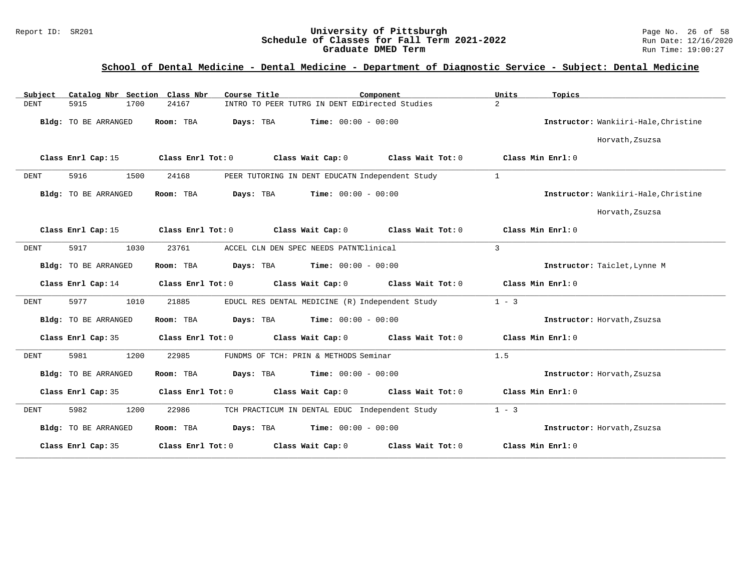#### Report ID: SR201 **1988 Construment Superversity of Pittsburgh** Page No. 26 of 58<br>**Schedule of Classes for Fall Term 2021-2022** 2011 Page No. 26 of 58 **Schedule of Classes for Fall Term 2021-2022** Run Date: 12/16/202<br>**Graduate DMED Term** 2021-2022 Run Time: 19:00:27 **Graduate DMED Term**

| Catalog Nbr Section Class Nbr<br>Subject | Course Title<br>Component                                   | Units<br>Topics                        |
|------------------------------------------|-------------------------------------------------------------|----------------------------------------|
| <b>DENT</b><br>5915<br>1700              | INTRO TO PEER TUTRG IN DENT EDDirected Studies<br>24167     | $\overline{2}$                         |
| Bldg: TO BE ARRANGED                     | Days: TBA<br><b>Time:</b> $00:00 - 00:00$<br>Room: TBA      | Instructor: Wankiiri-Hale, Christine   |
|                                          |                                                             | Horvath, Zsuzsa                        |
| Class Enrl Cap: 15                       | Class Enrl Tot: 0<br>Class Wait Cap: 0<br>Class Wait Tot: 0 | Class Min Enrl: 0                      |
| 5916<br>1500<br>DENT                     | PEER TUTORING IN DENT EDUCATN Independent Study<br>24168    | 1                                      |
| Bldg: TO BE ARRANGED                     | Days: TBA<br>Time: $00:00 - 00:00$<br>Room: TBA             | Instructor: Wankiiri-Hale, Christine   |
|                                          |                                                             | Horvath, Zsuzsa                        |
| Class Enrl Cap: 15                       | Class Wait Cap: 0<br>Class Wait Tot: 0<br>Class Enrl Tot: 0 | Class Min Enrl: 0                      |
| 5917<br>1030<br>DENT                     | 23761<br>ACCEL CLN DEN SPEC NEEDS PATNTClinical             | $\mathbf{3}$                           |
| Bldg: TO BE ARRANGED                     | Time: $00:00 - 00:00$<br>Room: TBA<br>Days: TBA             | Instructor: Taiclet, Lynne M           |
| Class Enrl Cap: 14                       | Class Enrl Tot: 0<br>Class Wait Cap: 0<br>Class Wait Tot: 0 | Class Min Enrl: 0                      |
| 5977<br>1010<br>DENT                     | 21885<br>EDUCL RES DENTAL MEDICINE (R) Independent Study    | $1 - 3$                                |
| Bldg: TO BE ARRANGED                     | <b>Days:</b> TBA <b>Time:</b> $00:00 - 00:00$<br>Room: TBA  | Instructor: Horvath, Zsuzsa            |
| Class Enrl Cap: 35                       | Class Wait Cap: 0<br>Class Wait Tot: 0<br>Class Enrl Tot: 0 | Class Min Enrl: 0                      |
| 5981<br>1200<br>DENT                     | 22985<br>FUNDMS OF TCH: PRIN & METHODS Seminar              | 1.5                                    |
| Bldg: TO BE ARRANGED                     | Room: TBA<br>Days: TBA<br>$Time: 00:00 - 00:00$             | Instructor: Horvath, Zsuzsa            |
| Class Enrl Cap: 35                       | Class Wait Cap: 0<br>Class Enrl Tot: 0<br>Class Wait Tot: 0 | Class Min Enrl: 0                      |
| 5982<br>1200<br>DENT                     | 22986<br>TCH PRACTICUM IN DENTAL EDUC Independent Study     | $1 - 3$                                |
| Bldg: TO BE ARRANGED                     | Days: TBA<br><b>Time:</b> $00:00 - 00:00$<br>Room: TBA      | Instructor: Horvath, Zsuzsa            |
| Class Enrl Cap: 35                       | Class Enrl Tot: 0<br>Class Wait Cap: 0                      | Class Wait Tot: 0<br>Class Min Enrl: 0 |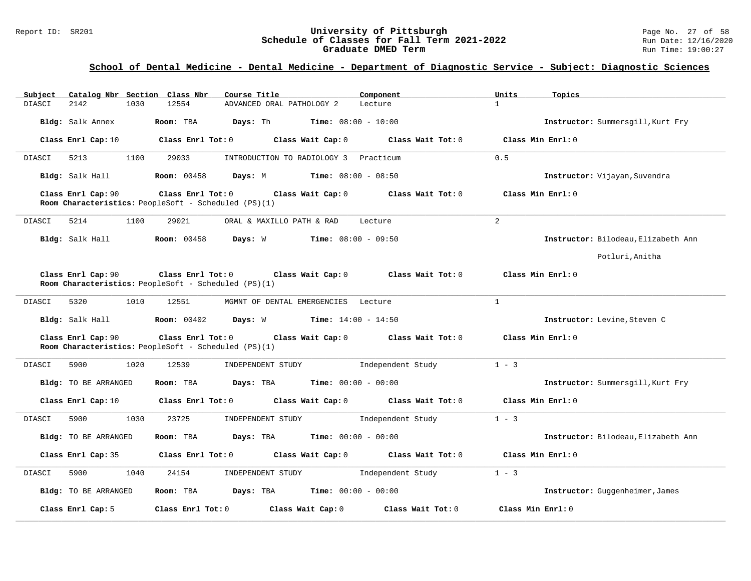#### Report ID: SR201 **1988 Mage 10: SR201 University of Pittsburgh** Page No. 27 of 58<br>**Schedule of Classes for Fall Term 2021-2022** 2011 Page No. 27 of 58 **Schedule of Classes for Fall Term 2021-2022** Run Date: 12/16/202<br>**Graduate DMED Term** 2021-2022 Run Time: 19:00:27 **Graduate DMED Term**

| Catalog Nbr Section Class Nbr<br>Subject | Course Title                                                                                   | Component                           | Units<br>Topics                     |
|------------------------------------------|------------------------------------------------------------------------------------------------|-------------------------------------|-------------------------------------|
| 2142<br>1030<br>DIASCI                   | 12554<br>ADVANCED ORAL PATHOLOGY 2                                                             | Lecture                             | $\mathbf{1}$                        |
| Bldg: Salk Annex                         | Room: TBA<br>Days: Th<br><b>Time:</b> $08:00 - 10:00$                                          |                                     | Instructor: Summersgill, Kurt Fry   |
| Class Enrl Cap: 10                       | Class Enrl Tot: 0<br>Class Wait Cap: 0                                                         | Class Wait Tot: 0                   | Class Min Enrl: 0                   |
| DIASCI<br>5213<br>1100                   | 29033<br>INTRODUCTION TO RADIOLOGY 3 Practicum                                                 |                                     | 0.5                                 |
| Bldg: Salk Hall                          | <b>Room: 00458</b><br>Days: M<br><b>Time:</b> $08:00 - 08:50$                                  |                                     | Instructor: Vijayan, Suvendra       |
| Class Enrl Cap: 90                       | Class Enrl Tot: 0 Class Wait Cap: 0<br>Room Characteristics: PeopleSoft - Scheduled (PS)(1)    | Class Wait Tot: 0                   | Class Min Enrl: 0                   |
| DIASCI<br>5214<br>1100                   | 29021<br>ORAL & MAXILLO PATH & RAD                                                             | Lecture                             | $\overline{2}$                      |
| Bldg: Salk Hall                          | <b>Room: 00458</b><br>Days: W<br><b>Time:</b> $08:00 - 09:50$                                  |                                     | Instructor: Bilodeau, Elizabeth Ann |
|                                          |                                                                                                |                                     | Potluri, Anitha                     |
| Class Enrl Cap: 90                       | Class Enrl Tot: 0<br>Room Characteristics: PeopleSoft - Scheduled (PS)(1)                      | Class Wait Cap: 0 Class Wait Tot: 0 | Class Min Enrl: 0                   |
| DIASCI<br>5320<br>1010                   | MGMNT OF DENTAL EMERGENCIES Lecture<br>12551                                                   |                                     | $\mathbf{1}$                        |
| Bldg: Salk Hall Room: 00402              | <b>Time:</b> $14:00 - 14:50$<br>Days: W                                                        |                                     | Instructor: Levine, Steven C        |
| Class Enrl Cap: 90                       | Class Enrl Tot: 0<br>Class Wait Cap: 0<br>Room Characteristics: PeopleSoft - Scheduled (PS)(1) | Class Wait Tot: 0                   | Class Min Enrl: 0                   |
| 1020<br>DIASCI<br>5900                   | 12539<br>INDEPENDENT STUDY                                                                     | Independent Study                   | $1 - 3$                             |
| Bldg: TO BE ARRANGED                     | Days: TBA<br>Room: TBA                                                                         | <b>Time:</b> $00:00 - 00:00$        | Instructor: Summersgill, Kurt Fry   |
| Class Enrl Cap: 10                       | Class Enrl Tot: 0<br>Class Wait Cap: 0                                                         | Class Wait Tot: 0                   | Class Min Enrl: 0                   |
| 5900<br>1030<br>DIASCI                   | 23725<br>INDEPENDENT STUDY                                                                     | Independent Study                   | $1 - 3$                             |
| Bldg: TO BE ARRANGED                     | Room: TBA<br>Days: TBA                                                                         | <b>Time:</b> $00:00 - 00:00$        | Instructor: Bilodeau, Elizabeth Ann |
| Class Enrl Cap: 35                       | Class Enrl Tot: 0<br>Class Wait Cap: 0                                                         | Class Wait Tot: 0                   | Class Min Enrl: 0                   |
| 5900<br>1040<br>DIASCI                   | 24154<br>INDEPENDENT STUDY                                                                     | Independent Study                   | $1 - 3$                             |
| Bldg: TO BE ARRANGED                     | Days: TBA<br>Room: TBA                                                                         | <b>Time:</b> $00:00 - 00:00$        | Instructor: Guggenheimer, James     |
| Class Enrl Cap: 5                        | Class Enrl Tot: 0<br>Class Wait Cap: 0                                                         | Class Wait Tot: 0                   | Class Min Enrl: 0                   |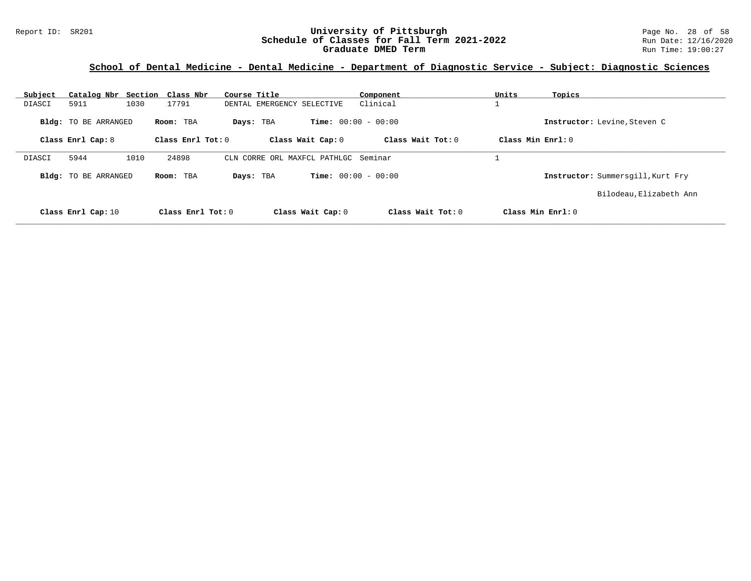#### Report ID: SR201 **1988 Constrained Building Constrained Building Constrained Building Page No. 28 of 58**<br>**Schedule of Classes for Fall Term 2021-2022** 1998 Run Date: 12/16/2020 **Schedule of Classes for Fall Term 2021-2022** Run Date: 12/16/202<br>**Graduate DMED Term** 2021-2022 Run Time: 19:00:27 **Graduate DMED Term**

| Subject |                             | Catalog Nbr Section Class Nbr | Course Title               |                                  | Component         | Units             | Topics                            |
|---------|-----------------------------|-------------------------------|----------------------------|----------------------------------|-------------------|-------------------|-----------------------------------|
| DIASCI  | 5911                        | 1030<br>17791                 | DENTAL EMERGENCY SELECTIVE |                                  | Clinical          |                   |                                   |
|         | Bldg: TO BE ARRANGED        | Room: TBA                     | Days: TBA                  | <b>Time:</b> $00:00 - 00:00$     |                   |                   | Instructor: Levine, Steven C      |
|         | Class Enrl Cap: 8           |                               | Class Enrl Tot: 0          | Class Wait Cap: 0                | Class Wait Tot: 0 | Class Min Enrl: 0 |                                   |
| DIASCI  | 5944                        | 1010<br>24898                 | CLN                        | CORRE ORL MAXFCL PATHLGC Seminar |                   |                   |                                   |
|         | <b>Bldg:</b> TO BE ARRANGED | Room: TBA                     | Days: TBA                  | <b>Time:</b> $00:00 - 00:00$     |                   |                   | Instructor: Summersgill, Kurt Fry |
|         |                             |                               |                            |                                  |                   |                   | Bilodeau, Elizabeth Ann           |
|         | Class Enrl Cap: 10          |                               | Class Enrl Tot: 0          | Class Wait Cap: 0                | Class Wait Tot: 0 |                   | Class Min Enrl: 0                 |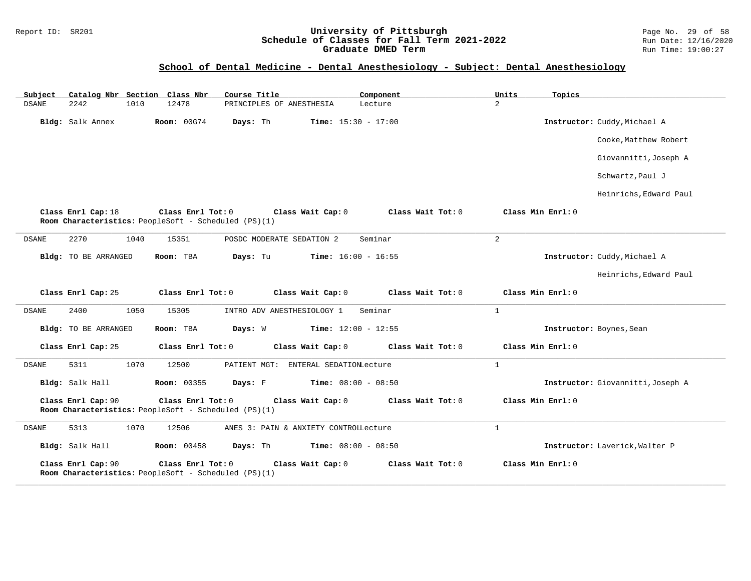#### Report ID: SR201 **University of Pittsburgh** Page No. 29 of 58 **Schedule of Classes for Fall Term 2021-2022** Run Date: 12/16/2020 **Graduate DMED Term Run Time: 19:00:27**

## **School of Dental Medicine - Dental Anesthesiology - Subject: Dental Anesthesiology**

| Subject      | Catalog Nbr Section Class Nbr |      |                                                                           | Course Title                          | Component                    | Units          | Topics                            |
|--------------|-------------------------------|------|---------------------------------------------------------------------------|---------------------------------------|------------------------------|----------------|-----------------------------------|
| <b>DSANE</b> | 2242                          | 1010 | 12478                                                                     | PRINCIPLES OF ANESTHESIA              | Lecture                      | $\overline{a}$ |                                   |
|              | Bldg: Salk Annex              |      | <b>Room: 00G74</b>                                                        | Days: Th                              | <b>Time:</b> $15:30 - 17:00$ |                | Instructor: Cuddy, Michael A      |
|              |                               |      |                                                                           |                                       |                              |                | Cooke, Matthew Robert             |
|              |                               |      |                                                                           |                                       |                              |                | Giovannitti, Joseph A             |
|              |                               |      |                                                                           |                                       |                              |                | Schwartz, Paul J                  |
|              |                               |      |                                                                           |                                       |                              |                | Heinrichs, Edward Paul            |
|              | Class Enrl Cap: 18            |      | Class Enrl Tot: 0<br>Room Characteristics: PeopleSoft - Scheduled (PS)(1) | Class Wait Cap: 0                     | Class Wait Tot: 0            |                | Class Min Enrl: 0                 |
| DSANE        | 2270                          | 1040 | 15351                                                                     | POSDC MODERATE SEDATION 2             | Seminar                      | $\overline{a}$ |                                   |
|              | Bldg: TO BE ARRANGED          |      | Room: TBA                                                                 | Days: Tu                              | <b>Time:</b> $16:00 - 16:55$ |                | Instructor: Cuddy, Michael A      |
|              |                               |      |                                                                           |                                       |                              |                | Heinrichs, Edward Paul            |
|              | Class Enrl Cap: 25            |      | Class Enrl Tot: 0                                                         | Class Wait Cap: 0                     | Class Wait Tot: 0            |                | Class Min Enrl: 0                 |
| DSANE        | 2400                          | 1050 | 15305                                                                     | INTRO ADV ANESTHESIOLOGY 1            | Seminar                      | $\mathbf{1}$   |                                   |
|              | <b>Bldg:</b> TO BE ARRANGED   |      | Room: TBA                                                                 | Days: W                               | Time: $12:00 - 12:55$        |                | Instructor: Boynes, Sean          |
|              | Class Enrl Cap: 25            |      | Class Enrl Tot: 0                                                         | Class Wait Cap: 0                     | Class Wait Tot: 0            |                | Class Min Enrl: 0                 |
| DSANE        | 5311                          | 1070 | 12500                                                                     | PATIENT MGT: ENTERAL SEDATIONLecture  |                              | $\mathbf{1}$   |                                   |
|              | Bldg: Salk Hall               |      | <b>Room: 00355</b>                                                        | Days: F                               | Time: $08:00 - 08:50$        |                | Instructor: Giovannitti, Joseph A |
|              | Class Enrl Cap: 90            |      | Class Enrl Tot: 0<br>Room Characteristics: PeopleSoft - Scheduled (PS)(1) | Class Wait Cap: 0                     | Class Wait Tot: 0            |                | Class Min Enrl: 0                 |
| DSANE        | 5313                          | 1070 | 12506                                                                     | ANES 3: PAIN & ANXIETY CONTROLLecture |                              | $\mathbf{1}$   |                                   |
|              | Bldg: Salk Hall               |      | <b>Room: 00458</b>                                                        | Days: Th                              | Time: $08:00 - 08:50$        |                | Instructor: Laverick, Walter P    |
|              | Class Enrl Cap: 90            |      | Class Enrl Tot: 0<br>Room Characteristics: PeopleSoft - Scheduled (PS)(1) | Class Wait Cap: 0                     | Class Wait Tot: 0            |                | Class Min Enrl: 0                 |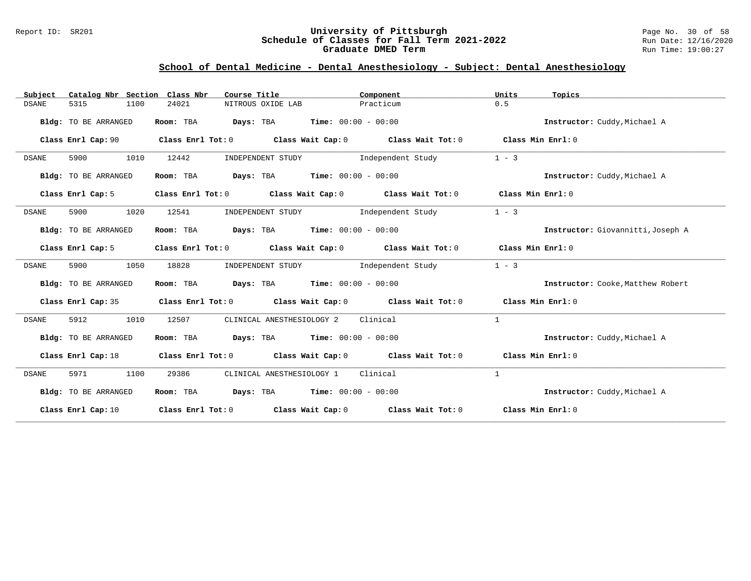#### Report ID: SR201 **University of Pittsburgh** Page No. 30 of 58 **Schedule of Classes for Fall Term 2021-2022** Run Date: 12/16/2020 **Graduate DMED Term Run Time: 19:00:27**

## **School of Dental Medicine - Dental Anesthesiology - Subject: Dental Anesthesiology**

| Catalog Nbr Section Class Nbr<br>Subject | Course Title                                                                                       | Component         | Units<br>Topics                   |
|------------------------------------------|----------------------------------------------------------------------------------------------------|-------------------|-----------------------------------|
| <b>DSANE</b><br>5315<br>1100             | 24021<br>NITROUS OXIDE LAB                                                                         | Practicum         | 0.5                               |
| Bldg: TO BE ARRANGED                     | Room: TBA $Days:$ TBA $Time: 00:00 - 00:00$                                                        |                   | Instructor: Cuddy, Michael A      |
| Class Enrl Cap: 90                       | Class Enrl Tot: 0 $\qquad$ Class Wait Cap: 0 $\qquad$ Class Wait Tot: 0 $\qquad$ Class Min Enrl: 0 |                   |                                   |
| 5900<br>1010<br>DSANE                    | 12442<br>INDEPENDENT STUDY                                                                         | Independent Study | $1 - 3$                           |
| Bldg: TO BE ARRANGED                     | Room: TBA $Days:$ TBA $Time: 00:00 - 00:00$                                                        |                   | Instructor: Cuddy, Michael A      |
| Class Enrl Cap: 5                        | Class Enrl Tot: 0 Class Wait Cap: 0 Class Wait Tot: 0                                              |                   | Class Min Enrl: 0                 |
| 5900<br>1020<br><b>DSANE</b>             | 12541<br>INDEPENDENT STUDY                                                                         | Independent Study | $1 - 3$                           |
| Bldg: TO BE ARRANGED                     | Room: TBA $\rule{1em}{0.15mm}$ Days: TBA $\rule{1.15mm}]{0.15mm}$ Time: $00:00 - 00:00$            |                   | Instructor: Giovannitti, Joseph A |
| Class Enrl Cap: 5                        | Class Enrl Tot: 0 Class Wait Cap: 0 Class Wait Tot: 0                                              |                   | Class Min Enrl: 0                 |
| <b>DSANE</b><br>5900<br>1050             | 18828<br>INDEPENDENT STUDY                                                                         | Independent Study | $1 - 3$                           |
| Bldg: TO BE ARRANGED                     | Room: TBA $Days:$ TBA $Time: 00:00 - 00:00$                                                        |                   | Instructor: Cooke, Matthew Robert |
|                                          | Class Enrl Cap: 35 Class Enrl Tot: 0 Class Wait Cap: 0 Class Wait Tot: 0 Class Min Enrl: 0         |                   |                                   |
| 1010<br><b>DSANE</b><br>5912             | 12507<br>CLINICAL ANESTHESIOLOGY 2 Clinical                                                        |                   | 1                                 |
| Bldg: TO BE ARRANGED                     | Room: TBA $Days:$ TBA $Time: 00:00 - 00:00$                                                        |                   | Instructor: Cuddy, Michael A      |
|                                          | Class Enrl Cap: 18 Class Enrl Tot: 0 Class Wait Cap: 0 Class Wait Tot: 0 Class Min Enrl: 0         |                   |                                   |
| <b>DSANE</b><br>5971<br>1100             | CLINICAL ANESTHESIOLOGY 1 Clinical<br>29386                                                        |                   | 1                                 |
| Bldg: TO BE ARRANGED                     | Room: TBA $Days:$ TBA $Time: 00:00 - 00:00$                                                        |                   | Instructor: Cuddy, Michael A      |
| Class Enrl Cap: 10                       | Class Enrl Tot: O $\qquad$ Class Wait Cap: O $\qquad$ Class Wait Tot: O $\qquad$ Class Min Enrl: O |                   |                                   |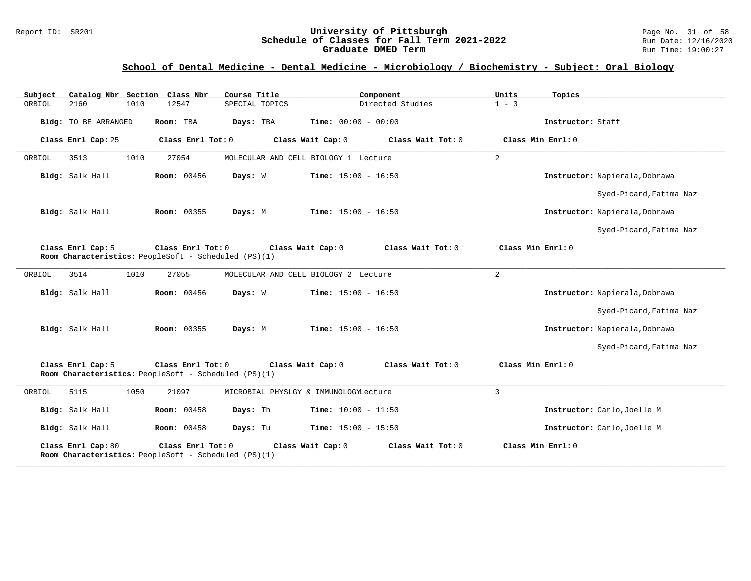#### Report ID: SR201 **University of Pittsburgh University of Pittsburgh** Page No. 31 of 58<br>**Schedule of Classes for Fall Term 2021-2022** Run Date: 12/16/2020 **Schedule of Classes for Fall Term 2021-2022** Run Date: 12/16/202<br>**Graduate DMED Term 2021-2022** Run Time: 19:00:27 **Graduate DMED Term**

| Subject              | Catalog Nbr Section Class Nbr<br>Course Title                                                                                            | Component                              | Units<br>Topics                |  |  |  |  |
|----------------------|------------------------------------------------------------------------------------------------------------------------------------------|----------------------------------------|--------------------------------|--|--|--|--|
| 2160<br>ORBIOL       | 12547<br>SPECIAL TOPICS<br>1010                                                                                                          | Directed Studies                       | $1 - 3$                        |  |  |  |  |
| Bldg: TO BE ARRANGED | Room: TBA<br>Days: TBA                                                                                                                   | Time: $00:00 - 00:00$                  | Instructor: Staff              |  |  |  |  |
| Class Enrl Cap: 25   | Class Enrl Tot: 0                                                                                                                        | Class Wait Cap: 0<br>Class Wait Tot: 0 | Class Min Enrl: 0              |  |  |  |  |
| 3513<br>ORBIOL       | 1010<br>27054                                                                                                                            | MOLECULAR AND CELL BIOLOGY 1 Lecture   | 2                              |  |  |  |  |
| Bldg: Salk Hall      | <b>Room: 00456</b><br>Days: W                                                                                                            | <b>Time:</b> $15:00 - 16:50$           | Instructor: Napierala, Dobrawa |  |  |  |  |
|                      |                                                                                                                                          |                                        | Syed-Picard, Fatima Naz        |  |  |  |  |
| Bldg: Salk Hall      | Room: 00355<br>Days: M                                                                                                                   | <b>Time:</b> $15:00 - 16:50$           | Instructor: Napierala, Dobrawa |  |  |  |  |
|                      |                                                                                                                                          |                                        | Syed-Picard, Fatima Naz        |  |  |  |  |
| Class Enrl Cap: 5    | Class Enrl Tot: 0<br>Room Characteristics: PeopleSoft - Scheduled (PS)(1)                                                                | Class Wait Tot: 0<br>Class Wait Cap: 0 | Class Min Enrl: 0              |  |  |  |  |
| 3514<br>ORBIOL       | 1010<br>27055                                                                                                                            | MOLECULAR AND CELL BIOLOGY 2 Lecture   | 2                              |  |  |  |  |
| Bldg: Salk Hall      | <b>Room:</b> 00456<br>Days: W                                                                                                            | <b>Time:</b> $15:00 - 16:50$           | Instructor: Napierala, Dobrawa |  |  |  |  |
|                      |                                                                                                                                          |                                        | Syed-Picard, Fatima Naz        |  |  |  |  |
| Bldg: Salk Hall      | Room: 00355<br>Days: M                                                                                                                   | <b>Time:</b> $15:00 - 16:50$           | Instructor: Napierala, Dobrawa |  |  |  |  |
|                      |                                                                                                                                          |                                        | Syed-Picard, Fatima Naz        |  |  |  |  |
| Class Enrl Cap: 5    | Class Min Enrl: 0<br>Class Enrl Tot: 0<br>Class Wait Cap: 0<br>Class Wait Tot: 0<br>Room Characteristics: PeopleSoft - Scheduled (PS)(1) |                                        |                                |  |  |  |  |
| 5115<br>ORBIOL       | 1050<br>21097                                                                                                                            | MICROBIAL PHYSLGY & IMMUNOLOGYLecture  | $\overline{3}$                 |  |  |  |  |
| Bldg: Salk Hall      | <b>Room:</b> 00458<br>Days: Th                                                                                                           | Time: $10:00 - 11:50$                  | Instructor: Carlo, Joelle M    |  |  |  |  |
| Bldg: Salk Hall      | <b>Room: 00458</b><br>Days: Tu                                                                                                           | <b>Time:</b> $15:00 - 15:50$           | Instructor: Carlo, Joelle M    |  |  |  |  |
| Class Enrl Cap: 80   | Class Enrl Tot: 0<br>Room Characteristics: PeopleSoft - Scheduled (PS)(1)                                                                | Class Wait Cap: 0<br>Class Wait Tot: 0 | Class Min Enrl: 0              |  |  |  |  |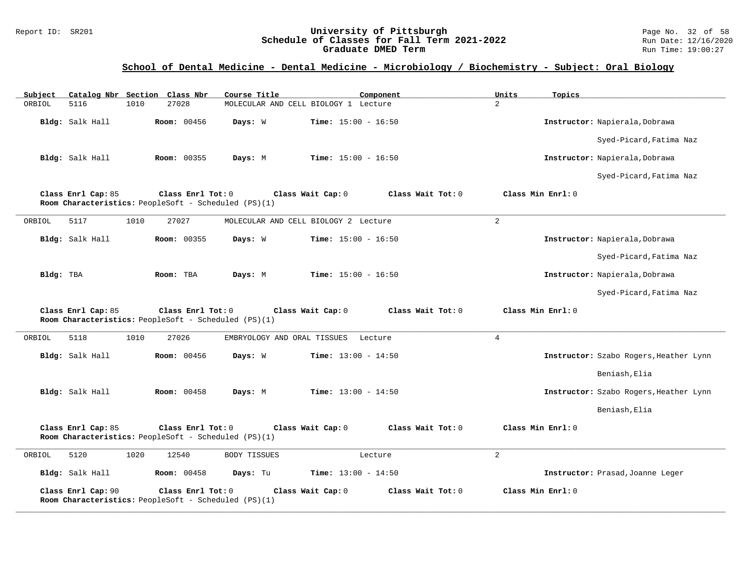#### Report ID: SR201 **1988 Constrained Building Constrained Building Constrained Building Page No. 32 of 58**<br>**Schedule of Classes for Fall Term 2021-2022** 1995 Run Date: 12/16/2020 **Schedule of Classes for Fall Term 2021-2022** Run Date: 12/16/202<br>**Graduate DMED Term 2021-2022** Run Time: 19:00:27 **Graduate DMED Term**

| Subject<br>Catalog Nbr Section Class Nbr                                   |                    | Course Title                         | Component                    | Units<br>Topics   |                                        |
|----------------------------------------------------------------------------|--------------------|--------------------------------------|------------------------------|-------------------|----------------------------------------|
| ORBIOL<br>5116<br>1010                                                     | 27028              | MOLECULAR AND CELL BIOLOGY 1 Lecture |                              | $\overline{2}$    |                                        |
| Bldg: Salk Hall                                                            | <b>Room: 00456</b> | Days: W                              | <b>Time:</b> $15:00 - 16:50$ |                   | Instructor: Napierala, Dobrawa         |
|                                                                            |                    |                                      |                              |                   | Syed-Picard, Fatima Naz                |
| Bldg: Salk Hall                                                            | Room: 00355        | Days: M                              | Time: $15:00 - 16:50$        |                   | Instructor: Napierala, Dobrawa         |
|                                                                            |                    |                                      |                              |                   | Syed-Picard, Fatima Naz                |
| Class Enrl Cap: 85<br>Room Characteristics: PeopleSoft - Scheduled (PS)(1) | Class Enrl Tot: 0  | Class Wait Cap: 0                    | Class Wait Tot: 0            | Class Min Enrl: 0 |                                        |
| 5117<br>1010<br>ORBIOL                                                     | 27027              | MOLECULAR AND CELL BIOLOGY 2 Lecture |                              | 2                 |                                        |
| Bldg: Salk Hall                                                            | <b>Room: 00355</b> | Days: W                              | <b>Time:</b> $15:00 - 16:50$ |                   | Instructor: Napierala, Dobrawa         |
|                                                                            |                    |                                      |                              |                   | Syed-Picard, Fatima Naz                |
| Bldg: TBA                                                                  | Room: TBA          | Days: M                              | <b>Time:</b> $15:00 - 16:50$ |                   | Instructor: Napierala, Dobrawa         |
|                                                                            |                    |                                      |                              |                   | Syed-Picard, Fatima Naz                |
| Class Enrl Cap: 85<br>Room Characteristics: PeopleSoft - Scheduled (PS)(1) | Class Enrl Tot: 0  | Class Wait Cap: 0                    | Class Wait Tot: 0            | Class Min Enrl: 0 |                                        |
| 5118<br>1010<br>ORBIOL                                                     | 27026              | EMBRYOLOGY AND ORAL TISSUES          | Lecture                      | 4                 |                                        |
| Bldg: Salk Hall                                                            | <b>Room: 00456</b> | Days: W                              | <b>Time:</b> $13:00 - 14:50$ |                   | Instructor: Szabo Rogers, Heather Lynn |
|                                                                            |                    |                                      |                              |                   | Beniash, Elia                          |
| Bldg: Salk Hall                                                            | <b>Room: 00458</b> | Days: M                              | <b>Time:</b> $13:00 - 14:50$ |                   | Instructor: Szabo Rogers, Heather Lynn |
|                                                                            |                    |                                      |                              |                   | Beniash, Elia                          |
| Class Enrl Cap: 85<br>Room Characteristics: PeopleSoft - Scheduled (PS)(1) | Class Enrl Tot: 0  | Class Wait Cap: 0                    | Class Wait Tot: 0            | Class Min Enrl: 0 |                                        |
| 5120<br>1020<br>ORBIOL                                                     | 12540              | <b>BODY TISSUES</b>                  | Lecture                      | 2                 |                                        |
| Bldg: Salk Hall                                                            | <b>Room: 00458</b> | Days: Tu                             | <b>Time:</b> $13:00 - 14:50$ |                   | Instructor: Prasad, Joanne Leger       |
| Class Enrl Cap: 90<br>Room Characteristics: PeopleSoft - Scheduled (PS)(1) | Class Enrl Tot: 0  | Class Wait Cap: 0                    | Class Wait Tot: 0            | Class Min Enrl: 0 |                                        |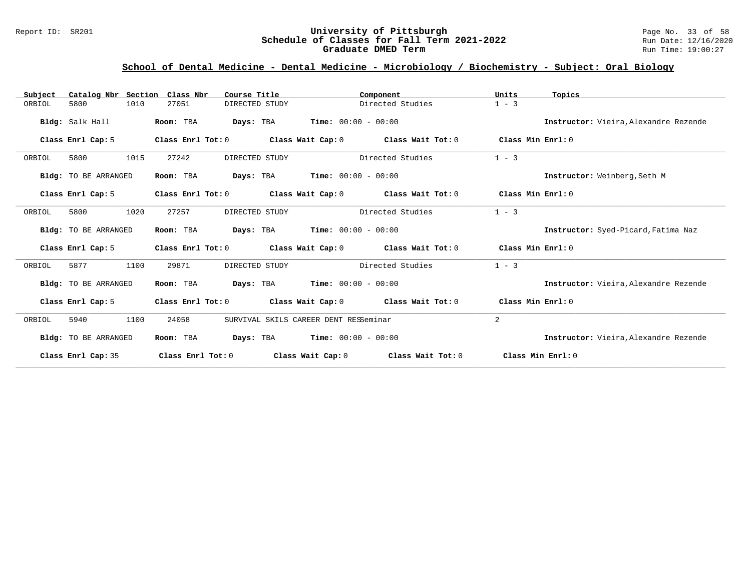#### Report ID: SR201 **1988 Mage 10: SR201 University of Pittsburgh** Page No. 33 of 58<br>**Schedule of Classes for Fall Term 2021-2022** 2011 Page No. 33 of 58 **Schedule of Classes for Fall Term 2021-2022** Run Date: 12/16/202<br>**Graduate DMED Term** 2021-2022 Run Time: 19:00:27 **Graduate DMED Term**

| Catalog Nbr Section Class Nbr<br>Subject | Course Title            | Component                                     | Units<br>Topics                       |
|------------------------------------------|-------------------------|-----------------------------------------------|---------------------------------------|
| 5800<br>1010<br>ORBIOL                   | 27051<br>DIRECTED STUDY | Directed Studies                              | $1 - 3$                               |
| Bldg: Salk Hall                          | Room: TBA<br>Days: TBA  | $Time: 00:00 - 00:00$                         | Instructor: Vieira, Alexandre Rezende |
| Class Enrl Cap: 5                        | Class Enrl Tot: 0       | Class Wait Tot: 0<br>Class Wait Cap: 0        | Class Min Enrl: 0                     |
| 1015<br>ORBIOL<br>5800                   | 27242<br>DIRECTED STUDY | Directed Studies                              | $1 - 3$                               |
| Bldg: TO BE ARRANGED                     | Room: TBA<br>Days: TBA  | $Time: 00:00 - 00:00$                         | Instructor: Weinberg, Seth M          |
| Class Enrl Cap: 5                        | Class Enrl Tot: 0       | Class Wait Cap: 0<br>Class Wait Tot: 0        | Class Min Enrl: 0                     |
| 1020<br>ORBIOL<br>5800                   | 27257<br>DIRECTED STUDY | Directed Studies                              | $1 - 3$                               |
| Bldg: TO BE ARRANGED                     | Room: TBA               | <b>Days:</b> TBA <b>Time:</b> $00:00 - 00:00$ | Instructor: Syed-Picard, Fatima Naz   |
| Class Enrl Cap: 5                        | Class Enrl Tot: 0       | Class Wait Cap: 0<br>Class Wait Tot: 0        | Class Min Enrl: 0                     |
| 5877<br>1100<br>ORBIOL                   | 29871<br>DIRECTED STUDY | Directed Studies                              | $1 - 3$                               |
| Bldg: TO BE ARRANGED                     | Days: TBA<br>Room: TBA  | $Time: 00:00 - 00:00$                         | Instructor: Vieira, Alexandre Rezende |
| Class Enrl Cap: 5                        | Class Enrl Tot: 0       | Class Wait Cap: 0<br>Class Wait Tot: 0        | Class Min Enrl: 0                     |
| 5940<br>1100<br>ORBIOL                   | 24058                   | SURVIVAL SKILS CAREER DENT RESSeminar         | 2                                     |
| Bldg: TO BE ARRANGED                     | Room: TBA<br>Days: TBA  | $Time: 00:00 - 00:00$                         | Instructor: Vieira, Alexandre Rezende |
| Class Enrl Cap: 35                       | Class Enrl Tot: 0       | Class Wait Cap: 0<br>Class Wait Tot: 0        | Class Min $Err1:0$                    |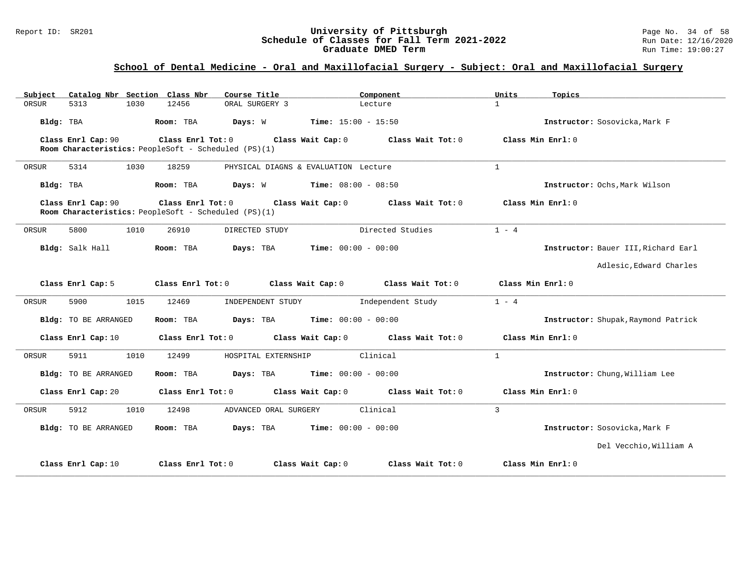#### Report ID: SR201 **1988 Constrained Building Constrained Building Constrained Building Page No. 34 of 58**<br>**Schedule of Classes for Fall Term 2021-2022** 1998 Run Date: 12/16/2020 **Schedule of Classes for Fall Term 2021-2022** Run Date: 12/16/202<br>**Graduate DMED Term 2021-2022** Run Time: 19:00:27 **Graduate DMED Term**

### **School of Dental Medicine - Oral and Maxillofacial Surgery - Subject: Oral and Maxillofacial Surgery**

| Catalog Nbr Section Class Nbr<br>Subject | Course Title                                                                                | Component                                             | Units<br>Topics                     |
|------------------------------------------|---------------------------------------------------------------------------------------------|-------------------------------------------------------|-------------------------------------|
| ORSUR<br>5313<br>1030                    | ORAL SURGERY 3<br>12456                                                                     | Lecture                                               | $\mathbf{1}$                        |
| Bldg: TBA                                | Room: TBA                                                                                   | <b>Days:</b> W <b>Time:</b> $15:00 - 15:50$           | Instructor: Sosovicka, Mark F       |
| Class Enrl Cap: 90                       | Class Enrl Tot: 0 Class Wait Cap: 0<br>Room Characteristics: PeopleSoft - Scheduled (PS)(1) | Class Wait Tot: 0                                     | Class Min Enrl: 0                   |
| 5314<br>1030<br>ORSUR                    | 18259                                                                                       | PHYSICAL DIAGNS & EVALUATION Lecture                  | $\mathbf{1}$                        |
| Bldg: TBA                                | Room: TBA                                                                                   | <b>Days:</b> $W$ <b>Time:</b> $08:00 - 08:50$         | Instructor: Ochs, Mark Wilson       |
| Class Enrl Cap: 90                       | Room Characteristics: PeopleSoft - Scheduled (PS)(1)                                        | Class Enrl Tot: 0 Class Wait Cap: 0 Class Wait Tot: 0 | Class Min Enrl: 0                   |
| 5800<br>1010<br>ORSUR                    | 26910<br>DIRECTED STUDY                                                                     | Directed Studies                                      | $1 - 4$                             |
| Bldg: Salk Hall                          | Room: TBA<br>Days: TBA                                                                      | <b>Time:</b> $00:00 - 00:00$                          | Instructor: Bauer III, Richard Earl |
|                                          |                                                                                             |                                                       | Adlesic. Edward Charles             |
| Class Enrl Cap: 5                        | Class Enrl Tot: 0<br>Class Wait Cap: 0                                                      | Class Wait Tot: 0                                     | Class Min Enrl: 0                   |
| 5900<br>1015<br>ORSUR                    | 12469<br>INDEPENDENT STUDY                                                                  | Independent Study                                     | $1 - 4$                             |
| <b>Bldg:</b> TO BE ARRANGED              | Days: TBA<br>Room: TBA                                                                      | Time: $00:00 - 00:00$                                 | Instructor: Shupak, Raymond Patrick |
| Class Enrl Cap: 10                       | Class Enrl Tot: 0                                                                           | Class Wait Cap: 0 Class Wait Tot: 0                   | Class Min Enrl: 0                   |
| 5911<br>1010<br>ORSUR                    | 12499<br>HOSPITAL EXTERNSHIP                                                                | Clinical                                              | $\mathbf{1}$                        |
| Bldg: TO BE ARRANGED                     | Days: TBA<br>Room: TBA                                                                      | <b>Time:</b> $00:00 - 00:00$                          | Instructor: Chung, William Lee      |
| Class Enrl Cap: 20                       | Class Enrl Tot: 0                                                                           | Class Wait Cap: 0 Class Wait Tot: 0                   | Class Min Enrl: 0                   |
| 5912<br>1010<br>ORSUR                    | 12498<br>ADVANCED ORAL SURGERY                                                              | Clinical                                              | $\mathbf{3}$                        |
| Bldg: TO BE ARRANGED                     | Room: TBA                                                                                   | <b>Days:</b> TBA <b>Time:</b> $00:00 - 00:00$         | Instructor: Sosovicka, Mark F       |
|                                          |                                                                                             |                                                       | Del Vecchio, William A              |
| Class Enrl Cap: 10                       | Class Enrl Tot: 0                                                                           | Class Wait Cap: 0<br>Class Wait Tot: 0                | Class Min Enrl: 0                   |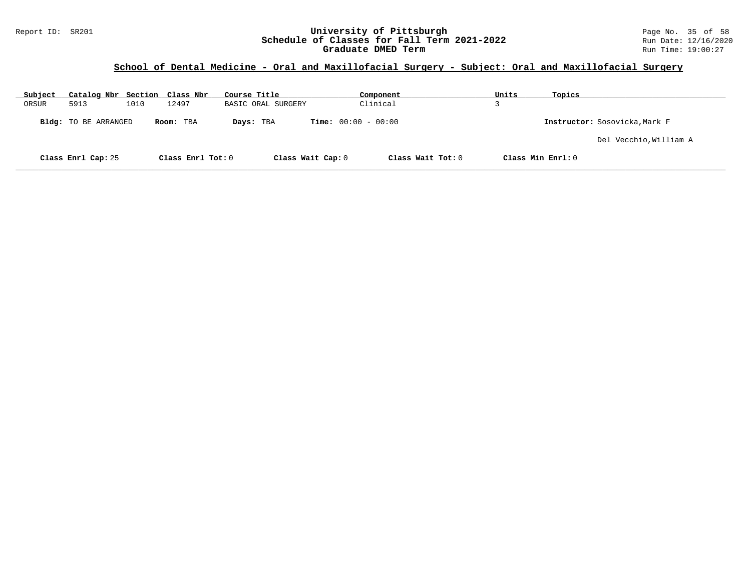#### Report ID: SR201 **University of Pittsburgh** Page No. 35 of 58 **Schedule of Classes for Fall Term 2021-2022** Run Date: 12/16/2020 **Graduate DMED Term Run Time: 19:00:27**

## **School of Dental Medicine - Oral and Maxillofacial Surgery - Subject: Oral and Maxillofacial Surgery**

| Subject | Catalog Nbr Section Class Nbr |      |                   | Course Title       | Component                              | Units             | Topics                        |
|---------|-------------------------------|------|-------------------|--------------------|----------------------------------------|-------------------|-------------------------------|
| ORSUR   | 5913                          | 1010 | 12497             | BASIC ORAL SURGERY | Clinical                               |                   |                               |
|         | <b>Bldg:</b> TO BE ARRANGED   |      | Room: TBA         | Days: TBA          | <b>Time:</b> $00:00 - 00:00$           |                   | Instructor: Sosovicka, Mark F |
|         |                               |      |                   |                    |                                        |                   | Del Vecchio, William A        |
|         | Class Enrl Cap: 25            |      | Class Enrl Tot: 0 |                    | Class Wait Cap: 0<br>Class Wait Tot: 0 | Class Min Enrl: 0 |                               |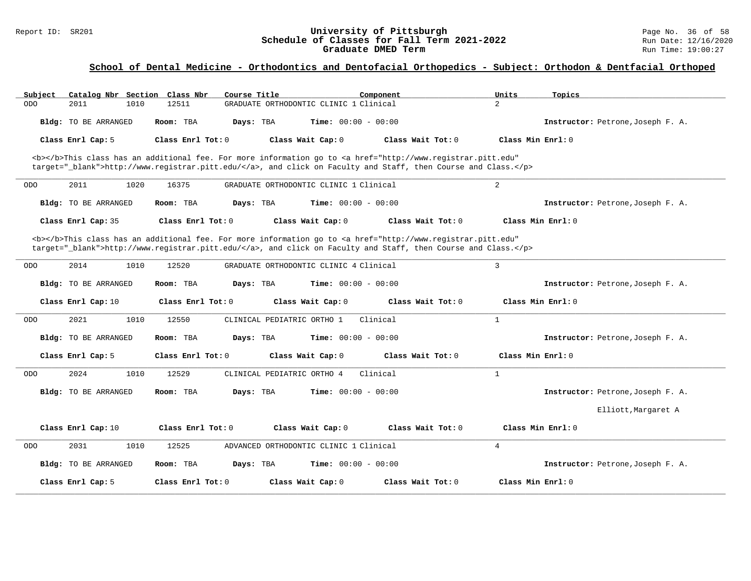#### Report ID: SR201 **1988 Mage 10: SR201 University of Pittsburgh** Page No. 36 of 58<br>**Schedule of Classes for Fall Term 2021-2022** 2011 Page No. 36 of 58 **Schedule of Classes for Fall Term 2021-2022** Run Date: 12/16/2020<br>Graduate DMED Term **Property Run Time:** 19:00:27 **Graduate DMED Term**

| Catalog Nbr Section Class Nbr<br>Subject | Course Title                                                                                                                                                                                                                       | Component<br>Units       | Topics                            |
|------------------------------------------|------------------------------------------------------------------------------------------------------------------------------------------------------------------------------------------------------------------------------------|--------------------------|-----------------------------------|
| 2011<br>1010<br><b>ODO</b>               | GRADUATE ORTHODONTIC CLINIC 1 Clinical<br>12511                                                                                                                                                                                    | $\overline{2}$           |                                   |
| Bldg: TO BE ARRANGED                     | <b>Time:</b> $00:00 - 00:00$<br>Room: TBA<br>Days: TBA                                                                                                                                                                             |                          | Instructor: Petrone, Joseph F. A. |
| Class Enrl Cap: 5                        | Class Enrl Tot: 0<br>Class Wait Cap: 0                                                                                                                                                                                             | Class Wait Tot: $0$      | Class Min $Enrl: 0$               |
|                                          | <b></b> This class has an additional fee. For more information go to <a <br="" href="http://www.registrar.pitt.edu">target="_blank"&gt;http://www.registrar.pitt.edu/</a> , and click on Faculty and Staff, then Course and Class. |                          |                                   |
| 2011<br>1020<br><b>ODO</b>               | 16375<br>GRADUATE ORTHODONTIC CLINIC 1 Clinical                                                                                                                                                                                    | $\overline{a}$           |                                   |
| Bldg: TO BE ARRANGED                     | Days: TBA<br><b>Time:</b> $00:00 - 00:00$<br>Room: TBA                                                                                                                                                                             |                          | Instructor: Petrone, Joseph F. A. |
| Class Enrl Cap: 35                       | Class Enrl Tot: 0<br>Class Wait Cap: 0                                                                                                                                                                                             | Class Wait Tot: 0        | Class Min Enrl: 0                 |
|                                          | <b></b> This class has an additional fee. For more information go to <a <br="" href="http://www.registrar.pitt.edu">target="_blank"&gt;http://www.registrar.pitt.edu/</a> , and click on Faculty and Staff, then Course and Class. |                          |                                   |
| 2014<br>1010<br><b>ODO</b>               | 12520<br>GRADUATE ORTHODONTIC CLINIC 4 Clinical                                                                                                                                                                                    | 3                        |                                   |
| Bldg: TO BE ARRANGED                     | Time: $00:00 - 00:00$<br>Room: TBA<br>Days: TBA                                                                                                                                                                                    |                          | Instructor: Petrone, Joseph F. A. |
| Class Enrl Cap: 10                       | Class Enrl Tot: 0<br>Class Wait Cap: 0                                                                                                                                                                                             | Class Wait Tot: 0        | Class Min Enrl: 0                 |
| 2021<br>1010<br><b>ODO</b>               | 12550<br>CLINICAL PEDIATRIC ORTHO 1                                                                                                                                                                                                | $\mathbf{1}$<br>Clinical |                                   |
| Bldg: TO BE ARRANGED                     | Room: TBA<br><b>Time:</b> $00:00 - 00:00$<br>Days: TBA                                                                                                                                                                             |                          | Instructor: Petrone, Joseph F. A. |
| Class Enrl Cap: 5                        | Class Enrl Tot: 0<br>Class Wait Cap: 0                                                                                                                                                                                             | Class Wait Tot: 0        | Class Min $Enrl: 0$               |
| 2024<br>1010<br><b>ODO</b>               | 12529<br>CLINICAL PEDIATRIC ORTHO 4                                                                                                                                                                                                | Clinical<br>$\mathbf{1}$ |                                   |
| Bldg: TO BE ARRANGED                     | <b>Time:</b> $00:00 - 00:00$<br>Room: TBA<br>Davs: TBA                                                                                                                                                                             |                          | Instructor: Petrone, Joseph F. A. |
|                                          |                                                                                                                                                                                                                                    |                          | Elliott, Margaret A               |
| Class Enrl Cap: 10                       | Class Enrl Tot: 0<br>Class Wait Cap: 0                                                                                                                                                                                             | Class Wait Tot: 0        | Class Min Enrl: 0                 |
| 2031<br>1010<br><b>ODO</b>               | 12525<br>ADVANCED ORTHODONTIC CLINIC 1 Clinical                                                                                                                                                                                    | $\overline{4}$           |                                   |
| <b>Bldg:</b> TO BE ARRANGED              | Days: TBA<br>Time: $00:00 - 00:00$<br>Room: TBA                                                                                                                                                                                    |                          | Instructor: Petrone, Joseph F. A. |
| Class Enrl Cap: 5                        | Class Enrl Tot: 0<br>Class Wait Cap: 0                                                                                                                                                                                             | Class Wait Tot: 0        | Class Min Enrl: 0                 |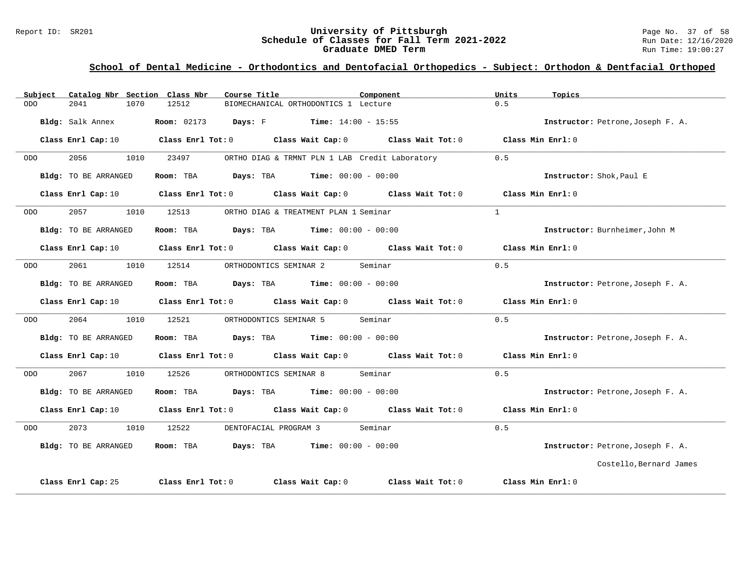#### Report ID: SR201 **1988 Mage 10: SR201 University of Pittsburgh** Page No. 37 of 58<br>**Schedule of Classes for Fall Term 2021-2022** 2011 Page No. 37 of 58 **Schedule of Classes for Fall Term 2021-2022** Run Date: 12/16/2020<br>Graduate DMED Term **Property Run Time:** 19:00:27 **Graduate DMED Term**

| Subject    | Catalog Nbr Section Class Nbr | Course Title | Component                                                                                           | Units<br>Topics                   |
|------------|-------------------------------|--------------|-----------------------------------------------------------------------------------------------------|-----------------------------------|
| <b>ODO</b> | 1070<br>2041                  | 12512        | BIOMECHANICAL ORTHODONTICS 1 Lecture                                                                | 0.5                               |
|            | Bldg: Salk Annex              |              | <b>Room:</b> 02173 <b>Days:</b> F <b>Time:</b> $14:00 - 15:55$                                      | Instructor: Petrone, Joseph F. A. |
|            | Class Enrl Cap: 10            |              | Class Enrl Tot: $0$ Class Wait Cap: $0$ Class Wait Tot: $0$ Class Min Enrl: $0$                     |                                   |
| ODO        | 2056<br>1010                  | 23497        | ORTHO DIAG & TRMNT PLN 1 LAB Credit Laboratory                                                      | 0.5                               |
|            | Bldg: TO BE ARRANGED          |              | Room: TBA $Days:$ TBA $Time: 00:00 - 00:00$                                                         | Instructor: Shok, Paul E          |
|            |                               |              | Class Enrl Cap: 10 $\qquad$ Class Enrl Tot: 0 $\qquad$ Class Wait Cap: 0 $\qquad$ Class Wait Tot: 0 | Class Min Enrl: 0                 |
| ODO        | 2057<br>1010                  | 12513        | ORTHO DIAG & TREATMENT PLAN 1 Seminar                                                               | $\mathbf{1}$                      |
|            | Bldg: TO BE ARRANGED          |              | Room: TBA $Days:$ TBA $Time: 00:00 - 00:00$                                                         | Instructor: Burnheimer, John M    |
|            | Class Enrl Cap: 10            |              | Class Enrl Tot: 0 Class Wait Cap: 0 Class Wait Tot: 0                                               | Class Min Enrl: 0                 |
| ODO        | 2061<br>1010                  | 12514        | ORTHODONTICS SEMINAR 2<br>Seminar                                                                   | 0.5                               |
|            | Bldg: TO BE ARRANGED          |              | Room: TBA $Days:$ TBA $Time: 00:00 - 00:00$                                                         | Instructor: Petrone, Joseph F. A. |
|            | Class Enrl Cap: 10            |              | Class Enrl Tot: 0 Class Wait Cap: 0 Class Wait Tot: 0                                               | Class Min Enrl: 0                 |
| ODO        | 2064<br>1010                  | 12521        | ORTHODONTICS SEMINAR 5<br>Seminar                                                                   | 0.5                               |
|            | Bldg: TO BE ARRANGED          |              | Room: TBA $Days:$ TBA $Time: 00:00 - 00:00$                                                         | Instructor: Petrone, Joseph F. A. |
|            |                               |              | Class Enrl Cap: 10 $\qquad$ Class Enrl Tot: 0 $\qquad$ Class Wait Cap: 0 $\qquad$ Class Wait Tot: 0 | Class Min Enrl: 0                 |
| ODO        | 2067<br>1010                  | 12526        | Seminar<br>ORTHODONTICS SEMINAR 8                                                                   | 0.5                               |
|            | Bldg: TO BE ARRANGED          |              | Room: TBA $Days:$ TBA $Time: 00:00 - 00:00$                                                         | Instructor: Petrone, Joseph F. A. |
|            |                               |              | Class Enrl Cap: 10 $\qquad$ Class Enrl Tot: 0 $\qquad$ Class Wait Cap: 0 $\qquad$ Class Wait Tot: 0 | Class Min Enrl: 0                 |
| ODO.       | 2073<br>1010                  | 12522        | DENTOFACIAL PROGRAM 3 Seminar                                                                       | 0.5                               |
|            | Bldg: TO BE ARRANGED          |              | Room: TBA $Days:$ TBA $Time: 00:00 - 00:00$                                                         | Instructor: Petrone, Joseph F. A. |
|            |                               |              |                                                                                                     | Costello, Bernard James           |
|            | Class Enrl Cap: 25            |              | Class Enrl Tot: 0 Class Wait Cap: 0 Class Wait Tot: 0                                               | Class Min Enrl: 0                 |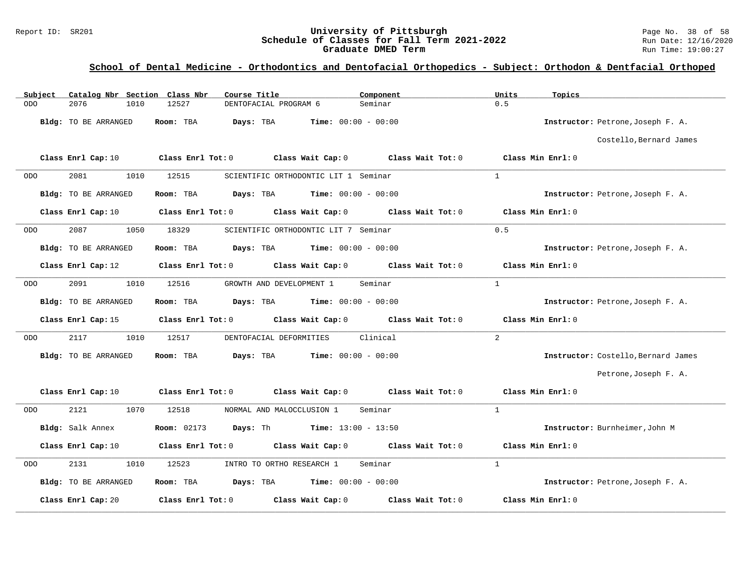#### Report ID: SR201 **1988 Mage 10: SR201 University of Pittsburgh** Page No. 38 of 58<br>**Schedule of Classes for Fall Term 2021-2022** 2011 Page No. 38 of 58 **Schedule of Classes for Fall Term 2021-2022** Run Date: 12/16/2020<br>Graduate DMED Term **Property Run Time:** 19:00:27 **Graduate DMED Term**

| Catalog Nbr Section Class Nbr<br>Subject | Course Title                                                    | Component                           | Units<br>Topics                     |
|------------------------------------------|-----------------------------------------------------------------|-------------------------------------|-------------------------------------|
| 2076<br><b>ODO</b><br>1010               | 12527<br>DENTOFACIAL PROGRAM 6                                  | Seminar                             | 0.5                                 |
| Bldg: TO BE ARRANGED                     | <b>Time:</b> $00:00 - 00:00$<br>Room: TBA<br>Days: TBA          |                                     | Instructor: Petrone, Joseph F. A.   |
|                                          |                                                                 |                                     | Costello, Bernard James             |
| Class Enrl Cap: 10                       | Class Enrl Tot: 0<br>Class Wait Cap: 0                          | Class Wait Tot: 0                   | Class Min Enrl: 0                   |
| 2081<br>1010<br><b>ODO</b>               | 12515<br>SCIENTIFIC ORTHODONTIC LIT 1 Seminar                   |                                     | $\overline{1}$                      |
| Bldg: TO BE ARRANGED                     | <b>Days:</b> TBA <b>Time:</b> $00:00 - 00:00$<br>Room: TBA      |                                     | Instructor: Petrone, Joseph F. A.   |
| Class Enrl Cap: 10                       | $Class$ $Enr1$ $Tot: 0$                                         | Class Wait Cap: 0 Class Wait Tot: 0 | Class Min Enrl: 0                   |
| 2087<br>1050<br><b>ODO</b>               | 18329<br>SCIENTIFIC ORTHODONTIC LIT 7 Seminar                   |                                     | 0.5                                 |
| Bldg: TO BE ARRANGED                     | Room: TBA<br>Days: TBA<br><b>Time:</b> $00:00 - 00:00$          |                                     | Instructor: Petrone, Joseph F. A.   |
| Class Enrl Cap: 12                       | Class Enrl Tot: 0 Class Wait Cap: 0 Class Wait Tot: 0           |                                     | Class Min Enrl: 0                   |
| 2091<br><b>ODO</b><br>1010               | 12516<br>GROWTH AND DEVELOPMENT 1                               | Seminar                             | $\mathbf{1}$                        |
| Bldg: TO BE ARRANGED                     | Time: $00:00 - 00:00$<br>Room: TBA<br>Days: TBA                 |                                     | Instructor: Petrone, Joseph F. A.   |
| Class Enrl Cap: 15                       | Class Enrl Tot: 0 Class Wait Cap: 0 Class Wait Tot: 0           |                                     | Class Min Enrl: 0                   |
| 2117<br>1010<br><b>ODO</b>               | 12517<br>DENTOFACIAL DEFORMITIES                                | Clinical                            | 2                                   |
| Bldg: TO BE ARRANGED                     | Days: TBA<br><b>Time:</b> $00:00 - 00:00$<br>Room: TBA          |                                     | Instructor: Costello, Bernard James |
|                                          |                                                                 |                                     | Petrone, Joseph F. A.               |
| Class Enrl Cap: 10                       | Class Wait Cap: 0<br>Class Enrl Tot: 0                          | Class Wait Tot: 0                   | Class Min Enrl: 0                   |
| 2121<br>1070<br>ODO                      | 12518<br>NORMAL AND MALOCCLUSION 1                              | Seminar                             | $\mathbf{1}$                        |
| Bldg: Salk Annex                         | <b>Room:</b> 02173 <b>Days:</b> Th <b>Time:</b> $13:00 - 13:50$ |                                     | Instructor: Burnheimer, John M      |
| Class Enrl Cap: 10                       | Class Enrl Tot: 0<br>Class Wait Cap: 0                          | Class Wait Tot: 0                   | Class Min Enrl: 0                   |
| 2131<br>1010<br>ODO                      | 12523<br>INTRO TO ORTHO RESEARCH 1                              | Seminar                             | $\mathbf{1}$                        |
| Bldg: TO BE ARRANGED                     | Room: TBA<br><b>Days:</b> TBA <b>Time:</b> $00:00 - 00:00$      |                                     | Instructor: Petrone, Joseph F. A.   |
| Class Enrl Cap: 20                       | Class Enrl Tot: 0<br>Class Wait Cap: 0                          | Class Wait Tot: 0                   | Class Min Enrl: 0                   |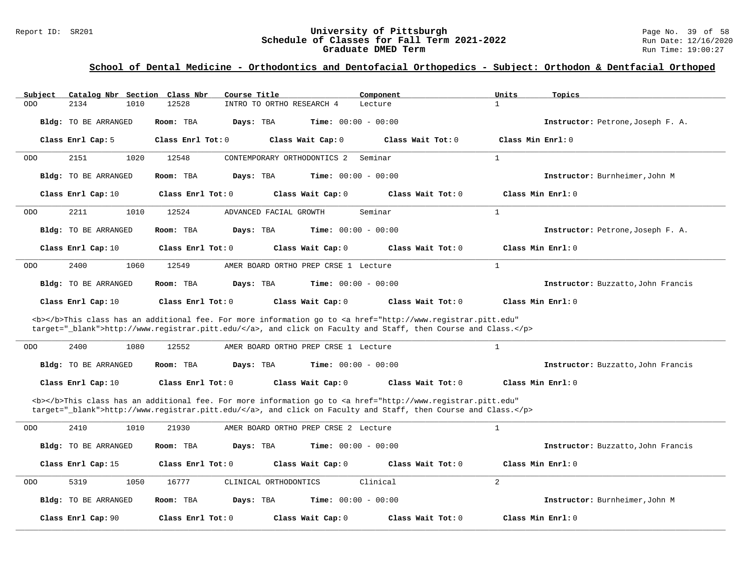#### Report ID: SR201 **1988 Mage 10: SR201 University of Pittsburgh** Page No. 39 of 58<br>**Schedule of Classes for Fall Term 2021-2022** 2011 Page No. 39 of 58 **Schedule of Classes for Fall Term 2021-2022** Run Date: 12/16/2020<br>Graduate DMED Term **Property Run Time:** 19:00:27 **Graduate DMED Term**

| Subject                    | Catalog Nbr Section Class Nbr<br>Course Title                                                                                                                                                                                      | Component                    | Units<br>Topics                    |
|----------------------------|------------------------------------------------------------------------------------------------------------------------------------------------------------------------------------------------------------------------------------|------------------------------|------------------------------------|
| <b>ODO</b><br>2134<br>1010 | 12528<br>INTRO TO ORTHO RESEARCH 4                                                                                                                                                                                                 | Lecture                      | $\mathbf{1}$                       |
| Bldg: TO BE ARRANGED       | Room: TBA<br>Days: TBA                                                                                                                                                                                                             | <b>Time:</b> $00:00 - 00:00$ | Instructor: Petrone, Joseph F. A.  |
| Class Enrl Cap: 5          | Class Enrl Tot: 0<br>Class Wait Cap: 0                                                                                                                                                                                             | Class Wait Tot: 0            | Class Min Enrl: 0                  |
| 2151<br>1020<br><b>ODO</b> | 12548<br>CONTEMPORARY ORTHODONTICS 2                                                                                                                                                                                               | Seminar                      | $\mathbf{1}$                       |
| Bldg: TO BE ARRANGED       | Room: TBA<br>Days: TBA                                                                                                                                                                                                             | <b>Time:</b> $00:00 - 00:00$ | Instructor: Burnheimer, John M     |
| Class Enrl Cap: 10         | Class Enrl Tot: $0$<br>Class Wait Cap: 0                                                                                                                                                                                           | Class Wait $Tot: 0$          | Class Min $Enrl: 0$                |
| 2211<br>1010<br><b>ODO</b> | 12524<br>ADVANCED FACIAL GROWTH                                                                                                                                                                                                    | Seminar                      | $\mathbf{1}$                       |
| Bldg: TO BE ARRANGED       | Room: TBA<br>Days: TBA                                                                                                                                                                                                             | <b>Time:</b> $00:00 - 00:00$ | Instructor: Petrone, Joseph F. A.  |
| Class Enrl Cap: 10         | Class Enrl Tot: 0<br>Class Wait Cap: 0                                                                                                                                                                                             | Class Wait Tot: 0            | Class Min Enrl: 0                  |
| 2400<br>1060<br><b>ODO</b> | 12549<br>AMER BOARD ORTHO PREP CRSE 1 Lecture                                                                                                                                                                                      |                              | $\mathbf{1}$                       |
| Bldg: TO BE ARRANGED       | Days: TBA<br>Room: TBA                                                                                                                                                                                                             | <b>Time:</b> $00:00 - 00:00$ | Instructor: Buzzatto, John Francis |
| Class Enrl Cap: 10         | Class Enrl Tot: 0<br>Class Wait Cap: 0                                                                                                                                                                                             | Class Wait Tot: 0            | Class Min Enrl: 0                  |
|                            | <b></b> This class has an additional fee. For more information go to <a <br="" href="http://www.registrar.pitt.edu">target="_blank"&gt;http://www.registrar.pitt.edu/</a> , and click on Faculty and Staff, then Course and Class. |                              |                                    |
| 2400<br>1080<br><b>ODO</b> | 12552<br>AMER BOARD ORTHO PREP CRSE 1 Lecture                                                                                                                                                                                      |                              | 1                                  |
| Bldg: TO BE ARRANGED       | Room: TBA<br>Days: TBA                                                                                                                                                                                                             | <b>Time:</b> $00:00 - 00:00$ | Instructor: Buzzatto, John Francis |
| Class Enrl Cap: 10         | Class Enrl Tot: 0<br>Class Wait Cap: 0                                                                                                                                                                                             | Class Wait Tot: 0            | Class Min Enrl: 0                  |
|                            | <b></b> This class has an additional fee. For more information go to <a <br="" href="http://www.registrar.pitt.edu">target="_blank"&gt;http://www.registrar.pitt.edu/</a> , and click on Faculty and Staff, then Course and Class. |                              |                                    |
| 2410<br>1010<br><b>ODO</b> | 21930<br>AMER BOARD ORTHO PREP CRSE 2 Lecture                                                                                                                                                                                      |                              | $\mathbf{1}$                       |
| Bldg: TO BE ARRANGED       | Room: TBA<br>Days: TBA                                                                                                                                                                                                             | <b>Time:</b> $00:00 - 00:00$ | Instructor: Buzzatto, John Francis |
| Class Enrl Cap: 15         | Class Enrl Tot: 0<br>Class Wait Cap: 0                                                                                                                                                                                             | Class Wait Tot: 0            | Class Min Enrl: 0                  |
| 5319<br>1050<br><b>ODO</b> | 16777<br>CLINICAL ORTHODONTICS                                                                                                                                                                                                     | Clinical                     | $\overline{a}$                     |
| Bldg: TO BE ARRANGED       | Room: TBA<br>Days: TBA                                                                                                                                                                                                             | <b>Time:</b> $00:00 - 00:00$ | Instructor: Burnheimer, John M     |
| Class Enrl Cap: 90         | Class Enrl Tot: 0<br>Class Wait Cap: 0                                                                                                                                                                                             | Class Wait Tot: 0            | Class Min Enrl: 0                  |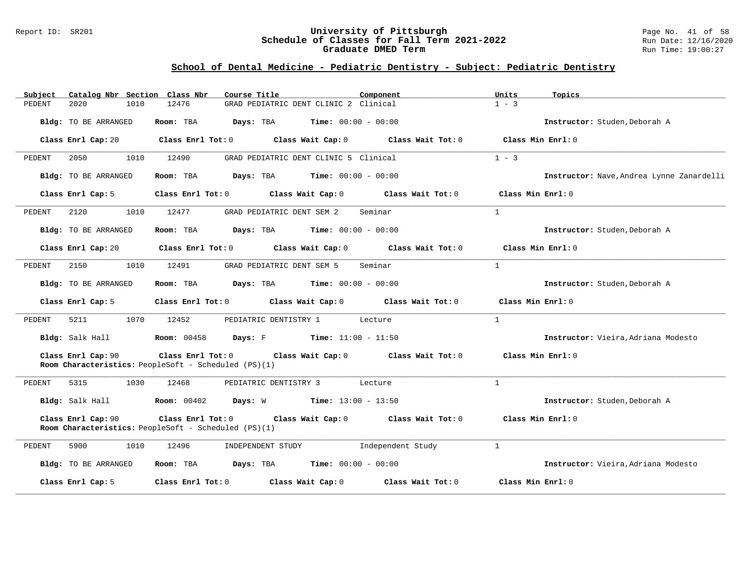#### Report ID: SR201 **University of Pittsburgh** Page No. 41 of 58 **Schedule of Classes for Fall Term 2021-2022** Run Date: 12/16/2020 **Graduate DMED Term Run Time: 19:00:27**

## **School of Dental Medicine - Pediatric Dentistry - Subject: Pediatric Dentistry**

| Catalog Nbr Section Class Nbr<br>Subject | Course Title<br>Component                                                                                            | Units<br>Topics                           |
|------------------------------------------|----------------------------------------------------------------------------------------------------------------------|-------------------------------------------|
| 2020<br>PEDENT<br>1010                   | 12476<br>GRAD PEDIATRIC DENT CLINIC 2 Clinical                                                                       | $1 - 3$                                   |
| Bldg: TO BE ARRANGED                     | Room: TBA<br>Days: TBA<br>$Time: 00:00 - 00:00$                                                                      | Instructor: Studen, Deborah A             |
| Class Enrl Cap: 20                       | $Class$ $Enr1$ $Tot: 0$<br>Class Wait Cap: $0$ Class Wait Tot: $0$                                                   | Class Min Enrl: 0                         |
| 2050<br>1010<br>PEDENT                   | 12490<br>GRAD PEDIATRIC DENT CLINIC 5 Clinical                                                                       | $1 - 3$                                   |
| Bldg: TO BE ARRANGED                     | $\texttt{Days:}$ TBA Time: $00:00 - 00:00$<br>Room: TBA                                                              | Instructor: Nave, Andrea Lynne Zanardelli |
| Class Enrl Cap: 5                        | Class Enrl Tot: 0 Class Wait Cap: 0<br>Class Wait Tot: 0                                                             | Class Min Enrl: 0                         |
| 2120<br>1010<br>PEDENT                   | 12477<br>GRAD PEDIATRIC DENT SEM 2<br>Seminar                                                                        | $\mathbf{1}$                              |
| Bldg: TO BE ARRANGED                     | Room: TBA $Days:$ TBA $Time: 00:00 - 00:00$                                                                          | Instructor: Studen, Deborah A             |
| Class Enrl Cap: 20                       | Class Enrl Tot: 0 Class Wait Cap: 0 Class Wait Tot: 0                                                                | Class Min Enrl: 0                         |
| 2150<br>1010<br>PEDENT                   | 12491<br>Seminar<br>GRAD PEDIATRIC DENT SEM 5                                                                        | $\mathbf{1}$                              |
| Bldg: TO BE ARRANGED                     | Room: TBA<br><b>Days:</b> TBA <b>Time:</b> $00:00 - 00:00$                                                           | Instructor: Studen, Deborah A             |
| Class Enrl Cap: 5                        | Class Enrl Tot: 0 Class Wait Cap: 0 Class Wait Tot: 0                                                                | Class Min Enrl: $0$                       |
| 5211<br>1070<br>PEDENT                   | 12452<br>PEDIATRIC DENTISTRY 1<br>Lecture                                                                            | $\mathbf{1}$                              |
|                                          | Bldg: Salk Hall <b>Room:</b> 00458 <b>Days:</b> F <b>Time:</b> 11:00 - 11:50                                         | Instructor: Vieira, Adriana Modesto       |
| Class Enrl Cap: 90                       | Class Enrl Tot: 0<br>Class Wait Cap: $0$ Class Wait Tot: $0$<br>Room Characteristics: PeopleSoft - Scheduled (PS)(1) | Class Min Enrl: 0                         |
| 5315<br>1030<br>PEDENT                   | 12468<br>PEDIATRIC DENTISTRY 3 Lecture                                                                               | $\mathbf{1}$                              |
|                                          | Bldg: Salk Hall <b>Room:</b> 00402 <b>Days:</b> W <b>Time:</b> 13:00 - 13:50                                         | Instructor: Studen, Deborah A             |
| Class Enrl Cap: 90                       | Class Enrl Tot: 0 Class Wait Cap: 0 Class Wait Tot: 0<br>Room Characteristics: PeopleSoft - Scheduled (PS)(1)        | Class Min Enrl: 0                         |
| 5900<br>1010<br>PEDENT                   | INDEPENDENT STUDY 1ndependent Study<br>12496                                                                         | $\mathbf{1}$                              |
| Bldg: TO BE ARRANGED                     | Room: TBA $Days:$ TBA $Time: 00:00 - 00:00$                                                                          | Instructor: Vieira, Adriana Modesto       |
| Class Enrl Cap: 5                        | Class Enrl Tot: 0 Class Wait Cap: 0<br>Class Wait Tot: 0                                                             | Class Min Enrl: 0                         |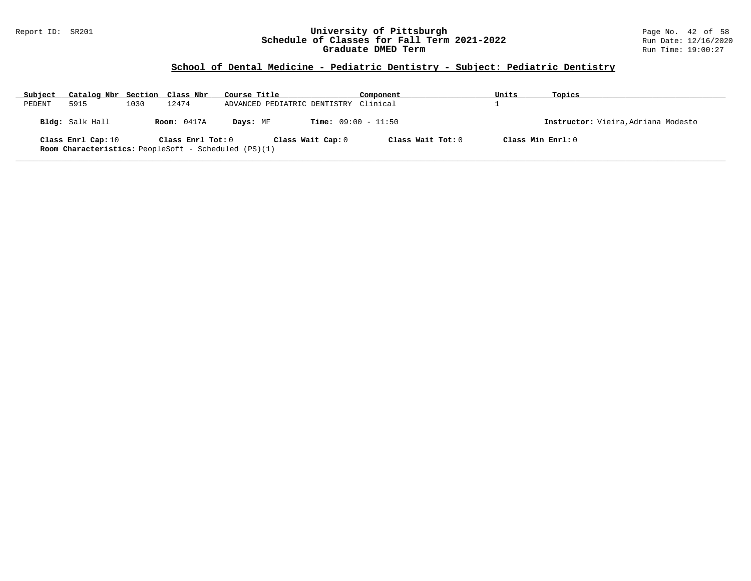#### Report ID: SR201 **University of Pittsburgh** Page No. 42 of 58 **Schedule of Classes for Fall Term 2021-2022** Run Date: 12/16/2020 **Graduate DMED Term Run Time: 19:00:27**

## **School of Dental Medicine - Pediatric Dentistry - Subject: Pediatric Dentistry**

| Subject | Catalog Nbr Section Class Nbr                                                     |      |                    | Course Title                          | Component                    | Units | Topics                              |
|---------|-----------------------------------------------------------------------------------|------|--------------------|---------------------------------------|------------------------------|-------|-------------------------------------|
| PEDENT  | 5915                                                                              | 1030 | 12474              | ADVANCED PEDIATRIC DENTISTRY Clinical |                              |       |                                     |
|         | Bldg: Salk Hall                                                                   |      | <b>Room:</b> 0417A | Davs: MF                              | <b>Time:</b> $09:00 - 11:50$ |       | Instructor: Vieira, Adriana Modesto |
|         | Class Enrl Cap: 10<br><b>Room Characteristics:</b> PeopleSoft - Scheduled (PS)(1) |      | Class Enrl Tot: 0  | Class Wait Cap: 0                     | Class Wait Tot: 0            |       | Class Min $Enrl: 0$                 |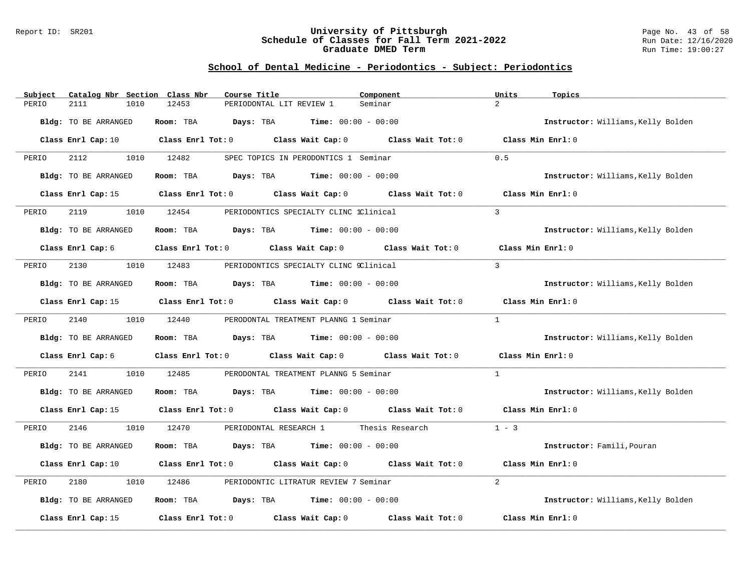#### Report ID: SR201 **University of Pittsburgh** Page No. 43 of 58 **Schedule of Classes for Fall Term 2021-2022** Run Date: 12/16/2020 **Graduate DMED Term Run Time: 19:00:27**

| Catalog Nbr Section<br>Subject | Class Nbr<br>Course Title                                         | Component         | Units<br>Topics                    |
|--------------------------------|-------------------------------------------------------------------|-------------------|------------------------------------|
| PERIO<br>2111<br>1010          | 12453<br>PERIODONTAL LIT REVIEW 1                                 | Seminar           | $\overline{2}$                     |
| Bldg: TO BE ARRANGED           | Room: TBA<br><b>Days:</b> TBA <b>Time:</b> $00:00 - 00:00$        |                   | Instructor: Williams, Kelly Bolden |
| Class Enrl Cap: 10             | Class Enrl Tot: 0 Class Wait Cap: 0                               | Class Wait Tot: 0 | Class Min Enrl: 0                  |
| 2112<br>1010<br>PERIO          | 12482<br>SPEC TOPICS IN PERODONTICS 1 Seminar                     |                   | 0.5                                |
| Bldg: TO BE ARRANGED           | <b>Days:</b> TBA <b>Time:</b> $00:00 - 00:00$<br>Room: TBA        |                   | Instructor: Williams, Kelly Bolden |
| Class Enrl Cap: 15             | Class Enrl Tot: 0 Class Wait Cap: 0 Class Wait Tot: 0             |                   | Class Min Enrl: 0                  |
| PERIO<br>2119<br>1010          | 12454<br>PERIODONTICS SPECIALTY CLINC 1Clinical                   |                   | $\overline{3}$                     |
| Bldg: TO BE ARRANGED           | Room: TBA<br><b>Days:</b> TBA <b>Time:</b> $00:00 - 00:00$        |                   | Instructor: Williams, Kelly Bolden |
| Class Enrl Cap: 6              | Class Enrl Tot: 0 Class Wait Cap: 0 Class Wait Tot: 0             |                   | Class Min Enrl: 0                  |
| 2130<br>1010<br>PERIO          | 12483<br>PERIODONTICS SPECIALTY CLINC 9Clinical                   |                   | $\mathbf{R}$                       |
| Bldg: TO BE ARRANGED           | <b>Days:</b> TBA <b>Time:</b> $00:00 - 00:00$<br>Room: TBA        |                   | Instructor: Williams, Kelly Bolden |
| Class Enrl Cap: 15             | Class Enrl Tot: 0 Class Wait Cap: 0 Class Wait Tot: 0             |                   | Class Min Enrl: 0                  |
| 2140<br>1010<br>PERIO          | 12440<br>PERODONTAL TREATMENT PLANNG 1 Seminar                    |                   | $\mathbf{1}$                       |
| Bldg: TO BE ARRANGED           | $\texttt{Davis:}$ TBA $\texttt{Time:}$ 00:00 - 00:00<br>Room: TBA |                   | Instructor: Williams, Kelly Bolden |
| Class Enrl Cap: 6              | Class Enrl Tot: 0 Class Wait Cap: 0 Class Wait Tot: 0             |                   | Class Min Enrl: 0                  |
| 2141<br>1010<br>PERIO          | 12485<br>PERODONTAL TREATMENT PLANNG 5 Seminar                    |                   | $\mathbf{1}$                       |
| Bldg: TO BE ARRANGED           | <b>Days:</b> TBA <b>Time:</b> $00:00 - 00:00$<br>Room: TBA        |                   | Instructor: Williams, Kelly Bolden |
| Class Enrl Cap: 15             | Class Enrl Tot: 0 Class Wait Cap: 0 Class Wait Tot: 0             |                   | Class Min Enrl: 0                  |
| 1010<br>PERIO<br>2146          | 12470<br>PERIODONTAL RESEARCH 1 Thesis Research                   |                   | $1 - 3$                            |
| Bldg: TO BE ARRANGED           | Room: TBA<br>$\texttt{Davis:}$ TBA $\texttt{Time:}$ 00:00 - 00:00 |                   | Instructor: Famili, Pouran         |
| Class Enrl Cap: 10             | Class Enrl Tot: 0 Class Wait Cap: 0 Class Wait Tot: 0             |                   | Class Min Enrl: 0                  |
| 2180<br>1010<br>PERIO          | 12486<br>PERIODONTIC LITRATUR REVIEW 7 Seminar                    |                   | $\overline{2}$                     |
| Bldg: TO BE ARRANGED           | <b>Days:</b> TBA <b>Time:</b> $00:00 - 00:00$<br>Room: TBA        |                   | Instructor: Williams, Kelly Bolden |
| Class Enrl Cap: 15             | $Class$ $Enr1$ $Tot: 0$<br>Class Wait Cap: 0                      | Class Wait Tot: 0 | Class Min Enrl: 0                  |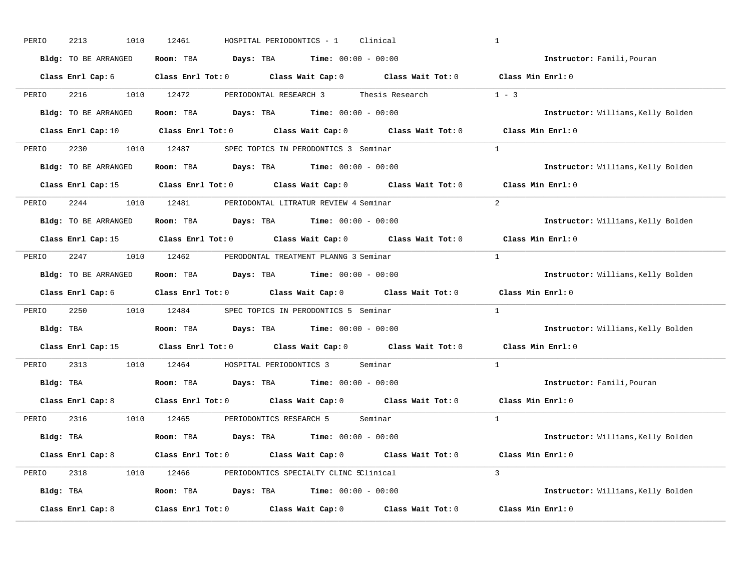| PERIO<br>2213<br>1010 | 12461<br>HOSPITAL PERIODONTICS - 1<br>Clinical                                                                                 | $\mathbf{1}$                       |
|-----------------------|--------------------------------------------------------------------------------------------------------------------------------|------------------------------------|
| Bldg: TO BE ARRANGED  | Room: TBA $Days:$ TBA $Time: 00:00 - 00:00$                                                                                    | Instructor: Famili, Pouran         |
| Class Enrl Cap: 6     | Class Enrl Tot: 0 $\qquad$ Class Wait Cap: 0 $\qquad$ Class Wait Tot: 0 $\qquad$ Class Min Enrl: 0                             |                                    |
| 2216<br>PERIO         | 1010 12472<br>PERIODONTAL RESEARCH 3 Thesis Research                                                                           | $1 - 3$                            |
| Bldg: TO BE ARRANGED  | Room: TBA $Days:$ TBA $Time: 00:00 - 00:00$                                                                                    | Instructor: Williams, Kelly Bolden |
|                       | Class Enrl Cap: 10 $\qquad$ Class Enrl Tot: 0 $\qquad$ Class Wait Cap: 0 $\qquad$ Class Wait Tot: 0 $\qquad$ Class Min Enrl: 0 |                                    |
| PERIO                 | 2230 1010 12487 SPEC TOPICS IN PERODONTICS 3 Seminar                                                                           | $\mathbf{1}$                       |
| Bldg: TO BE ARRANGED  | Room: TBA $Days: TBA$ Time: $00:00 - 00:00$                                                                                    | Instructor: Williams, Kelly Bolden |
|                       | Class Enrl Cap: 15 $\qquad$ Class Enrl Tot: 0 $\qquad$ Class Wait Cap: 0 $\qquad$ Class Wait Tot: 0                            | Class Min Enrl: 0                  |
| PERIO                 | 2244 1010 12481 PERIODONTAL LITRATUR REVIEW 4 Seminar                                                                          | 2                                  |
| Bldg: TO BE ARRANGED  | Room: TBA $\rule{1em}{0.15mm}$ Days: TBA Time: $00:00 - 00:00$                                                                 | Instructor: Williams, Kelly Bolden |
|                       | Class Enrl Cap: 15 Class Enrl Tot: 0 Class Wait Cap: 0 Class Wait Tot: 0                                                       | Class Min Enrl: 0                  |
| PERIO                 | 2247 1010 12462 PERODONTAL TREATMENT PLANNG 3 Seminar                                                                          | $\mathbf{1}$                       |
| Bldg: TO BE ARRANGED  | <b>Room:</b> TBA $Days:$ TBA $Time: 00:00 - 00:00$                                                                             | Instructor: Williams, Kelly Bolden |
|                       | Class Enrl Cap: 6 Class Enrl Tot: 0 Class Wait Cap: 0 Class Wait Tot: 0                                                        | Class Min Enrl: 0                  |
|                       |                                                                                                                                |                                    |
| 2250<br>1010<br>PERIO | 12484 SPEC TOPICS IN PERODONTICS 5 Seminar                                                                                     | $\mathbf{1}$                       |
| Bldg: TBA             | Room: TBA $Days:$ TBA $Time: 00:00 - 00:00$                                                                                    | Instructor: Williams, Kelly Bolden |
|                       | Class Enrl Cap: 15 Class Enrl Tot: 0 Class Wait Cap: 0 Class Wait Tot: 0                                                       | Class Min Enrl: 0                  |
| 2313<br>PERIO         | 1010 12464 HOSPITAL PERIODONTICS 3 Seminar                                                                                     | $\mathbf{1}$                       |
| Bldg: TBA             | Room: TBA $Days:$ TBA $Time: 00:00 - 00:00$                                                                                    | Instructor: Famili, Pouran         |
|                       | Class Enrl Cap: 8 Class Enrl Tot: 0 Class Wait Cap: 0 Class Wait Tot: 0                                                        | Class Min Enrl: 0                  |
| PERIO 2316            | 1010 12465 PERIODONTICS RESEARCH 5 Seminar                                                                                     | $\mathbf{1}$                       |
| Bldg: TBA             | <b>Room:</b> TBA <b>Days:</b> TBA <b>Time:</b> $00:00 - 00:00$                                                                 | Instructor: Williams, Kelly Bolden |
| Class Enrl Cap: 8     | Class Enrl Tot: 0 $\qquad$ Class Wait Cap: 0 $\qquad$ Class Wait Tot: 0 $\qquad$ Class Min Enrl: 0                             |                                    |
| PERIO                 | 2318 1010 12466 PERIODONTICS SPECIALTY CLINC SClinical                                                                         | $\overline{3}$                     |
| Bldg: TBA             | <b>Room:</b> TBA $Days:$ TBA $Time: 00:00 - 00:00$                                                                             | Instructor: Williams, Kelly Bolden |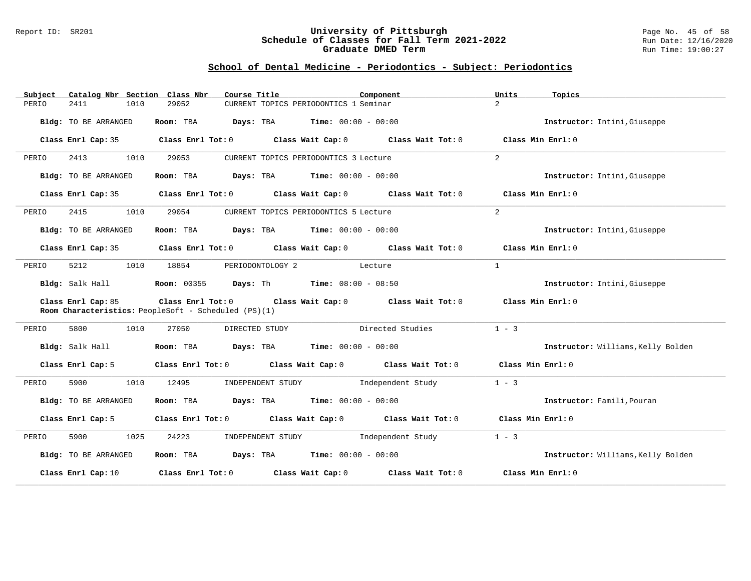#### Report ID: SR201 **University of Pittsburgh** Page No. 45 of 58 **Schedule of Classes for Fall Term 2021-2022** Run Date: 12/16/2020 **Graduate DMED Term Run Time: 19:00:27**

| Subject | Catalog Nbr Section Class Nbr | Course Title                                                    | Component                                                                                          | Units<br>Topics                    |
|---------|-------------------------------|-----------------------------------------------------------------|----------------------------------------------------------------------------------------------------|------------------------------------|
| PERIO   | 2411<br>1010                  | 29052                                                           | CURRENT TOPICS PERIODONTICS 1 Seminar                                                              | $\overline{2}$                     |
|         | Bldg: TO BE ARRANGED          | Room: TBA                                                       | <b>Days:</b> TBA <b>Time:</b> $00:00 - 00:00$                                                      | Instructor: Intini, Giuseppe       |
|         | Class Enrl Cap: 35            |                                                                 | Class Enrl Tot: 0 Class Wait Cap: 0 Class Wait Tot: 0                                              | Class Min Enrl: 0                  |
| PERIO   | 1010<br>2413                  | 29053                                                           | CURRENT TOPICS PERIODONTICS 3 Lecture                                                              | $\overline{2}$                     |
|         | Bldg: TO BE ARRANGED          | Room: TBA $Days:$ TBA $Time: 00:00 - 00:00$                     |                                                                                                    | Instructor: Intini, Giuseppe       |
|         | Class Enrl Cap: 35            |                                                                 | Class Enrl Tot: $0$ Class Wait Cap: $0$ Class Wait Tot: $0$ Class Min Enrl: $0$                    |                                    |
| PERIO   | 2415<br>1010                  | 29054                                                           | CURRENT TOPICS PERIODONTICS 5 Lecture                                                              | 2                                  |
|         | Bldg: TO BE ARRANGED          | Room: TBA                                                       | <b>Days:</b> TBA <b>Time:</b> $00:00 - 00:00$                                                      | Instructor: Intini, Giuseppe       |
|         | Class Enrl Cap: 35            |                                                                 | Class Enrl Tot: 0 $\qquad$ Class Wait Cap: 0 $\qquad$ Class Wait Tot: 0 $\qquad$ Class Min Enrl: 0 |                                    |
| PERIO   | 5212<br>1010                  | 18854                                                           | PERIODONTOLOGY 2<br>Lecture                                                                        | 1                                  |
|         | Bldg: Salk Hall               | <b>Room:</b> 00355 <b>Days:</b> Th <b>Time:</b> $08:00 - 08:50$ |                                                                                                    | Instructor: Intini, Giuseppe       |
|         | Class Enrl Cap: 85            | Room Characteristics: PeopleSoft - Scheduled (PS)(1)            | Class Enrl Tot: $0$ Class Wait Cap: $0$ Class Wait Tot: $0$ Class Min Enrl: $0$                    |                                    |
| PERIO   | 5800<br>1010                  | 27050<br>DIRECTED STUDY                                         | Directed Studies                                                                                   | $1 - 3$                            |
|         | Bldg: Salk Hall               | Room: TBA $Days: TBA$ Time: $00:00 - 00:00$                     |                                                                                                    | Instructor: Williams, Kelly Bolden |
|         | Class Enrl Cap: 5             |                                                                 | Class Enrl Tot: 0 Class Wait Cap: 0 Class Wait Tot: 0                                              | Class Min Enrl: 0                  |
| PERIO   | 5900<br>1010                  | 12495                                                           | INDEPENDENT STUDY 1ndependent Study                                                                | $1 - 3$                            |
|         | Bldg: TO BE ARRANGED          | Room: TBA                                                       | <b>Days:</b> TBA <b>Time:</b> $00:00 - 00:00$                                                      | Instructor: Famili, Pouran         |
|         | Class Enrl Cap: 5             |                                                                 | Class Enrl Tot: 0 Class Wait Cap: 0 Class Wait Tot: 0 Class Min Enrl: 0                            |                                    |
| PERIO   | 5900<br>1025                  | 24223                                                           | INDEPENDENT STUDY 1ndependent Study                                                                | $1 - 3$                            |
|         | Bldg: TO BE ARRANGED          | Room: TBA $Days: TBA$ Time: $00:00 - 00:00$                     |                                                                                                    | Instructor: Williams, Kelly Bolden |
|         | Class Enrl Cap: 10            |                                                                 | Class Enrl Tot: $0$ Class Wait Cap: $0$ Class Wait Tot: $0$                                        | Class Min Enrl: 0                  |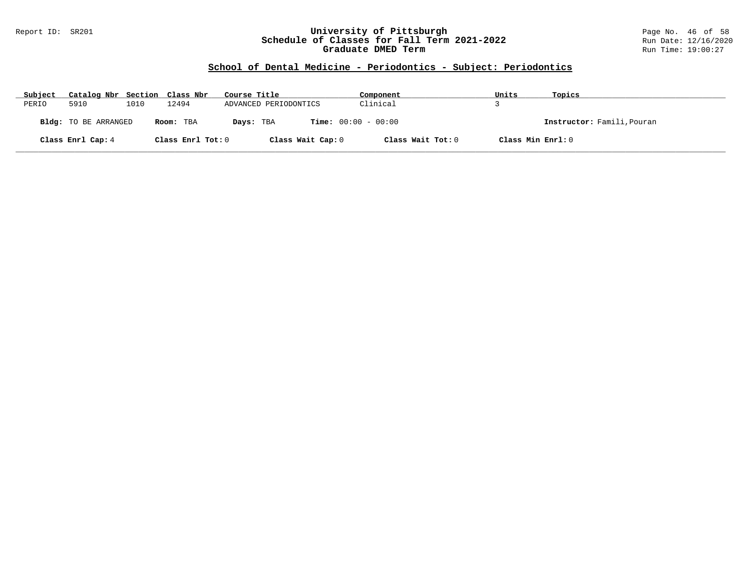#### Report ID: SR201 **University of Pittsburgh** Page No. 46 of 58 **Schedule of Classes for Fall Term 2021-2022** Run Date: 12/16/2020 **Graduate DMED Term Run Time: 19:00:27**

| Subject | Catalog Nbr Section Class Nbr |      |                   | Course Title                              | Component         | Units             | Topics                     |
|---------|-------------------------------|------|-------------------|-------------------------------------------|-------------------|-------------------|----------------------------|
| PERIO   | 5910                          | 1010 | 12494             | ADVANCED PERIODONTICS                     | Clinical          |                   |                            |
|         | <b>Bldg:</b> TO BE ARRANGED   |      | Room: TBA         | <b>Time:</b> $00:00 - 00:00$<br>Days: TBA |                   |                   | Instructor: Famili, Pouran |
|         | Class Enrl Cap: 4             |      | Class Enrl Tot: 0 | Class Wait Cap: 0                         | Class Wait Tot: 0 | Class Min Enrl: 0 |                            |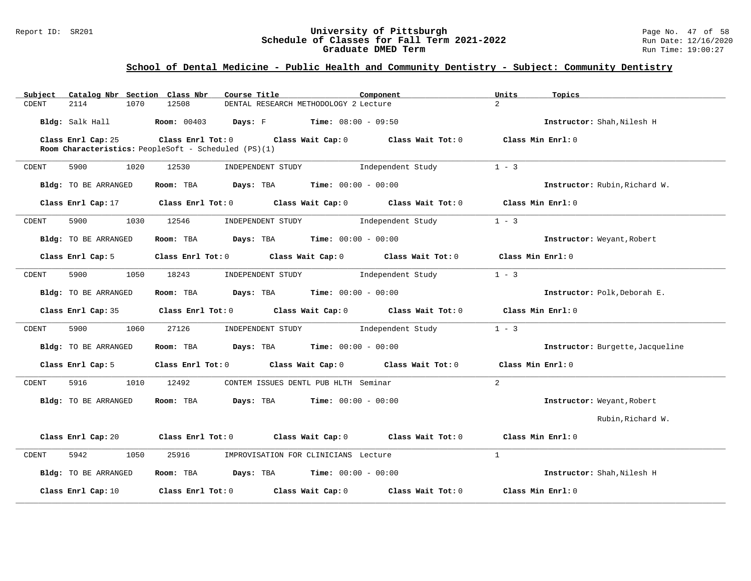#### Report ID: SR201 **1988 Constrained Building Constrained Building Constrained Building Page No. 47 of 58**<br>**Schedule of Classes for Fall Term 2021-2022** 1998 Run Date: 12/16/2020 **Schedule of Classes for Fall Term 2021-2022** Run Date: 12/16/202<br>**Graduate DMED Term** 2021-2022 Run Time: 19:00:27 **Graduate DMED Term**

### **School of Dental Medicine - Public Health and Community Dentistry - Subject: Community Dentistry**

| Catalog Nbr Section Class Nbr<br>Subject | Course Title                                                                                                                    | Component      | Units<br>Topics                  |
|------------------------------------------|---------------------------------------------------------------------------------------------------------------------------------|----------------|----------------------------------|
| 2114<br>1070<br>CDENT                    | 12508<br>DENTAL RESEARCH METHODOLOGY 2 Lecture                                                                                  | 2 <sup>1</sup> |                                  |
|                                          | <b>Bldg:</b> Salk Hall <b>Room:</b> 00403 <b>Days:</b> F <b>Time:</b> 08:00 - 09:50                                             |                | Instructor: Shah, Nilesh H       |
| Class Enrl Cap: 25                       | Class Enrl Tot: 0 Class Wait Cap: 0 Class Wait Tot: 0 Class Min Enrl: 0<br>Room Characteristics: PeopleSoft - Scheduled (PS)(1) |                |                                  |
|                                          |                                                                                                                                 |                |                                  |
| CDENT<br>5900<br>1020                    | INDEPENDENT STUDY 1ndependent Study<br>12530                                                                                    |                | $1 - 3$                          |
| Bldg: TO BE ARRANGED                     | <b>Room:</b> TBA <b>Days:</b> TBA <b>Time:</b> 00:00 - 00:00                                                                    |                | Instructor: Rubin, Richard W.    |
|                                          | Class Enrl Cap: 17 (Class Enrl Tot: 0 (Class Wait Cap: 0 (Class Wait Tot: 0 (Class Min Enrl: 0)                                 |                |                                  |
| 5900<br>CDENT<br>1030                    | INDEPENDENT STUDY 1ndependent Study<br>12546                                                                                    |                | $1 - 3$                          |
| Bldg: TO BE ARRANGED                     | Room: TBA $\rule{1em}{0.15mm}$ Days: TBA Time: $00:00 - 00:00$                                                                  |                | Instructor: Weyant, Robert       |
| Class Enrl Cap: 5                        | Class Enrl Tot: $0$ Class Wait Cap: $0$ Class Wait Tot: $0$ Class Min Enrl: $0$                                                 |                |                                  |
| 5900<br>1050<br>CDENT                    | INDEPENDENT STUDY 1ndependent Study<br>18243                                                                                    |                | $1 - 3$                          |
| Bldg: TO BE ARRANGED                     | <b>Room:</b> TBA <b>Days:</b> TBA <b>Time:</b> 00:00 - 00:00                                                                    |                | Instructor: Polk, Deborah E.     |
|                                          | Class Enrl Cap: 35 Class Enrl Tot: 0 Class Wait Cap: 0 Class Wait Tot: 0 Class Min Enrl: 0                                      |                |                                  |
| CDENT<br>5900<br>1060                    | 27126<br>INDEPENDENT STUDY 1ndependent Study                                                                                    |                | $1 - 3$                          |
| Bldg: TO BE ARRANGED                     | Room: TBA $Days:$ TBA $Time: 00:00 - 00:00$                                                                                     |                | Instructor: Burgette, Jacqueline |
| Class Enrl Cap: 5                        | Class Enrl Tot: 0 Class Wait Cap: 0 Class Wait Tot: 0 Class Min Enrl: 0                                                         |                |                                  |
| 5916<br>1010<br>CDENT                    | 12492<br>CONTEM ISSUES DENTL PUB HLTH Seminar                                                                                   | $\overline{2}$ |                                  |
| Bldg: TO BE ARRANGED                     | Room: TBA $Days:$ TBA $Time: 00:00 - 00:00$                                                                                     |                | Instructor: Weyant, Robert       |
|                                          |                                                                                                                                 |                | Rubin, Richard W.                |
|                                          | Class Enrl Cap: 20 		 Class Enrl Tot: 0 		 Class Wait Cap: 0 		 Class Wait Tot: 0 		 Class Min Enrl: 0                          |                |                                  |
| 5942<br>1050<br>CDENT                    | 25916 IMPROVISATION FOR CLINICIANS Lecture                                                                                      | $\mathbf{1}$   |                                  |
| Bldg: TO BE ARRANGED                     | Room: TBA $Days:$ TBA $Time: 00:00 - 00:00$                                                                                     |                | Instructor: Shah, Nilesh H       |
| Class Enrl Cap: 10                       | Class Enrl Tot: $0$ Class Wait Cap: $0$ Class Wait Tot: $0$                                                                     |                | Class Min Enrl: 0                |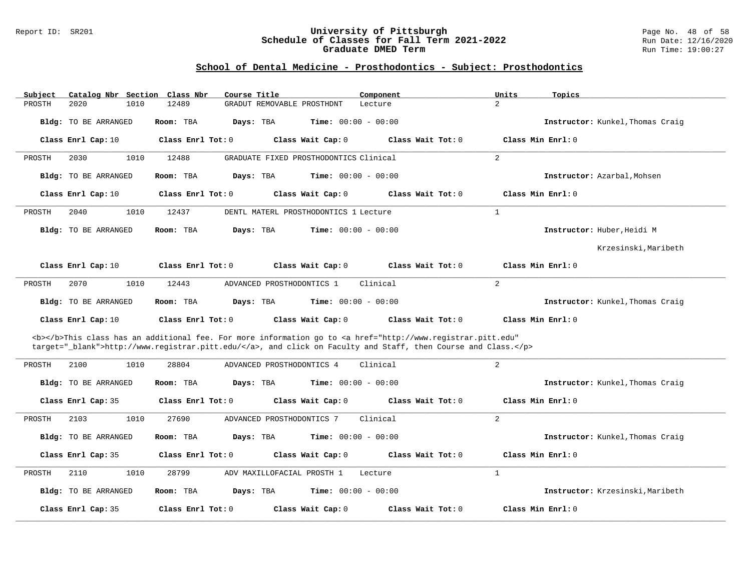#### Report ID: SR201 **University of Pittsburgh** Page No. 48 of 58 **Schedule of Classes for Fall Term 2021-2022** Run Date: 12/16/2020 **Graduate DMED Term Run Time: 19:00:27**

| Subject | Catalog Nbr Section Class Nbr |                   | Course Title                                                                                                                                                                                                                       | Component         | Units             | Topics                           |
|---------|-------------------------------|-------------------|------------------------------------------------------------------------------------------------------------------------------------------------------------------------------------------------------------------------------------|-------------------|-------------------|----------------------------------|
| PROSTH  | 2020<br>1010                  | 12489             | GRADUT REMOVABLE PROSTHDNT                                                                                                                                                                                                         | Lecture           | $\overline{2}$    |                                  |
|         | <b>Bldg:</b> TO BE ARRANGED   | Room: TBA         | <b>Time:</b> $00:00 - 00:00$<br>Days: TBA                                                                                                                                                                                          |                   |                   | Instructor: Kunkel, Thomas Craig |
|         | Class Enrl Cap: 10            | Class Enrl Tot: 0 | Class Wait Cap: 0                                                                                                                                                                                                                  | Class Wait Tot: 0 | Class Min Enrl: 0 |                                  |
| PROSTH  | 1010<br>2030                  | 12488             | GRADUATE FIXED PROSTHODONTICS Clinical                                                                                                                                                                                             |                   | $\overline{2}$    |                                  |
|         | Bldg: TO BE ARRANGED          | Room: TBA         | <b>Time:</b> $00:00 - 00:00$<br>Days: TBA                                                                                                                                                                                          |                   |                   | Instructor: Azarbal, Mohsen      |
|         | Class Enrl Cap: 10            | Class Enrl Tot: 0 | Class Wait Cap: 0                                                                                                                                                                                                                  | Class Wait Tot: 0 | Class Min Enrl: 0 |                                  |
| PROSTH  | 1010<br>2040                  | 12437             | DENTL MATERL PROSTHODONTICS 1 Lecture                                                                                                                                                                                              |                   | $\mathbf{1}$      |                                  |
|         | Bldg: TO BE ARRANGED          | Room: TBA         | <b>Time:</b> $00:00 - 00:00$<br>Days: TBA                                                                                                                                                                                          |                   |                   | Instructor: Huber, Heidi M       |
|         |                               |                   |                                                                                                                                                                                                                                    |                   |                   | Krzesinski, Maribeth             |
|         | Class Enrl Cap: 10            | Class Enrl Tot: 0 | Class Wait Cap: 0                                                                                                                                                                                                                  | Class Wait Tot: 0 | Class Min Enrl: 0 |                                  |
| PROSTH  | 2070<br>1010                  | 12443             | ADVANCED PROSTHODONTICS 1                                                                                                                                                                                                          | Clinical          | $\overline{2}$    |                                  |
|         | Bldg: TO BE ARRANGED          | Room: TBA         | Days: TBA<br><b>Time:</b> $00:00 - 00:00$                                                                                                                                                                                          |                   |                   | Instructor: Kunkel, Thomas Craig |
|         | Class Enrl Cap: 10            | Class Enrl Tot: 0 | Class Wait Cap: 0                                                                                                                                                                                                                  | Class Wait Tot: 0 | Class Min Enrl: 0 |                                  |
|         |                               |                   | <b></b> This class has an additional fee. For more information go to <a <br="" href="http://www.registrar.pitt.edu">target="_blank"&gt;http://www.registrar.pitt.edu/</a> , and click on Faculty and Staff, then Course and Class. |                   |                   |                                  |
| PROSTH  | 2100<br>1010                  | 28804             | ADVANCED PROSTHODONTICS 4                                                                                                                                                                                                          | Clinical          | $\overline{2}$    |                                  |
|         | Bldg: TO BE ARRANGED          | Room: TBA         | <b>Time:</b> $00:00 - 00:00$<br>Days: TBA                                                                                                                                                                                          |                   |                   | Instructor: Kunkel, Thomas Craig |
|         | Class Enrl Cap: 35            | Class Enrl Tot: 0 | Class Wait Cap: 0                                                                                                                                                                                                                  | Class Wait Tot: 0 | Class Min Enrl: 0 |                                  |
| PROSTH  | 1010<br>2103                  | 27690             | ADVANCED PROSTHODONTICS 7                                                                                                                                                                                                          | Clinical          | $\overline{2}$    |                                  |
|         | <b>Bldg:</b> TO BE ARRANGED   | Room: TBA         | <b>Time:</b> $00:00 - 00:00$<br>Days: TBA                                                                                                                                                                                          |                   |                   | Instructor: Kunkel, Thomas Craig |
|         | Class Enrl Cap: 35            | Class Enrl Tot: 0 | Class Wait Cap: 0                                                                                                                                                                                                                  | Class Wait Tot: 0 | Class Min Enrl: 0 |                                  |
| PROSTH  | 2110<br>1010                  | 28799             | ADV MAXILLOFACIAL PROSTH 1                                                                                                                                                                                                         | Lecture           | $\mathbf{1}$      |                                  |
|         | Bldg: TO BE ARRANGED          | Room: TBA         | Time: $00:00 - 00:00$<br>Days: TBA                                                                                                                                                                                                 |                   |                   | Instructor: Krzesinski, Maribeth |
|         | Class Enrl Cap: 35            | Class Enrl Tot: 0 | Class Wait Cap: 0                                                                                                                                                                                                                  | Class Wait Tot: 0 | Class Min Enrl: 0 |                                  |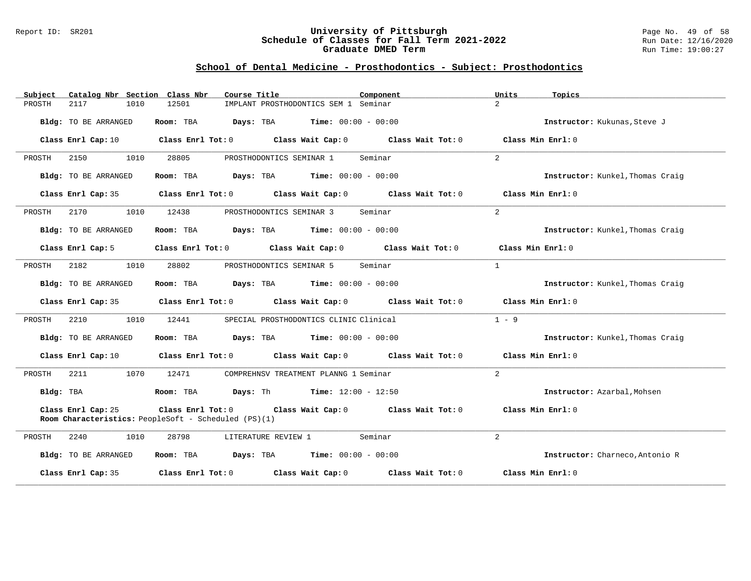#### Report ID: SR201 **University of Pittsburgh** Page No. 49 of 58 **Schedule of Classes for Fall Term 2021-2022** Run Date: 12/16/2020 **Graduate DMED Term Run Time: 19:00:27**

| Catalog Nbr Section Class Nbr<br>Subject | Course Title                                                                                                  | Component                 | Units<br>Topics                  |
|------------------------------------------|---------------------------------------------------------------------------------------------------------------|---------------------------|----------------------------------|
| 1010<br>PROSTH<br>2117                   | 12501<br>IMPLANT PROSTHODONTICS SEM 1 Seminar                                                                 | $\overline{2}$            |                                  |
| Bldg: TO BE ARRANGED                     | Room: TBA<br><b>Days:</b> TBA <b>Time:</b> $00:00 - 00:00$                                                    |                           | Instructor: Kukunas, Steve J     |
| Class Enrl Cap: 10                       | Class Enrl Tot: $0$ Class Wait Cap: $0$ Class Wait Tot: $0$ Class Min Enrl: $0$                               |                           |                                  |
| PROSTH<br>2150<br>1010                   | 28805<br>PROSTHODONTICS SEMINAR 1                                                                             | $\overline{2}$<br>Seminar |                                  |
| Bldg: TO BE ARRANGED                     | Room: TBA<br>$\texttt{Days:}$ TBA $\texttt{Time:}$ 00:00 - 00:00                                              |                           | Instructor: Kunkel, Thomas Craig |
| Class Enrl Cap: 35                       | Class Enrl Tot: $0$ Class Wait Cap: $0$ Class Wait Tot: $0$ Class Min Enrl: $0$                               |                           |                                  |
| 2170<br>1010<br>PROSTH                   | 12438<br>PROSTHODONTICS SEMINAR 3                                                                             | 2<br>Seminar              |                                  |
| Bldg: TO BE ARRANGED                     | <b>Room:</b> TBA <b>Days:</b> TBA <b>Time:</b> 00:00 - 00:00                                                  |                           | Instructor: Kunkel, Thomas Craig |
| Class Enrl Cap: 5                        | Class Enrl Tot: 0 Class Wait Cap: 0 Class Wait Tot: 0                                                         |                           | Class Min Enrl: 0                |
| 1010<br>PROSTH<br>2182                   | PROSTHODONTICS SEMINAR 5<br>28802                                                                             | Seminar<br>$\mathbf{1}$   |                                  |
| Bldg: TO BE ARRANGED                     | <b>Days:</b> TBA <b>Time:</b> $00:00 - 00:00$<br>Room: TBA                                                    |                           | Instructor: Kunkel, Thomas Craig |
|                                          | Class Enrl Cap: 35 Class Enrl Tot: 0 Class Wait Cap: 0 Class Wait Tot: 0                                      |                           | Class Min Enrl: 0                |
| 1010<br>PROSTH<br>2210                   | SPECIAL PROSTHODONTICS CLINIC Clinical<br>12441                                                               |                           | $1 - 9$                          |
| Bldg: TO BE ARRANGED                     | Room: TBA $Days:$ TBA $Time: 00:00 - 00:00$                                                                   |                           | Instructor: Kunkel, Thomas Craig |
| Class Enrl Cap: 10                       | Class Enrl Tot: $0$ Class Wait Cap: $0$ Class Wait Tot: $0$ Class Min Enrl: $0$                               |                           |                                  |
| PROSTH<br>2211<br>1070                   | 12471<br>COMPREHNSV TREATMENT PLANNG 1 Seminar                                                                | 2                         |                                  |
| Bldg: TBA                                | <b>Room:</b> TBA <b>Days:</b> Th <b>Time:</b> $12:00 - 12:50$                                                 |                           | Instructor: Azarbal, Mohsen      |
| Class Enrl Cap: 25                       | Class Enrl Tot: 0 Class Wait Cap: 0 Class Wait Tot: 0<br>Room Characteristics: PeopleSoft - Scheduled (PS)(1) |                           | Class Min Enrl: 0                |
| 2240<br>1010<br>PROSTH                   | 28798<br>LITERATURE REVIEW 1                                                                                  | $\overline{2}$<br>Seminar |                                  |
| Bldg: TO BE ARRANGED                     | Room: TBA $Days:$ TBA $Time: 00:00 - 00:00$                                                                   |                           | Instructor: Charneco, Antonio R  |
| Class Enrl Cap: 35                       | Class Enrl Tot: $0$ Class Wait Cap: $0$ Class Wait Tot: $0$                                                   |                           | Class Min Enrl: 0                |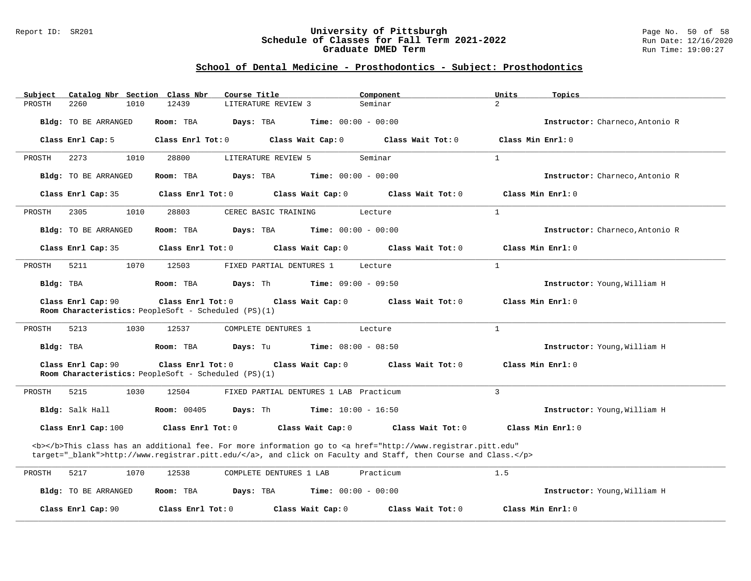#### Report ID: SR201 **University of Pittsburgh** Page No. 50 of 58 **Schedule of Classes for Fall Term 2021-2022** Run Date: 12/16/2020 **Graduate DMED Term Run Time: 19:00:27**

| Subject<br>Catalog Nbr Section Class Nbr                                   | Course Title                                                                                                                                                                                                                       | Component<br>Units        | Topics                          |
|----------------------------------------------------------------------------|------------------------------------------------------------------------------------------------------------------------------------------------------------------------------------------------------------------------------------|---------------------------|---------------------------------|
| PROSTH<br>2260<br>1010                                                     | 12439<br>LITERATURE REVIEW 3                                                                                                                                                                                                       | $\overline{2}$<br>Seminar |                                 |
| Bldg: TO BE ARRANGED                                                       | Room: TBA<br>Days: TBA<br><b>Time:</b> $00:00 - 00:00$                                                                                                                                                                             |                           | Instructor: Charneco, Antonio R |
| Class Enrl Cap: 5                                                          | Class Enrl Tot: 0<br>Class Wait Cap: 0                                                                                                                                                                                             | Class Wait Tot: 0         | Class Min Enrl: 0               |
| PROSTH<br>2273<br>1010                                                     | LITERATURE REVIEW 5<br>28800                                                                                                                                                                                                       | $\mathbf{1}$<br>Seminar   |                                 |
| <b>Bldg:</b> TO BE ARRANGED                                                | Room: TBA<br>Days: TBA<br><b>Time:</b> $00:00 - 00:00$                                                                                                                                                                             |                           | Instructor: Charneco, Antonio R |
| Class Enrl Cap: 35                                                         | Class Enrl Tot: 0<br>Class Wait Cap: 0                                                                                                                                                                                             | Class Wait Tot: 0         | Class Min Enrl: 0               |
| PROSTH<br>1010<br>2305                                                     | CEREC BASIC TRAINING<br>28803                                                                                                                                                                                                      | $\mathbf{1}$<br>Lecture   |                                 |
| Bldg: TO BE ARRANGED                                                       | <b>Time:</b> $00:00 - 00:00$<br>Room: TBA<br>Days: TBA                                                                                                                                                                             |                           | Instructor: Charneco, Antonio R |
| Class Enrl Cap: 35                                                         | Class Enrl Tot: 0<br>Class Wait Cap: 0                                                                                                                                                                                             | Class Wait Tot: 0         | Class Min Enrl: 0               |
| 5211<br>1070<br>PROSTH                                                     | 12503<br>FIXED PARTIAL DENTURES 1                                                                                                                                                                                                  | $\mathbf{1}$<br>Lecture   |                                 |
| Bldg: TBA                                                                  | Room: TBA<br>Days: Th<br><b>Time:</b> $09:00 - 09:50$                                                                                                                                                                              |                           | Instructor: Young, William H    |
| Class Enrl Cap: 90                                                         | Class Enrl Tot: 0<br>Class Wait Cap: 0                                                                                                                                                                                             | Class Wait Tot: 0         | Class Min Enrl: 0               |
| Room Characteristics: PeopleSoft - Scheduled (PS)(1)                       |                                                                                                                                                                                                                                    |                           |                                 |
| PROSTH<br>5213<br>1030                                                     | 12537<br>COMPLETE DENTURES 1                                                                                                                                                                                                       | $\mathbf{1}$<br>Lecture   |                                 |
| Bldg: TBA                                                                  | Days: Tu<br><b>Time:</b> $08:00 - 08:50$<br>Room: TBA                                                                                                                                                                              |                           | Instructor: Young, William H    |
| Class Enrl Cap: 90<br>Room Characteristics: PeopleSoft - Scheduled (PS)(1) | Class Enrl Tot: 0<br>Class Wait Cap: 0                                                                                                                                                                                             | Class Wait Tot: 0         | Class Min $Enrl: 0$             |
|                                                                            |                                                                                                                                                                                                                                    |                           |                                 |
| PROSTH<br>5215<br>1030                                                     | 12504<br>FIXED PARTIAL DENTURES 1 LAB Practicum                                                                                                                                                                                    | 3                         |                                 |
| Bldg: Salk Hall                                                            | <b>Room: 00405</b><br><b>Time:</b> $10:00 - 16:50$<br>Days: Th                                                                                                                                                                     |                           | Instructor: Young, William H    |
| Class Enrl Cap: 100                                                        | Class Enrl Tot: 0<br>Class Wait Cap: 0                                                                                                                                                                                             | Class Wait Tot: 0         | Class Min Enrl: 0               |
|                                                                            | <b></b> This class has an additional fee. For more information go to <a <br="" href="http://www.registrar.pitt.edu">target="_blank"&gt;http://www.registrar.pitt.edu/</a> , and click on Faculty and Staff, then Course and Class. |                           |                                 |
|                                                                            |                                                                                                                                                                                                                                    |                           |                                 |
| 5217<br>1070<br>PROSTH                                                     | 12538<br>COMPLETE DENTURES 1 LAB                                                                                                                                                                                                   | Practicum<br>1.5          |                                 |
| Bldg: TO BE ARRANGED                                                       | <b>Time:</b> $00:00 - 00:00$<br>Room: TBA<br>Days: TBA                                                                                                                                                                             |                           | Instructor: Young, William H    |
| Class Enrl Cap: 90                                                         | Class Enrl Tot: 0<br>Class Wait Cap: 0                                                                                                                                                                                             | Class Wait Tot: 0         | Class Min Enrl: 0               |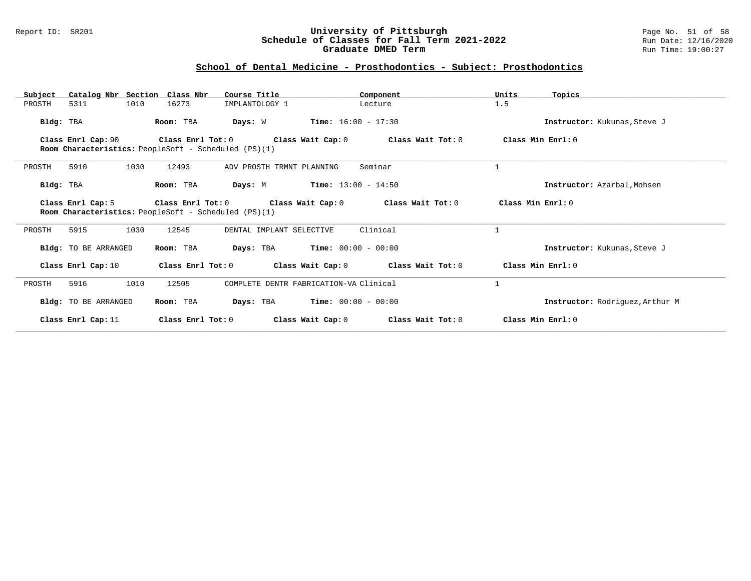#### Report ID: SR201 **University of Pittsburgh** Page No. 51 of 58 **Schedule of Classes for Fall Term 2021-2022** Run Date: 12/16/2020 **Graduate DMED Term Run Time: 19:00:27**

| Catalog Nbr Section Class Nbr<br>Subject | Course Title                                                              | Component                              | Units<br>Topics                 |
|------------------------------------------|---------------------------------------------------------------------------|----------------------------------------|---------------------------------|
| 5311<br>1010<br>PROSTH                   | 16273<br>IMPLANTOLOGY 1                                                   | Lecture                                | 1.5                             |
| Bldg: TBA                                | Room: TBA<br>Days: W                                                      | $Time: 16:00 - 17:30$                  | Instructor: Kukunas, Steve J    |
| Class Enrl Cap: 90                       | Class Enrl Tot: 0<br>Room Characteristics: PeopleSoft - Scheduled (PS)(1) | Class Wait Cap: 0<br>Class Wait Tot: 0 | Class Min Enrl: 0               |
| 1030<br>PROSTH<br>5910                   | 12493<br>ADV PROSTH TRMNT PLANNING                                        | Seminar                                | $\mathbf{1}$                    |
| Bldg: TBA                                | Days: M<br>Room: TBA                                                      | $Time: 13:00 - 14:50$                  | Instructor: Azarbal, Mohsen     |
| Class Enrl Cap: 5                        | Class Enrl Tot: 0<br>Room Characteristics: PeopleSoft - Scheduled (PS)(1) | Class Wait Cap: 0<br>Class Wait Tot: 0 | Class Min Enrl: 0               |
| PROSTH<br>5915<br>1030                   | 12545<br>DENTAL IMPLANT SELECTIVE                                         | Clinical                               |                                 |
| Bldg: TO BE ARRANGED                     | Room: TBA<br>Days: TBA                                                    | $Time: 00:00 - 00:00$                  | Instructor: Kukunas, Steve J    |
| Class Enrl Cap: 10                       | Class Enrl Tot: 0                                                         | Class Wait Tot: 0<br>Class Wait Cap: 0 | Class Min Enrl: 0               |
| 1010<br>5916<br>PROSTH                   | 12505                                                                     | COMPLETE DENTR FABRICATION-VA Clinical |                                 |
| Bldg: TO BE ARRANGED                     | Room: TBA<br>Days: TBA                                                    | $Time: 00:00 - 00:00$                  | Instructor: Rodriquez, Arthur M |
| Class Enrl Cap: 11                       | Class Enrl Tot: 0                                                         | Class Wait Cap: 0<br>Class Wait Tot: 0 | Class Min Enrl: 0               |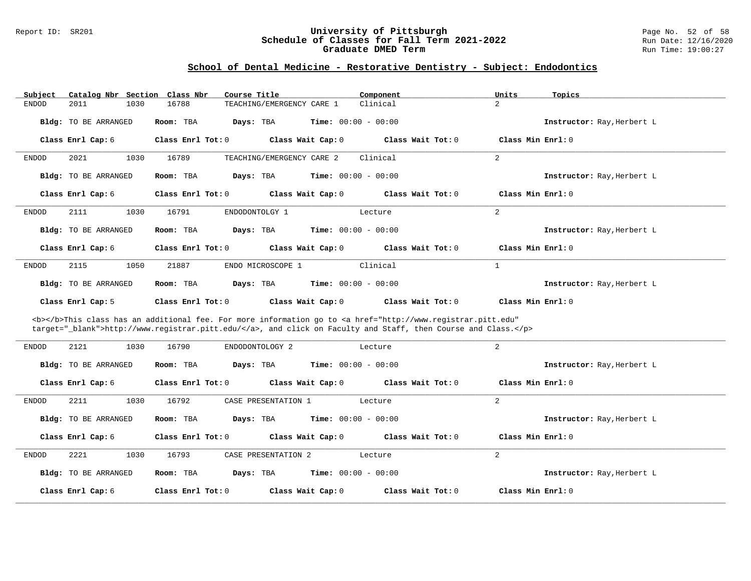#### Report ID: SR201 **University of Pittsburgh** Page No. 52 of 58 **Schedule of Classes for Fall Term 2021-2022** Run Date: 12/16/2020 **Graduate DMED Term Run Time: 19:00:27**

### **School of Dental Medicine - Restorative Dentistry - Subject: Endodontics**

| Subject                      | Catalog Nbr Section Class Nbr<br>Course Title                                                                                                                                                                                      | Component                    | Units<br>Topics            |
|------------------------------|------------------------------------------------------------------------------------------------------------------------------------------------------------------------------------------------------------------------------------|------------------------------|----------------------------|
| <b>ENDOD</b><br>2011<br>1030 | 16788<br>TEACHING/EMERGENCY CARE 1                                                                                                                                                                                                 | Clinical                     | $\overline{2}$             |
| Bldg: TO BE ARRANGED         | Room: TBA<br>Days: TBA                                                                                                                                                                                                             | <b>Time:</b> $00:00 - 00:00$ | Instructor: Ray, Herbert L |
| Class Enrl Cap: 6            | Class Enrl Tot: 0<br>Class Wait Cap: 0                                                                                                                                                                                             | Class Wait Tot: 0            | Class Min Enrl: 0          |
| 2021<br>1030<br>ENDOD        | 16789<br>TEACHING/EMERGENCY CARE 2                                                                                                                                                                                                 | Clinical                     | 2                          |
| Bldg: TO BE ARRANGED         | Room: TBA<br>Days: TBA                                                                                                                                                                                                             | <b>Time:</b> $00:00 - 00:00$ | Instructor: Ray, Herbert L |
| Class Enrl Cap: 6            | Class Enrl Tot: 0<br>Class Wait Cap: 0                                                                                                                                                                                             | Class Wait Tot: 0            | Class Min Enrl: 0          |
| 2111<br>1030<br><b>ENDOD</b> | 16791<br>ENDODONTOLGY 1                                                                                                                                                                                                            | Lecture                      | $\overline{2}$             |
| Bldg: TO BE ARRANGED         | Room: TBA<br>Days: TBA                                                                                                                                                                                                             | <b>Time:</b> $00:00 - 00:00$ | Instructor: Ray, Herbert L |
| Class Enrl Cap: 6            | Class Wait Cap: 0<br>Class Enrl Tot: 0                                                                                                                                                                                             | Class Wait Tot: 0            | Class Min Enrl: 0          |
| 2115<br>1050<br>ENDOD        | 21887<br>ENDO MICROSCOPE 1                                                                                                                                                                                                         | Clinical                     | $\mathbf{1}$               |
| Bldg: TO BE ARRANGED         | Days: TBA<br>Room: TBA                                                                                                                                                                                                             | <b>Time:</b> $00:00 - 00:00$ | Instructor: Ray, Herbert L |
|                              |                                                                                                                                                                                                                                    |                              |                            |
| Class Enrl Cap: 5            | Class Wait Cap: 0<br>Class Enrl Tot: 0                                                                                                                                                                                             | Class Wait Tot: 0            | Class Min $Enr1: 0$        |
|                              | <b></b> This class has an additional fee. For more information go to <a <br="" href="http://www.registrar.pitt.edu">target="_blank"&gt;http://www.registrar.pitt.edu/</a> , and click on Faculty and Staff, then Course and Class. |                              |                            |
| 2121<br><b>ENDOD</b><br>1030 | ENDODONTOLOGY 2<br>16790                                                                                                                                                                                                           | Lecture                      | 2                          |
| Bldg: TO BE ARRANGED         | Room: TBA<br>Days: TBA                                                                                                                                                                                                             | <b>Time:</b> $00:00 - 00:00$ | Instructor: Ray, Herbert L |
| Class Enrl Cap: 6            | Class Enrl Tot: 0<br>Class Wait Cap: 0                                                                                                                                                                                             | Class Wait Tot: 0            | Class Min Enrl: 0          |
| 2211<br>1030<br><b>ENDOD</b> | 16792<br>CASE PRESENTATION 1                                                                                                                                                                                                       | Lecture                      | $\overline{a}$             |
| <b>Bldg:</b> TO BE ARRANGED  | Days: TBA<br>Room: TBA                                                                                                                                                                                                             | <b>Time:</b> $00:00 - 00:00$ | Instructor: Ray, Herbert L |
| Class Enrl Cap: 6            | Class Enrl Tot: 0<br>Class Wait Cap: 0                                                                                                                                                                                             | Class Wait Tot: 0            | Class Min Enrl: 0          |
| 2221<br><b>ENDOD</b><br>1030 | CASE PRESENTATION 2<br>16793                                                                                                                                                                                                       | Lecture                      | $\overline{2}$             |
| Bldg: TO BE ARRANGED         | Days: TBA<br>Room: TBA                                                                                                                                                                                                             | <b>Time:</b> $00:00 - 00:00$ | Instructor: Ray, Herbert L |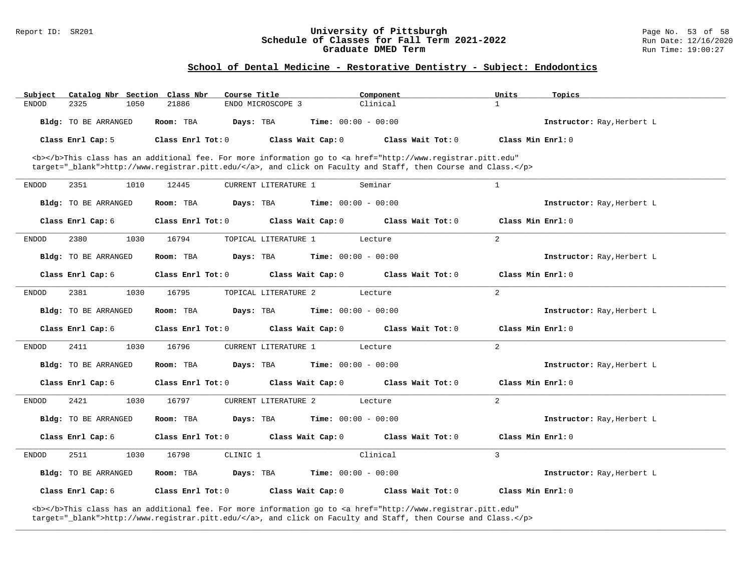#### Report ID: SR201 **University of Pittsburgh University of Pittsburgh** Page No. 53 of 58<br>**Schedule of Classes for Fall Term 2021-2022** Run Date: 12/16/2020 **Schedule of Classes for Fall Term 2021-2022** Run Date: 12/16/202<br>**Graduate DMED Term 2021-2022** Run Time: 19:00:27 **Graduate DMED Term**

#### **School of Dental Medicine - Restorative Dentistry - Subject: Endodontics**

| Subject      | Catalog Nbr Section Class Nbr | Course Title           |                              | Component                                                                                                                                                                                                                          | Units               | Topics                     |
|--------------|-------------------------------|------------------------|------------------------------|------------------------------------------------------------------------------------------------------------------------------------------------------------------------------------------------------------------------------------|---------------------|----------------------------|
| <b>ENDOD</b> | 2325<br>1050                  | 21886                  | ENDO MICROSCOPE 3            | Clinical                                                                                                                                                                                                                           | $\mathbf{1}$        |                            |
|              | Bldg: TO BE ARRANGED          | Room: TBA<br>Days: TBA | <b>Time:</b> $00:00 - 00:00$ |                                                                                                                                                                                                                                    |                     | Instructor: Ray, Herbert L |
|              | Class Enrl Cap: 5             | Class Enrl Tot: 0      | Class Wait Cap: 0            | Class Wait Tot: $0$                                                                                                                                                                                                                | Class Min $Enr1: 0$ |                            |
|              |                               |                        |                              | <b></b> This class has an additional fee. For more information go to <a <br="" href="http://www.registrar.pitt.edu">target="_blank"&gt;http://www.registrar.pitt.edu/</a> , and click on Faculty and Staff, then Course and Class. |                     |                            |
| <b>ENDOD</b> | 2351<br>1010                  | 12445                  | <b>CURRENT LITERATURE 1</b>  | Seminar                                                                                                                                                                                                                            | $\mathbf{1}$        |                            |
|              | Bldg: TO BE ARRANGED          | Room: TBA<br>Days: TBA | <b>Time:</b> $00:00 - 00:00$ |                                                                                                                                                                                                                                    |                     | Instructor: Ray, Herbert L |
|              | Class Enrl Cap: 6             | Class Enrl Tot: 0      | Class Wait Cap: 0            | Class Wait Tot: 0                                                                                                                                                                                                                  | Class Min $Enr1: 0$ |                            |
| <b>ENDOD</b> | 2380<br>1030                  | 16794                  | TOPICAL LITERATURE 1         | Lecture                                                                                                                                                                                                                            | 2                   |                            |
|              | Bldg: TO BE ARRANGED          | Room: TBA<br>Days: TBA | Time: $00:00 - 00:00$        |                                                                                                                                                                                                                                    |                     | Instructor: Ray, Herbert L |
|              | Class Enrl Cap: 6             | Class Enrl Tot: 0      | Class Wait Cap: 0            | Class Wait Tot: 0                                                                                                                                                                                                                  | Class Min $Enr1: 0$ |                            |
| <b>ENDOD</b> | 2381<br>1030                  | 16795                  | TOPICAL LITERATURE 2         | Lecture                                                                                                                                                                                                                            | 2                   |                            |
|              | Bldg: TO BE ARRANGED          | Room: TBA<br>Days: TBA | <b>Time:</b> $00:00 - 00:00$ |                                                                                                                                                                                                                                    |                     | Instructor: Ray, Herbert L |
|              | Class Enrl Cap: 6             | Class Enrl Tot: 0      | Class Wait Cap: 0            | Class Wait Tot: 0                                                                                                                                                                                                                  | Class Min $Enr1: 0$ |                            |
| ENDOD        | 2411<br>1030                  | 16796                  | CURRENT LITERATURE 1         | Lecture                                                                                                                                                                                                                            | 2                   |                            |
|              | Bldg: TO BE ARRANGED          | Room: TBA<br>Days: TBA | <b>Time:</b> $00:00 - 00:00$ |                                                                                                                                                                                                                                    |                     | Instructor: Ray, Herbert L |
|              | Class Enrl Cap: 6             | Class Enrl Tot: 0      | Class Wait Cap: 0            | Class Wait Tot: 0                                                                                                                                                                                                                  | Class Min $Enr1: 0$ |                            |
| ENDOD        | 2421<br>1030                  | 16797                  | <b>CURRENT LITERATURE 2</b>  | Lecture                                                                                                                                                                                                                            | 2                   |                            |
|              | Bldg: TO BE ARRANGED          | Room: TBA<br>Days: TBA | <b>Time:</b> $00:00 - 00:00$ |                                                                                                                                                                                                                                    |                     | Instructor: Ray, Herbert L |
|              | Class Enrl Cap: 6             | Class Enrl Tot: 0      | Class Wait Cap: 0            | Class Wait Tot: 0                                                                                                                                                                                                                  | Class Min Enrl: 0   |                            |
| <b>ENDOD</b> | 2511<br>1030                  | 16798<br>CLINIC 1      |                              | Clinical                                                                                                                                                                                                                           | 3                   |                            |
|              | Bldg: TO BE ARRANGED          | Days: TBA<br>Room: TBA | <b>Time:</b> $00:00 - 00:00$ |                                                                                                                                                                                                                                    |                     | Instructor: Ray, Herbert L |
|              | Class Enrl Cap: 6             | Class Enrl Tot: 0      | Class Wait Cap: 0            | Class Wait Tot: 0                                                                                                                                                                                                                  | Class Min Enrl: 0   |                            |

**\_\_\_\_\_\_\_\_\_\_\_\_\_\_\_\_\_\_\_\_\_\_\_\_\_\_\_\_\_\_\_\_\_\_\_\_\_\_\_\_\_\_\_\_\_\_\_\_\_\_\_\_\_\_\_\_\_\_\_\_\_\_\_\_\_\_\_\_\_\_\_\_\_\_\_\_\_\_\_\_\_\_\_\_\_\_\_\_\_\_\_\_\_\_\_\_\_\_\_\_\_\_\_\_\_\_\_\_\_\_\_\_\_\_\_\_\_\_\_\_\_\_\_\_\_\_\_\_\_\_\_\_\_\_\_\_\_\_\_\_\_\_\_\_\_\_\_\_\_\_\_\_\_\_\_\_**

<b></b>This class has an additional fee. For more information go to <a href="http://www.registrar.pitt.edu" target="\_blank">http://www.registrar.pitt.edu/</a>, and click on Faculty and Staff, then Course and Class.</p>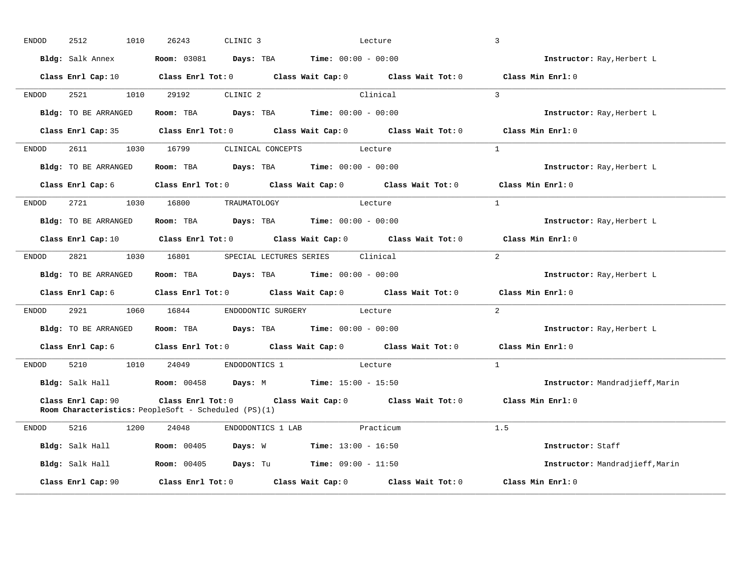| <b>ENDOD</b> | 2512<br>1010           | 26243<br>CLINIC 3                                                             | Lecture                                                                                                                        | 3                               |
|--------------|------------------------|-------------------------------------------------------------------------------|--------------------------------------------------------------------------------------------------------------------------------|---------------------------------|
|              | Bldg: Salk Annex       | <b>Room:</b> 03081 <b>Days:</b> TBA <b>Time:</b> $00:00 - 00:00$              |                                                                                                                                | Instructor: Ray, Herbert L      |
|              |                        |                                                                               | Class Enrl Cap: 10 $\qquad$ Class Enrl Tot: 0 $\qquad$ Class Wait Cap: 0 $\qquad$ Class Wait Tot: 0 $\qquad$ Class Min Enrl: 0 |                                 |
| ENDOD        | 2521                   | 1010 29192<br>CLINIC 2                                                        | Clinical                                                                                                                       | $\mathcal{R}$                   |
|              | Bldg: TO BE ARRANGED   | Room: TBA $Days:$ TBA $Time: 00:00 - 00:00$                                   |                                                                                                                                | Instructor: Ray, Herbert L      |
|              |                        |                                                                               | Class Enrl Cap: 35 Class Enrl Tot: 0 Class Wait Cap: 0 Class Wait Tot: 0                                                       | Class Min Enrl: 0               |
| ENDOD        | 2611                   | 1030 16799                                                                    | CLINICAL CONCEPTS Lecture                                                                                                      | <sup>1</sup>                    |
|              | Bldg: TO BE ARRANGED   | Room: TBA Days: TBA Time: $00:00 - 00:00$                                     |                                                                                                                                | Instructor: Ray, Herbert L      |
|              |                        |                                                                               | Class Enrl Cap: 6 Class Enrl Tot: 0 Class Wait Cap: 0 Class Wait Tot: 0 Class Min Enrl: 0                                      |                                 |
| ENDOD        |                        | 2721 1030 16800 TRAUMATOLOGY                                                  | Lecture                                                                                                                        | $\overline{1}$                  |
|              | Bldg: TO BE ARRANGED   | Room: TBA $Days:$ TBA $Time: 00:00 - 00:00$                                   |                                                                                                                                | Instructor: Ray, Herbert L      |
|              |                        |                                                                               | Class Enrl Cap: 10 $\qquad$ Class Enrl Tot: 0 $\qquad$ Class Wait Cap: 0 $\qquad$ Class Wait Tot: 0                            | Class Min Enrl: 0               |
| ENDOD        | 2821 1030 16801        |                                                                               | SPECIAL LECTURES SERIES Clinical                                                                                               | 2                               |
|              | Bldg: TO BE ARRANGED   | Room: TBA $Days: TBA$ Time: $00:00 - 00:00$                                   |                                                                                                                                | Instructor: Ray, Herbert L      |
|              |                        |                                                                               | Class Enrl Cap: 6 Class Enrl Tot: 0 Class Wait Cap: 0 Class Wait Tot: 0                                                        | Class Min Enrl: 0               |
| ENDOD        | 2921                   | ENDODONTIC SURGERY<br>1060 16844                                              | Lecture                                                                                                                        | $\overline{a}$                  |
|              | Bldg: TO BE ARRANGED   | Room: TBA $Days:$ TBA $Time: 00:00 - 00:00$                                   |                                                                                                                                | Instructor: Ray, Herbert L      |
|              |                        |                                                                               | Class Enrl Cap: 6 Class Enrl Tot: 0 Class Wait Cap: 0 Class Wait Tot: 0 Class Min Enrl: 0                                      |                                 |
| ENDOD        |                        | 5210 1010 24049 ENDODONTICS 1 Lecture                                         |                                                                                                                                | $\mathbf{1}$                    |
|              |                        | Bldg: Salk Hall <b>Room:</b> 00458 <b>Days:</b> M <b>Time:</b> 15:00 - 15:50  |                                                                                                                                | Instructor: Mandradjieff, Marin |
|              | Class Enrl Cap: 90     | <b>Room Characteristics:</b> PeopleSoft - Scheduled (PS)(1)                   | Class Enrl Tot: 0 $\qquad$ Class Wait Cap: 0 $\qquad$ Class Wait Tot: 0 $\qquad$ Class Min Enrl: 0                             |                                 |
| ENDOD        | 5216 72<br>1200        | 24048 ENDODONTICS 1 LAB Practicum                                             |                                                                                                                                | 1.5                             |
|              | <b>Bldg:</b> Salk Hall | <b>Room:</b> 00405 <b>Days:</b> W <b>Time:</b> $13:00 - 16:50$                |                                                                                                                                | Instructor: Staff               |
|              |                        | Bldg: Salk Hall <b>Room:</b> 00405 <b>Days:</b> Tu <b>Time:</b> 09:00 - 11:50 |                                                                                                                                | Instructor: Mandradjieff, Marin |
|              | Class Enrl Cap: 90     |                                                                               | Class Enrl Tot: $0$ Class Wait Cap: $0$ Class Wait Tot: $0$                                                                    | Class Min Enrl: 0               |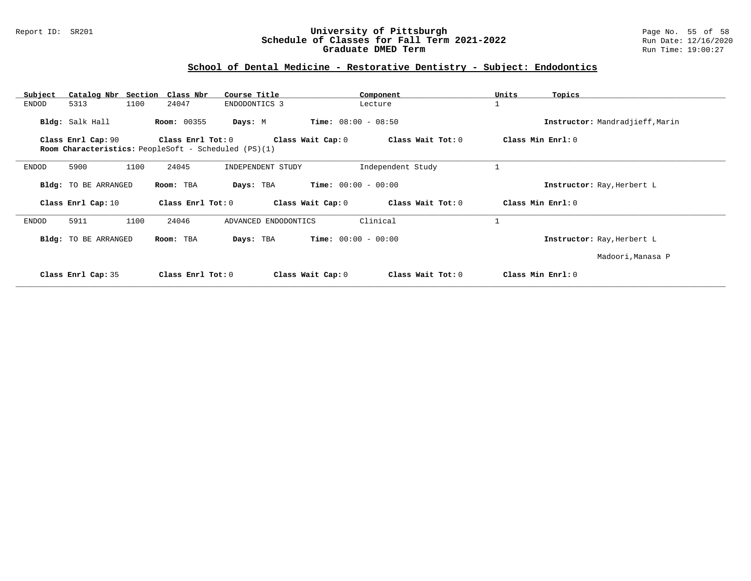#### Report ID: SR201 **University of Pittsburgh** Page No. 55 of 58 **Schedule of Classes for Fall Term 2021-2022** Run Date: 12/16/2020 **Graduate DMED Term Run Time: 19:00:27**

### **School of Dental Medicine - Restorative Dentistry - Subject: Endodontics**

| Catalog Nbr Section Class Nbr<br>Subject | Course Title                                                              | Component                              | Units<br>Topics                 |
|------------------------------------------|---------------------------------------------------------------------------|----------------------------------------|---------------------------------|
| 5313<br>1100<br>ENDOD                    | 24047<br>ENDODONTICS 3                                                    | Lecture                                |                                 |
| Bldg: Salk Hall                          | <b>Room: 00355</b><br>Days: M                                             | <b>Time:</b> $08:00 - 08:50$           | Instructor: Mandradjieff, Marin |
| Class Enrl Cap: 90                       | Class Enrl Tot: 0<br>Room Characteristics: PeopleSoft - Scheduled (PS)(1) | Class Wait Cap: 0<br>Class Wait Tot: 0 | Class Min Enrl: 0               |
| 1100<br>ENDOD<br>5900                    | 24045<br>INDEPENDENT STUDY                                                | Independent Study                      | 1                               |
| Bldg: TO BE ARRANGED                     | Room: TBA<br>Days: TBA                                                    | <b>Time:</b> $00:00 - 00:00$           | Instructor: Ray, Herbert L      |
| Class Enrl Cap: 10                       | Class Enrl Tot: 0                                                         | Class Wait Cap: 0<br>Class Wait Tot: 0 | Class Min Enrl: 0               |
| 5911<br>1100<br>ENDOD                    | 24046<br>ADVANCED ENDODONTICS                                             | Clinical                               | 1                               |
| Bldg: TO BE ARRANGED                     | Room: TBA<br>Days: TBA                                                    | <b>Time:</b> $00:00 - 00:00$           | Instructor: Ray, Herbert L      |
|                                          |                                                                           |                                        | Madoori, Manasa P               |
| Class Enrl Cap: 35                       | Class Enrl Tot: 0                                                         | Class Wait Cap: 0<br>Class Wait Tot: 0 | Class Min Enrl: 0               |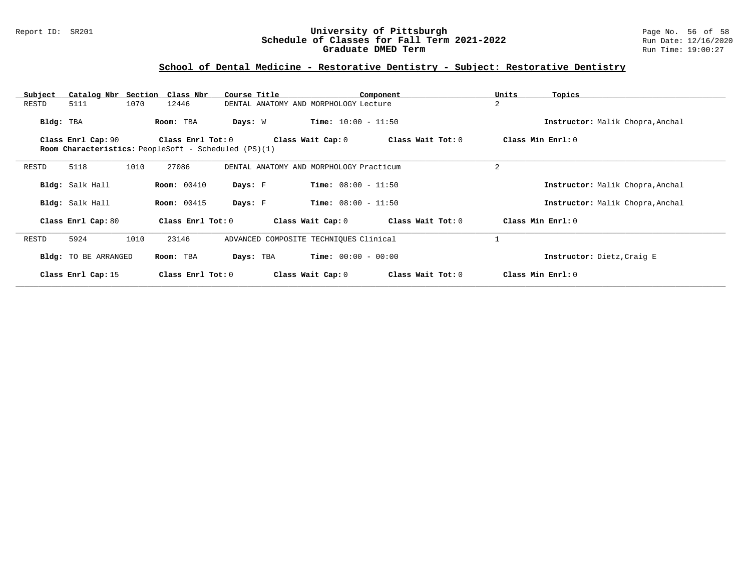#### Report ID: SR201 **University of Pittsburgh** Page No. 56 of 58 **Schedule of Classes for Fall Term 2021-2022** Run Date: 12/16/2020 **Graduate DMED Term Run Time: 19:00:27**

## **School of Dental Medicine - Restorative Dentistry - Subject: Restorative Dentistry**

| Subject   |                      |      | Catalog Nbr Section Class Nbr | Course Title                                         |                              | Component         | Units             | Topics                           |
|-----------|----------------------|------|-------------------------------|------------------------------------------------------|------------------------------|-------------------|-------------------|----------------------------------|
| RESTD     | 5111                 | 1070 | 12446                         | DENTAL ANATOMY AND MORPHOLOGY Lecture                |                              |                   | 2                 |                                  |
| Bldg: TBA |                      |      | Room: TBA                     | Days: W                                              | <b>Time:</b> $10:00 - 11:50$ |                   |                   | Instructor: Malik Chopra, Anchal |
|           | Class Enrl Cap: 90   |      | Class Enrl Tot: 0             | Room Characteristics: PeopleSoft - Scheduled (PS)(1) | Class Wait Cap: 0            | Class Wait Tot: 0 | Class Min Enrl: 0 |                                  |
| RESTD     | 5118                 | 1010 | 27086                         | DENTAL ANATOMY AND MORPHOLOGY Practicum              |                              |                   | $\overline{2}$    |                                  |
|           | Bldg: Salk Hall      |      | <b>Room:</b> 00410            | Days: F                                              | <b>Time:</b> $08:00 - 11:50$ |                   |                   | Instructor: Malik Chopra, Anchal |
|           | Bldg: Salk Hall      |      | <b>Room:</b> 00415            | Days: F                                              | <b>Time:</b> $08:00 - 11:50$ |                   |                   | Instructor: Malik Chopra, Anchal |
|           | Class Enrl Cap: 80   |      | Class Enrl Tot: 0             |                                                      | Class Wait Cap: 0            | Class Wait Tot: 0 | Class Min Enrl: 0 |                                  |
| RESTD     | 5924                 | 1010 | 23146                         | ADVANCED COMPOSITE TECHNIQUES Clinical               |                              |                   |                   |                                  |
|           | Bldg: TO BE ARRANGED |      | Room: TBA                     | Days: TBA                                            | <b>Time:</b> $00:00 - 00:00$ |                   |                   | Instructor: Dietz, Craig E       |
|           | Class Enrl Cap: 15   |      | Class Enrl Tot: 0             |                                                      | Class Wait Cap: 0            | Class Wait Tot: 0 |                   | Class Min Enrl: 0                |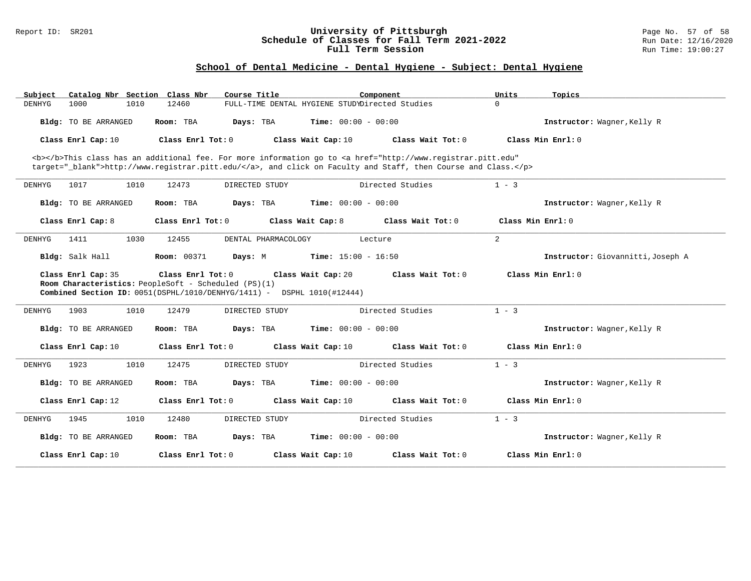#### Report ID: SR201 **University of Pittsburgh** Page No. 57 of 58 **Schedule of Classes for Fall Term 2021-2022** Run Date: 12/16/2020 **Full Term Session Rundall Term Session Rundall Term Session**

## **School of Dental Medicine - Dental Hygiene - Subject: Dental Hygiene**

| Subiect               | Catalog Nbr Section Class Nbr |                                                      | Course Title                                                                      | Component                    |                                                                                                                                                                                                                                    | Units             | Topics                            |
|-----------------------|-------------------------------|------------------------------------------------------|-----------------------------------------------------------------------------------|------------------------------|------------------------------------------------------------------------------------------------------------------------------------------------------------------------------------------------------------------------------------|-------------------|-----------------------------------|
| 1000<br><b>DENHYG</b> | 1010                          | 12460                                                | FULL-TIME DENTAL HYGIENE STUDYDirected Studies                                    |                              |                                                                                                                                                                                                                                    | $\Omega$          |                                   |
|                       | Bldg: TO BE ARRANGED          | Room: TBA                                            | Days: TBA                                                                         | <b>Time:</b> $00:00 - 00:00$ |                                                                                                                                                                                                                                    |                   | Instructor: Wagner, Kelly R       |
|                       | Class Enrl Cap: 10            | Class Enrl Tot: 0                                    |                                                                                   | Class Wait Cap: 10           | Class Wait Tot: $0$                                                                                                                                                                                                                |                   | Class Min Enrl: 0                 |
|                       |                               |                                                      |                                                                                   |                              | <b></b> This class has an additional fee. For more information go to <a <br="" href="http://www.registrar.pitt.edu">target="_blank"&gt;http://www.registrar.pitt.edu/</a> , and click on Faculty and Staff, then Course and Class. |                   |                                   |
| <b>DENHYG</b><br>1017 | 1010                          | 12473                                                | DIRECTED STUDY                                                                    |                              | Directed Studies                                                                                                                                                                                                                   | $1 - 3$           |                                   |
|                       | Bldg: TO BE ARRANGED          | Room: TBA                                            | Days: TBA                                                                         | <b>Time:</b> $00:00 - 00:00$ |                                                                                                                                                                                                                                    |                   | Instructor: Wagner, Kelly R       |
| Class Enrl Cap: 8     |                               | Class Enrl Tot: 0                                    | Class Wait Cap: 8                                                                 |                              | Class Wait Tot: 0                                                                                                                                                                                                                  | Class Min Enrl: 0 |                                   |
| <b>DENHYG</b><br>1411 | 1030                          | 12455                                                | DENTAL PHARMACOLOGY                                                               | Lecture                      |                                                                                                                                                                                                                                    | 2                 |                                   |
| Bldg: Salk Hall       |                               | Room: 00371                                          | Days: M                                                                           | <b>Time:</b> $15:00 - 16:50$ |                                                                                                                                                                                                                                    |                   | Instructor: Giovannitti, Joseph A |
|                       | Class Enrl Cap: 35            | Class Enrl Tot: 0                                    |                                                                                   | Class Wait Cap: 20           | Class Wait Tot: 0                                                                                                                                                                                                                  |                   | Class Min Enrl: 0                 |
|                       |                               | Room Characteristics: PeopleSoft - Scheduled (PS)(1) | <b>Combined Section ID:</b> $0051(DSPHL/1010/DENHYG/1411)$ - DSPHL $1010(#12444)$ |                              |                                                                                                                                                                                                                                    |                   |                                   |
| <b>DENHYG</b><br>1903 | 1010                          | 12479                                                | DIRECTED STUDY                                                                    |                              | Directed Studies                                                                                                                                                                                                                   | $1 - 3$           |                                   |
|                       | Bldg: TO BE ARRANGED          | Room: TBA                                            | Days: TBA                                                                         | <b>Time:</b> $00:00 - 00:00$ |                                                                                                                                                                                                                                    |                   | Instructor: Wagner, Kelly R       |
|                       | Class Enrl Cap: 10            | Class Enrl Tot: 0                                    |                                                                                   | Class Wait Cap: 10           | Class Wait Tot: 0                                                                                                                                                                                                                  |                   | Class Min $Enr1: 0$               |
| 1923<br>DENHYG        | 1010                          | 12475                                                | DIRECTED STUDY                                                                    |                              | Directed Studies                                                                                                                                                                                                                   | $1 - 3$           |                                   |
|                       | Bldg: TO BE ARRANGED          | Room: TBA                                            | Days: TBA                                                                         | <b>Time:</b> $00:00 - 00:00$ |                                                                                                                                                                                                                                    |                   | Instructor: Wagner, Kelly R       |
|                       | Class Enrl Cap: 12            | Class Enrl Tot: 0                                    |                                                                                   | Class Wait Cap: 10           | Class Wait Tot: 0                                                                                                                                                                                                                  |                   | Class Min Enrl: 0                 |
| 1945<br><b>DENHYG</b> | 1010                          | 12480                                                | DIRECTED STUDY                                                                    |                              | Directed Studies                                                                                                                                                                                                                   | $1 - 3$           |                                   |
|                       | Bldg: TO BE ARRANGED          | Room: TBA                                            | Days: TBA                                                                         | <b>Time:</b> $00:00 - 00:00$ |                                                                                                                                                                                                                                    |                   | Instructor: Wagner, Kelly R       |
|                       | Class Enrl Cap: 10            | Class Enrl Tot: 0                                    |                                                                                   | Class Wait Cap: 10           | Class Wait Tot: 0                                                                                                                                                                                                                  |                   | Class Min $Enr1: 0$               |